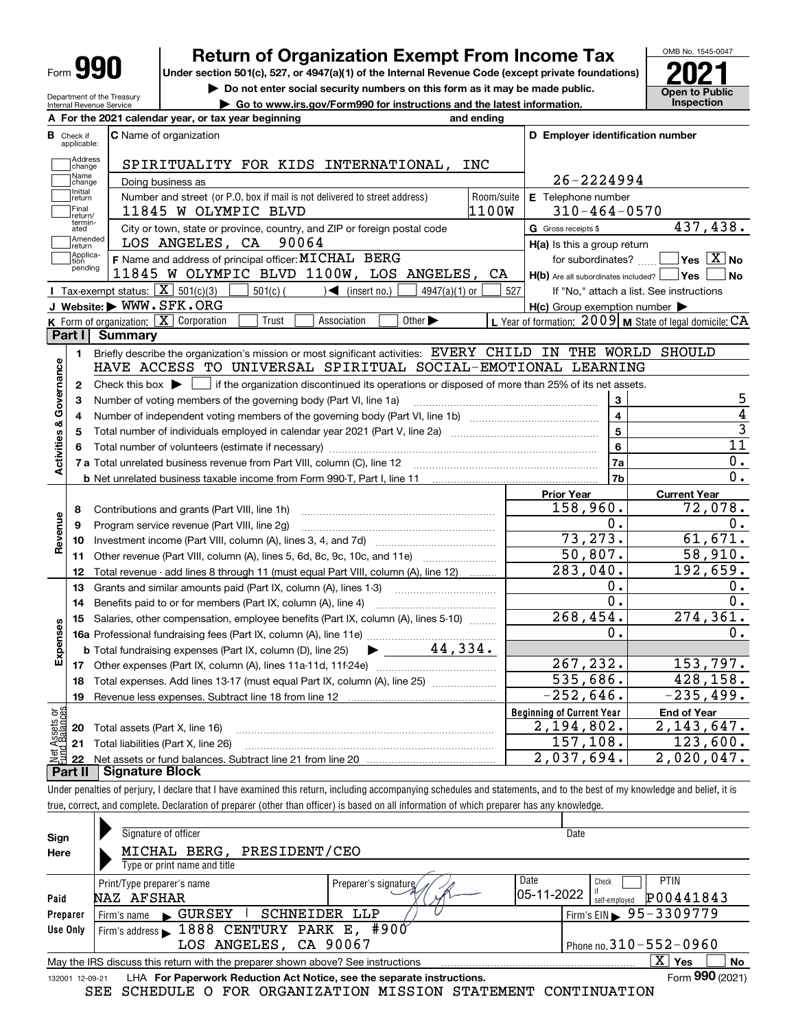| Form | п |  |
|------|---|--|
|------|---|--|

# **Return of Organization Exempt From Income Tax**

Under section 501(c), 527, or 4947(a)(1) of the Internal Revenue Code (except private foundations) **2021** 

**| Do not enter social security numbers on this form as it may be made public.**

**| Go to www.irs.gov/Form990 for instructions and the latest information. Inspection**



Department of the Treasury Internal Revenue Service

|                         |                                  | A For the 2021 calendar year, or tax year beginning<br>and ending                                                                                                          |            |                                                     |                                                             |
|-------------------------|----------------------------------|----------------------------------------------------------------------------------------------------------------------------------------------------------------------------|------------|-----------------------------------------------------|-------------------------------------------------------------|
|                         | <b>B</b> Check if<br>applicable: | <b>C</b> Name of organization                                                                                                                                              |            | D Employer identification number                    |                                                             |
|                         | Address<br>change                | SPIRITUALITY FOR KIDS INTERNATIONAL, INC                                                                                                                                   |            |                                                     |                                                             |
|                         | Name<br>change                   | Doing business as                                                                                                                                                          |            | 26-2224994                                          |                                                             |
|                         | Initial<br>return                | Number and street (or P.O. box if mail is not delivered to street address)                                                                                                 | Room/suite | E Telephone number                                  |                                                             |
|                         | Final<br>return/                 | 1100W<br>11845 W OLYMPIC BLVD                                                                                                                                              |            | $310 - 464 - 0570$                                  |                                                             |
|                         | termin-<br>ated                  | City or town, state or province, country, and ZIP or foreign postal code                                                                                                   |            | G Gross receipts \$                                 | 437,438.                                                    |
|                         | Amended<br>return                | LOS ANGELES, CA 90064                                                                                                                                                      |            | H(a) Is this a group return                         |                                                             |
|                         | Applica-<br>tion                 | F Name and address of principal officer: MICHAL BERG                                                                                                                       |            | for subordinates?                                   | $\sqrt{}$ Yes $\sqrt{}$ X $\sqrt{}$ No                      |
|                         | pending                          | 11845 W OLYMPIC BLVD 1100W, LOS ANGELES, CA                                                                                                                                |            | $H(b)$ Are all subordinates included? $\Box$ Yes    | l No                                                        |
|                         |                                  | Tax-exempt status: $\boxed{\mathbf{X}}$ 501(c)(3) $\boxed{\phantom{1}}$<br>$4947(a)(1)$ or                                                                                 | 527        |                                                     | If "No," attach a list. See instructions                    |
|                         |                                  | J Website: WWW.SFK.ORG                                                                                                                                                     |            | $H(c)$ Group exemption number $\blacktriangleright$ |                                                             |
|                         |                                  | K Form of organization: X Corporation<br>Trust<br>Other $\blacktriangleright$<br>Association                                                                               |            |                                                     | L Year of formation: $2009$ M State of legal domicile: $CA$ |
|                         |                                  | Part I Summary                                                                                                                                                             |            |                                                     |                                                             |
|                         | 1.                               | Briefly describe the organization's mission or most significant activities: EVERY CHILD IN THE WORLD SHOULD                                                                |            |                                                     |                                                             |
| Governance              |                                  | HAVE ACCESS TO UNIVERSAL SPIRITUAL SOCIAL-EMOTIONAL LEARNING                                                                                                               |            |                                                     |                                                             |
|                         | 2                                | Check this box $\triangleright$ $\blacksquare$ if the organization discontinued its operations or disposed of more than 25% of its net assets.                             |            |                                                     |                                                             |
|                         | з                                | Number of voting members of the governing body (Part VI, line 1a)                                                                                                          |            | 3                                                   | 5                                                           |
|                         | 4                                |                                                                                                                                                                            |            | $\overline{\mathbf{4}}$                             | $\overline{4}$                                              |
|                         | 5                                |                                                                                                                                                                            |            | $\overline{5}$                                      | $\overline{3}$                                              |
|                         |                                  |                                                                                                                                                                            |            | $6\phantom{a}$                                      | 11                                                          |
| Activities &            |                                  |                                                                                                                                                                            |            | 7a                                                  | 0.                                                          |
|                         |                                  |                                                                                                                                                                            |            | 7b                                                  | 0.                                                          |
|                         |                                  |                                                                                                                                                                            |            | <b>Prior Year</b>                                   | <b>Current Year</b>                                         |
|                         | 8                                |                                                                                                                                                                            |            | 158,960.                                            | 72,078.                                                     |
|                         | 9                                | Program service revenue (Part VIII, line 2g)                                                                                                                               |            | 0.                                                  | 0.                                                          |
| Revenue                 | 10                               |                                                                                                                                                                            |            | 73, 273.                                            | 61,671.                                                     |
|                         | 11                               | Other revenue (Part VIII, column (A), lines 5, 6d, 8c, 9c, 10c, and 11e)                                                                                                   |            | 50,807.                                             | 58,910.                                                     |
|                         | 12                               | Total revenue - add lines 8 through 11 (must equal Part VIII, column (A), line 12)                                                                                         |            | 283,040.                                            | 192,659.                                                    |
|                         | 13                               | Grants and similar amounts paid (Part IX, column (A), lines 1-3)                                                                                                           |            | 0.                                                  | 0.                                                          |
|                         | 14                               |                                                                                                                                                                            |            | 0.                                                  | $\overline{0}$ .                                            |
|                         | 15                               | Salaries, other compensation, employee benefits (Part IX, column (A), lines 5-10)                                                                                          |            | 268, 454.                                           | $\overline{274,361}$ .                                      |
|                         |                                  | 16a Professional fundraising fees (Part IX, column (A), line 11e)                                                                                                          |            | 0.                                                  | 0.                                                          |
| Expenses                |                                  | <b>b</b> Total fundraising expenses (Part IX, column (D), line 25) $\rightarrow$ 44, 334.                                                                                  |            |                                                     |                                                             |
|                         |                                  |                                                                                                                                                                            |            | 267, 232.                                           | 153,797.                                                    |
|                         |                                  | 18 Total expenses. Add lines 13-17 (must equal Part IX, column (A), line 25)                                                                                               |            | 535,686.                                            | 428,158.                                                    |
|                         |                                  |                                                                                                                                                                            |            | 252,646.                                            | 235,499.                                                    |
| Assets or<br>1 Balances |                                  |                                                                                                                                                                            |            | <b>Beginning of Current Year</b>                    | <b>End of Year</b>                                          |
|                         | 20                               | Total assets (Part X, line 16)                                                                                                                                             |            | 2,194,802.                                          | 2,143,647.                                                  |
|                         | 21                               | Total liabilities (Part X, line 26)                                                                                                                                        |            | 157,108.                                            | 123,600.                                                    |
|                         | 22<br>Part II                    | <b>Signature Block</b>                                                                                                                                                     |            | 2,037,694.                                          | 2,020,047.                                                  |
|                         |                                  | Under penalties of perjury, I declare that I have examined this return, including accompanying schedules and statements, and to the best of my knowledge and belief, it is |            |                                                     |                                                             |
|                         |                                  | true, correct, and complete. Declaration of preparer (other than officer) is based on all information of which preparer has any knowledge.                                 |            |                                                     |                                                             |
|                         |                                  |                                                                                                                                                                            |            |                                                     |                                                             |
| Sian                    |                                  | Signature of officer                                                                                                                                                       |            | Date                                                |                                                             |

| Sign     | Signature of officer                                                                                                 |                       | Date                                      |  |  |  |  |  |  |
|----------|----------------------------------------------------------------------------------------------------------------------|-----------------------|-------------------------------------------|--|--|--|--|--|--|
| Here     | MICHAL BERG, PRESIDENT/CEO                                                                                           |                       |                                           |  |  |  |  |  |  |
|          | Type or print name and title                                                                                         |                       |                                           |  |  |  |  |  |  |
|          | Print/Type preparer's name                                                                                           | Preparer's signature/ | Date<br><b>PTIN</b><br>Check              |  |  |  |  |  |  |
| Paid     | NAZ AFSHAR                                                                                                           |                       | 105-11-2022<br>P00441843<br>self-emploved |  |  |  |  |  |  |
| Preparer | SCHNEIDER<br>$\blacksquare$ GURSEY<br>Firm's name                                                                    | LLP                   | Firm's EIN $\triangleright$ 95 - 3309779  |  |  |  |  |  |  |
| Use Only | Firm's address 1888 CENTURY PARK E, #900                                                                             |                       |                                           |  |  |  |  |  |  |
|          | LOS ANGELES, CA 90067                                                                                                |                       | Phone no. $310 - 552 - 0960$              |  |  |  |  |  |  |
|          | $\overline{\mathrm{X}}$ Yes<br>No<br>May the IRS discuss this return with the preparer shown above? See instructions |                       |                                           |  |  |  |  |  |  |
|          | Form 990 (2021)<br>LHA For Paperwork Reduction Act Notice, see the separate instructions.<br>132001 12-09-21         |                       |                                           |  |  |  |  |  |  |
|          | SCHEDULE O FOR ORGANIZATION MISSION STATEMENT<br>SEE<br>CONTINUATION                                                 |                       |                                           |  |  |  |  |  |  |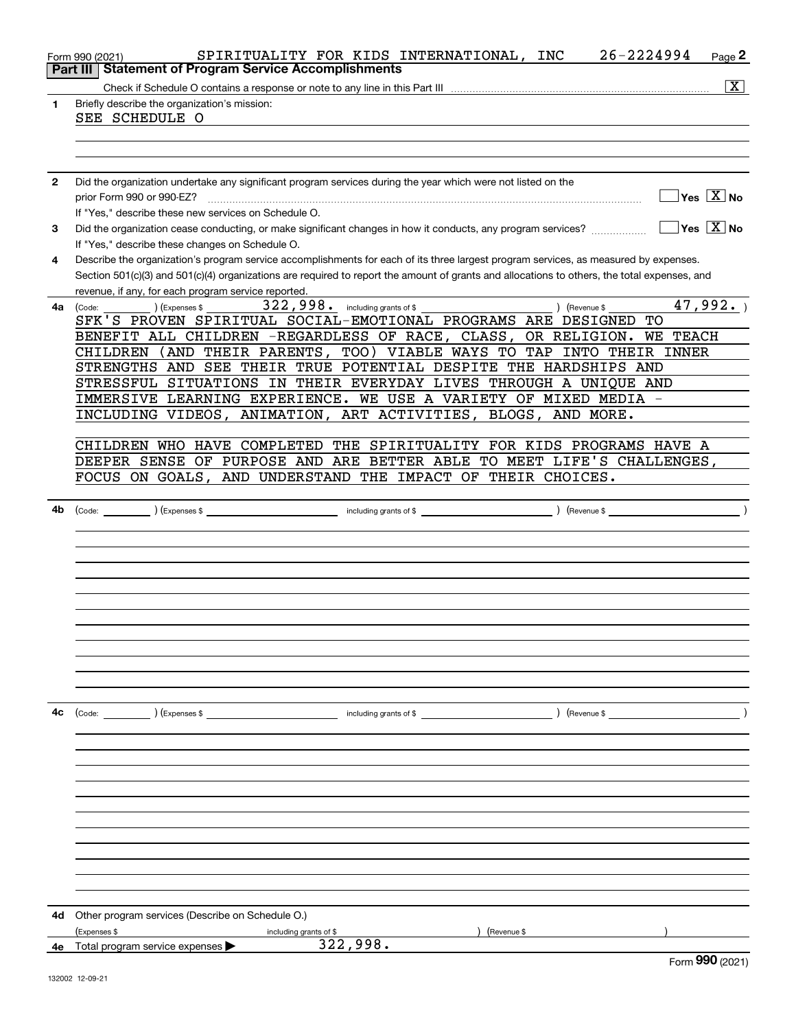|    | 26-2224994<br>SPIRITUALITY FOR KIDS INTERNATIONAL, INC<br>Page 2<br>Form 990 (2021)                                                          |
|----|----------------------------------------------------------------------------------------------------------------------------------------------|
|    | <b>Statement of Program Service Accomplishments</b><br>Part III                                                                              |
|    | $\overline{\text{X}}$                                                                                                                        |
| 1  | Briefly describe the organization's mission:                                                                                                 |
|    | SEE SCHEDULE O                                                                                                                               |
|    |                                                                                                                                              |
|    |                                                                                                                                              |
|    |                                                                                                                                              |
| 2  | Did the organization undertake any significant program services during the year which were not listed on the                                 |
|    | $Yes \ \boxed{X}$ No<br>prior Form 990 or 990-EZ?                                                                                            |
|    | If "Yes," describe these new services on Schedule O.                                                                                         |
| 3  | $Yes \ \overline{X}$ No<br>Did the organization cease conducting, or make significant changes in how it conducts, any program services?      |
|    | If "Yes," describe these changes on Schedule O.                                                                                              |
| 4  | Describe the organization's program service accomplishments for each of its three largest program services, as measured by expenses.         |
|    | Section 501(c)(3) and 501(c)(4) organizations are required to report the amount of grants and allocations to others, the total expenses, and |
|    | revenue, if any, for each program service reported.<br>47,992.<br>$322,998.$ including grants of \$                                          |
|    | (Expenses \$<br>) (Revenue \$<br>4a (Code:<br>SFK'S PROVEN SPIRITUAL SOCIAL-EMOTIONAL PROGRAMS ARE DESIGNED<br>TО                            |
|    | BENEFIT ALL CHILDREN -REGARDLESS OF RACE, CLASS, OR RELIGION.<br><b>WE TEACH</b>                                                             |
|    | CHILDREN (AND THEIR PARENTS, TOO) VIABLE WAYS TO TAP INTO THEIR INNER                                                                        |
|    | STRENGTHS AND SEE THEIR TRUE POTENTIAL DESPITE THE HARDSHIPS AND                                                                             |
|    | STRESSFUL SITUATIONS IN THEIR EVERYDAY LIVES THROUGH A UNIQUE AND                                                                            |
|    | IMMERSIVE LEARNING EXPERIENCE. WE USE A VARIETY OF MIXED MEDIA -                                                                             |
|    | INCLUDING VIDEOS, ANIMATION, ART ACTIVITIES, BLOGS, AND MORE.                                                                                |
|    |                                                                                                                                              |
|    | CHILDREN WHO HAVE COMPLETED THE SPIRITUALITY FOR KIDS PROGRAMS HAVE A                                                                        |
|    | DEEPER SENSE OF PURPOSE AND ARE BETTER ABLE TO MEET LIFE'S CHALLENGES,                                                                       |
|    | FOCUS ON GOALS, AND UNDERSTAND THE IMPACT OF THEIR CHOICES.                                                                                  |
|    |                                                                                                                                              |
| 4b | $\lambda$<br>$\left($ Revenue \$ $\frac{1}{2}$                                                                                               |
|    |                                                                                                                                              |
|    |                                                                                                                                              |
|    |                                                                                                                                              |
|    |                                                                                                                                              |
|    |                                                                                                                                              |
|    |                                                                                                                                              |
|    |                                                                                                                                              |
|    |                                                                                                                                              |
|    |                                                                                                                                              |
|    |                                                                                                                                              |
|    |                                                                                                                                              |
|    |                                                                                                                                              |
| 4с | (Code: ) (Expenses \$<br>including grants of \$<br>$($ Revenue \$                                                                            |
|    |                                                                                                                                              |
|    |                                                                                                                                              |
|    |                                                                                                                                              |
|    |                                                                                                                                              |
|    |                                                                                                                                              |
|    |                                                                                                                                              |
|    |                                                                                                                                              |
|    |                                                                                                                                              |
|    |                                                                                                                                              |
|    |                                                                                                                                              |
|    |                                                                                                                                              |
|    |                                                                                                                                              |
| 4d | Other program services (Describe on Schedule O.)                                                                                             |
|    | (Expenses \$<br>(Revenue \$<br>including grants of \$<br>322,998.                                                                            |
|    | 4e Total program service expenses<br>റററ                                                                                                     |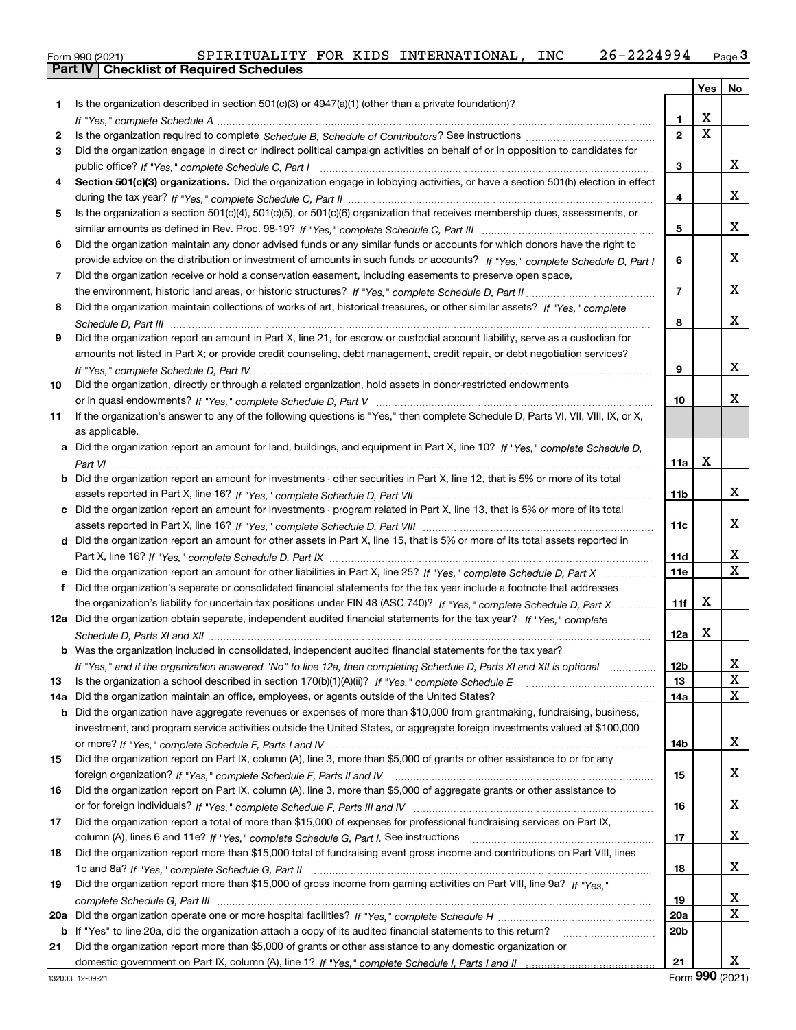|  |  |  | SPIRITUALITY FOR KIDS INTERNATIONAL, INC |  | 26-2224994 |
|--|--|--|------------------------------------------|--|------------|
|--|--|--|------------------------------------------|--|------------|

| Form 990 (2021) |  |                                                  |  | SPIRITUALITY FOR KIDS INTERNATIONAL, | <b>INC</b> | 26-2224994 | $P$ aqe $3$ |
|-----------------|--|--------------------------------------------------|--|--------------------------------------|------------|------------|-------------|
|                 |  | <b>Part IV   Checklist of Required Schedules</b> |  |                                      |            |            |             |

|     |                                                                                                                                   |                 | Yes         | No     |
|-----|-----------------------------------------------------------------------------------------------------------------------------------|-----------------|-------------|--------|
| 1.  | Is the organization described in section $501(c)(3)$ or $4947(a)(1)$ (other than a private foundation)?                           |                 |             |        |
|     |                                                                                                                                   | 1               | x           |        |
| 2   |                                                                                                                                   | $\overline{2}$  | $\mathbf X$ |        |
| 3.  | Did the organization engage in direct or indirect political campaign activities on behalf of or in opposition to candidates for   |                 |             |        |
|     |                                                                                                                                   | 3               |             | x      |
| 4   | Section 501(c)(3) organizations. Did the organization engage in lobbying activities, or have a section 501(h) election in effect  |                 |             |        |
|     |                                                                                                                                   | 4               |             | х      |
| 5.  | Is the organization a section 501(c)(4), 501(c)(5), or 501(c)(6) organization that receives membership dues, assessments, or      |                 |             |        |
|     |                                                                                                                                   | 5               |             | x      |
| 6   | Did the organization maintain any donor advised funds or any similar funds or accounts for which donors have the right to         |                 |             |        |
|     | provide advice on the distribution or investment of amounts in such funds or accounts? If "Yes," complete Schedule D, Part I      | 6               |             | x      |
| 7   | Did the organization receive or hold a conservation easement, including easements to preserve open space,                         |                 |             |        |
|     |                                                                                                                                   | $\overline{7}$  |             | x      |
| 8   | Did the organization maintain collections of works of art, historical treasures, or other similar assets? If "Yes," complete      |                 |             |        |
|     |                                                                                                                                   | 8               |             | x      |
| 9   | Did the organization report an amount in Part X, line 21, for escrow or custodial account liability, serve as a custodian for     |                 |             |        |
|     | amounts not listed in Part X; or provide credit counseling, debt management, credit repair, or debt negotiation services?         |                 |             |        |
|     |                                                                                                                                   | 9               |             | x      |
| 10  | Did the organization, directly or through a related organization, hold assets in donor-restricted endowments                      |                 |             |        |
|     |                                                                                                                                   | 10              |             | x      |
| 11  | If the organization's answer to any of the following questions is "Yes," then complete Schedule D, Parts VI, VII, VIII, IX, or X, |                 |             |        |
|     | as applicable.                                                                                                                    |                 |             |        |
|     | a Did the organization report an amount for land, buildings, and equipment in Part X, line 10? If "Yes," complete Schedule D,     |                 |             |        |
|     |                                                                                                                                   | 11a             | х           |        |
|     | Did the organization report an amount for investments - other securities in Part X, line 12, that is 5% or more of its total      |                 |             |        |
|     |                                                                                                                                   | 11b             |             | x      |
|     | c Did the organization report an amount for investments - program related in Part X, line 13, that is 5% or more of its total     |                 |             |        |
|     |                                                                                                                                   | 11c             |             | x      |
|     | d Did the organization report an amount for other assets in Part X, line 15, that is 5% or more of its total assets reported in   |                 |             |        |
|     |                                                                                                                                   | 11d             |             | х      |
|     | e Did the organization report an amount for other liabilities in Part X, line 25? If "Yes," complete Schedule D, Part X           | <b>11e</b>      |             | x      |
|     | f Did the organization's separate or consolidated financial statements for the tax year include a footnote that addresses         |                 |             |        |
|     | the organization's liability for uncertain tax positions under FIN 48 (ASC 740)? If "Yes," complete Schedule D, Part X            | 11f             | х           |        |
|     | 12a Did the organization obtain separate, independent audited financial statements for the tax year? If "Yes," complete           |                 |             |        |
|     |                                                                                                                                   | 12a             | х           |        |
|     | b Was the organization included in consolidated, independent audited financial statements for the tax year?                       |                 |             |        |
|     | If "Yes," and if the organization answered "No" to line 12a, then completing Schedule D, Parts XI and XII is optional manum       | 12b             |             | A      |
| 13  |                                                                                                                                   | 13              |             | х      |
| 14a | Did the organization maintain an office, employees, or agents outside of the United States?                                       | 14a             |             | x      |
| b   | Did the organization have aggregate revenues or expenses of more than \$10,000 from grantmaking, fundraising, business,           |                 |             |        |
|     | investment, and program service activities outside the United States, or aggregate foreign investments valued at \$100,000        |                 |             |        |
|     |                                                                                                                                   | 14b             |             | х      |
| 15  | Did the organization report on Part IX, column (A), line 3, more than \$5,000 of grants or other assistance to or for any         |                 |             |        |
|     |                                                                                                                                   | 15              |             | x      |
| 16  | Did the organization report on Part IX, column (A), line 3, more than \$5,000 of aggregate grants or other assistance to          |                 |             |        |
|     |                                                                                                                                   | 16              |             | x      |
| 17  | Did the organization report a total of more than \$15,000 of expenses for professional fundraising services on Part IX,           |                 |             | x      |
|     |                                                                                                                                   | 17              |             |        |
| 18  | Did the organization report more than \$15,000 total of fundraising event gross income and contributions on Part VIII, lines      |                 |             |        |
|     |                                                                                                                                   | 18              |             | x      |
| 19  | Did the organization report more than \$15,000 of gross income from gaming activities on Part VIII, line 9a? If "Yes."            |                 |             |        |
|     |                                                                                                                                   | 19              |             | х<br>x |
| 20a |                                                                                                                                   | 20a             |             |        |
| b   | If "Yes" to line 20a, did the organization attach a copy of its audited financial statements to this return?                      | 20 <sub>b</sub> |             |        |
| 21  | Did the organization report more than \$5,000 of grants or other assistance to any domestic organization or                       | 21              |             | x      |
|     |                                                                                                                                   |                 |             |        |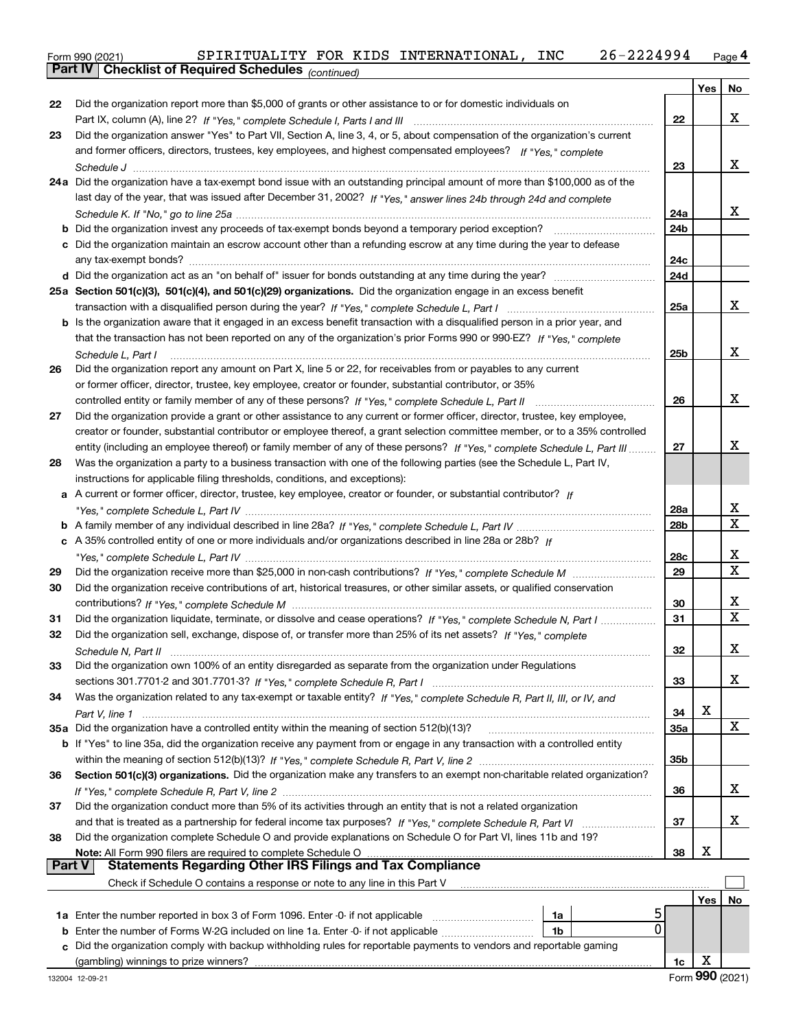Form 990 (2021) SPIRITUALITY FOR KIDS INTERNATIONAL, INC 26-2224994 <sub>Page</sub> 4<br>**Part IV | Checklist of Required Schedules** <sub>(continued)</sub>

|        | Parl IV I<br>Criecklist of Required Scriedules (continued)                                                                         |     |     |    |
|--------|------------------------------------------------------------------------------------------------------------------------------------|-----|-----|----|
|        |                                                                                                                                    |     | Yes | No |
| 22     | Did the organization report more than \$5,000 of grants or other assistance to or for domestic individuals on                      |     |     |    |
|        |                                                                                                                                    | 22  |     | X  |
| 23     | Did the organization answer "Yes" to Part VII, Section A, line 3, 4, or 5, about compensation of the organization's current        |     |     |    |
|        | and former officers, directors, trustees, key employees, and highest compensated employees? If "Yes," complete                     |     |     |    |
|        |                                                                                                                                    | 23  |     | X  |
|        | 24a Did the organization have a tax-exempt bond issue with an outstanding principal amount of more than \$100,000 as of the        |     |     |    |
|        | last day of the year, that was issued after December 31, 2002? If "Yes," answer lines 24b through 24d and complete                 |     |     |    |
|        |                                                                                                                                    | 24a |     | X  |
|        | <b>b</b> Did the organization invest any proceeds of tax-exempt bonds beyond a temporary period exception?                         | 24b |     |    |
|        | c Did the organization maintain an escrow account other than a refunding escrow at any time during the year to defease             |     |     |    |
|        |                                                                                                                                    | 24c |     |    |
|        |                                                                                                                                    | 24d |     |    |
|        | 25a Section 501(c)(3), 501(c)(4), and 501(c)(29) organizations. Did the organization engage in an excess benefit                   |     |     |    |
|        |                                                                                                                                    | 25a |     | х  |
|        | b Is the organization aware that it engaged in an excess benefit transaction with a disqualified person in a prior year, and       |     |     |    |
|        | that the transaction has not been reported on any of the organization's prior Forms 990 or 990-EZ? If "Yes," complete              |     |     |    |
|        | Schedule L, Part I                                                                                                                 | 25b |     | х  |
| 26     | Did the organization report any amount on Part X, line 5 or 22, for receivables from or payables to any current                    |     |     |    |
|        | or former officer, director, trustee, key employee, creator or founder, substantial contributor, or 35%                            |     |     |    |
|        |                                                                                                                                    | 26  |     | х  |
| 27     | Did the organization provide a grant or other assistance to any current or former officer, director, trustee, key employee,        |     |     |    |
|        | creator or founder, substantial contributor or employee thereof, a grant selection committee member, or to a 35% controlled        |     |     |    |
|        | entity (including an employee thereof) or family member of any of these persons? If "Yes," complete Schedule L, Part III           | 27  |     | х  |
| 28     | Was the organization a party to a business transaction with one of the following parties (see the Schedule L, Part IV,             |     |     |    |
|        | instructions for applicable filing thresholds, conditions, and exceptions):                                                        |     |     |    |
|        | a A current or former officer, director, trustee, key employee, creator or founder, or substantial contributor? If                 |     |     |    |
|        |                                                                                                                                    | 28a |     | X  |
|        |                                                                                                                                    | 28b |     | х  |
|        | c A 35% controlled entity of one or more individuals and/or organizations described in line 28a or 28b? If                         |     |     |    |
|        |                                                                                                                                    | 28c |     | X  |
| 29     |                                                                                                                                    | 29  |     | х  |
| 30     | Did the organization receive contributions of art, historical treasures, or other similar assets, or qualified conservation        |     |     |    |
|        |                                                                                                                                    | 30  |     | х  |
| 31     | Did the organization liquidate, terminate, or dissolve and cease operations? If "Yes," complete Schedule N, Part I                 | 31  |     | х  |
| 32     | Did the organization sell, exchange, dispose of, or transfer more than 25% of its net assets? If "Yes," complete                   |     |     |    |
|        |                                                                                                                                    | 32  |     | х  |
| 33     | Did the organization own 100% of an entity disregarded as separate from the organization under Regulations                         |     |     |    |
|        |                                                                                                                                    | 33  |     | x  |
| 34     | Was the organization related to any tax-exempt or taxable entity? If "Yes," complete Schedule R, Part II, III, or IV, and          |     |     |    |
|        |                                                                                                                                    | 34  | х   |    |
|        | 35a Did the organization have a controlled entity within the meaning of section 512(b)(13)?                                        | 35a |     | X  |
|        | <b>b</b> If "Yes" to line 35a, did the organization receive any payment from or engage in any transaction with a controlled entity |     |     |    |
|        |                                                                                                                                    | 35b |     |    |
| 36     | Section 501(c)(3) organizations. Did the organization make any transfers to an exempt non-charitable related organization?         |     |     |    |
|        |                                                                                                                                    | 36  |     | х  |
| 37     | Did the organization conduct more than 5% of its activities through an entity that is not a related organization                   |     |     |    |
|        |                                                                                                                                    | 37  |     | х  |
| 38     | Did the organization complete Schedule O and provide explanations on Schedule O for Part VI, lines 11b and 19?                     |     | х   |    |
| Part V | Note: All Form 990 filers are required to complete Schedule O<br><b>Statements Regarding Other IRS Filings and Tax Compliance</b>  | 38  |     |    |
|        | Check if Schedule O contains a response or note to any line in this Part V                                                         |     |     |    |
|        |                                                                                                                                    |     |     |    |
|        | ל<br>1a                                                                                                                            |     | Yes | No |
|        | $\Omega$<br><b>b</b> Enter the number of Forms W-2G included on line 1a. Enter -0- if not applicable <i>manumumum</i><br>1b        |     |     |    |
|        | c Did the organization comply with backup withholding rules for reportable payments to vendors and reportable gaming               |     |     |    |
|        | (gambling) winnings to prize winners?                                                                                              | 1c  | X   |    |
|        |                                                                                                                                    |     |     |    |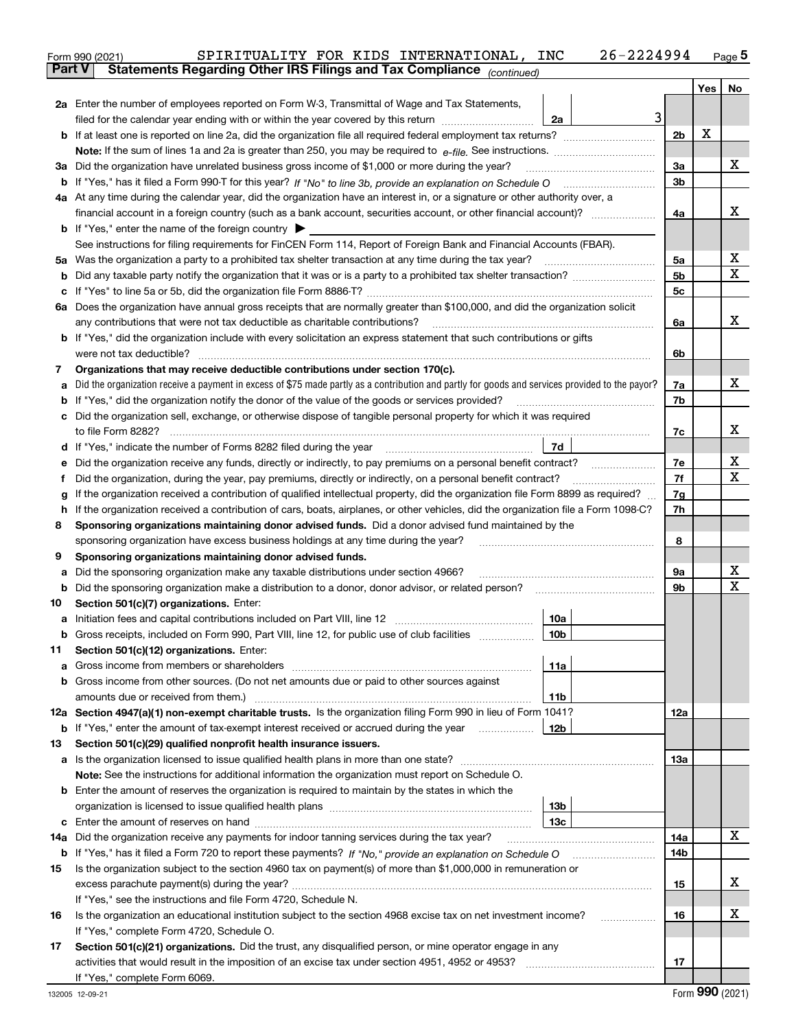|    | SPIRITUALITY FOR KIDS INTERNATIONAL, INC<br>26-2224994<br>Form 990 (2021)                                                                                                                                                            |                |     | <u>Page 5</u>  |  |  |  |  |
|----|--------------------------------------------------------------------------------------------------------------------------------------------------------------------------------------------------------------------------------------|----------------|-----|----------------|--|--|--|--|
|    | Statements Regarding Other IRS Filings and Tax Compliance (continued)<br>Part V                                                                                                                                                      |                |     |                |  |  |  |  |
|    |                                                                                                                                                                                                                                      |                | Yes | N <sub>o</sub> |  |  |  |  |
|    | 2a Enter the number of employees reported on Form W-3, Transmittal of Wage and Tax Statements,                                                                                                                                       |                |     |                |  |  |  |  |
|    | 3<br>filed for the calendar year ending with or within the year covered by this return <i>manumumumum</i><br>2a                                                                                                                      |                |     |                |  |  |  |  |
|    |                                                                                                                                                                                                                                      | 2 <sub>b</sub> | X   |                |  |  |  |  |
|    |                                                                                                                                                                                                                                      |                |     |                |  |  |  |  |
|    | 3a Did the organization have unrelated business gross income of \$1,000 or more during the year?                                                                                                                                     | 3a             |     | х              |  |  |  |  |
|    |                                                                                                                                                                                                                                      | 3 <sub>b</sub> |     |                |  |  |  |  |
|    | 4a At any time during the calendar year, did the organization have an interest in, or a signature or other authority over, a                                                                                                         |                |     |                |  |  |  |  |
|    | financial account in a foreign country (such as a bank account, securities account, or other financial account)?                                                                                                                     | 4a             |     | x              |  |  |  |  |
|    | <b>b</b> If "Yes," enter the name of the foreign country $\blacktriangleright$                                                                                                                                                       |                |     |                |  |  |  |  |
|    | See instructions for filing requirements for FinCEN Form 114, Report of Foreign Bank and Financial Accounts (FBAR).                                                                                                                  |                |     |                |  |  |  |  |
|    | 5a Was the organization a party to a prohibited tax shelter transaction at any time during the tax year?                                                                                                                             | 5a             |     | х              |  |  |  |  |
| b  |                                                                                                                                                                                                                                      | 5 <sub>b</sub> |     | X              |  |  |  |  |
|    |                                                                                                                                                                                                                                      | 5с             |     |                |  |  |  |  |
| c  | 6a Does the organization have annual gross receipts that are normally greater than \$100,000, and did the organization solicit                                                                                                       |                |     |                |  |  |  |  |
|    | any contributions that were not tax deductible as charitable contributions?                                                                                                                                                          |                |     | x              |  |  |  |  |
|    |                                                                                                                                                                                                                                      | 6a             |     |                |  |  |  |  |
|    | <b>b</b> If "Yes," did the organization include with every solicitation an express statement that such contributions or gifts                                                                                                        |                |     |                |  |  |  |  |
|    |                                                                                                                                                                                                                                      | 6b             |     |                |  |  |  |  |
| 7  | Organizations that may receive deductible contributions under section 170(c).                                                                                                                                                        |                |     |                |  |  |  |  |
| а  | Did the organization receive a payment in excess of \$75 made partly as a contribution and partly for goods and services provided to the payor?                                                                                      | 7a             |     | х              |  |  |  |  |
| b  | If "Yes," did the organization notify the donor of the value of the goods or services provided?                                                                                                                                      | 7b             |     |                |  |  |  |  |
|    | c Did the organization sell, exchange, or otherwise dispose of tangible personal property for which it was required                                                                                                                  |                |     |                |  |  |  |  |
|    |                                                                                                                                                                                                                                      | 7c             |     | х              |  |  |  |  |
|    | 7d<br>d If "Yes," indicate the number of Forms 8282 filed during the year [11] [11] No. 2010 [12] Henry Marian Marian Marian Marian Marian Marian Marian Marian Marian Marian Marian Marian Marian Marian Marian Marian Marian Maria |                |     |                |  |  |  |  |
| е  | Did the organization receive any funds, directly or indirectly, to pay premiums on a personal benefit contract?                                                                                                                      | 7e             |     | х              |  |  |  |  |
| f  | Did the organization, during the year, pay premiums, directly or indirectly, on a personal benefit contract?                                                                                                                         | 7f             |     | х              |  |  |  |  |
| g  | If the organization received a contribution of qualified intellectual property, did the organization file Form 8899 as required?                                                                                                     | 7g             |     |                |  |  |  |  |
| h. | If the organization received a contribution of cars, boats, airplanes, or other vehicles, did the organization file a Form 1098-C?                                                                                                   | 7h             |     |                |  |  |  |  |
| 8  | Sponsoring organizations maintaining donor advised funds. Did a donor advised fund maintained by the                                                                                                                                 |                |     |                |  |  |  |  |
|    | sponsoring organization have excess business holdings at any time during the year?                                                                                                                                                   | 8              |     |                |  |  |  |  |
| 9  | Sponsoring organizations maintaining donor advised funds.                                                                                                                                                                            |                |     |                |  |  |  |  |
| а  | Did the sponsoring organization make any taxable distributions under section 4966?                                                                                                                                                   | 9a             |     | х              |  |  |  |  |
| b  |                                                                                                                                                                                                                                      | 9b             |     | х              |  |  |  |  |
| 10 | Section 501(c)(7) organizations. Enter:                                                                                                                                                                                              |                |     |                |  |  |  |  |
|    | 10a                                                                                                                                                                                                                                  |                |     |                |  |  |  |  |
|    | 10b<br>Gross receipts, included on Form 990, Part VIII, line 12, for public use of club facilities                                                                                                                                   |                |     |                |  |  |  |  |
| 11 | Section 501(c)(12) organizations. Enter:                                                                                                                                                                                             |                |     |                |  |  |  |  |
| а  | Gross income from members or shareholders<br>11a                                                                                                                                                                                     |                |     |                |  |  |  |  |
|    | b Gross income from other sources. (Do not net amounts due or paid to other sources against                                                                                                                                          |                |     |                |  |  |  |  |
|    | amounts due or received from them.)<br>11b                                                                                                                                                                                           |                |     |                |  |  |  |  |
|    | 12a Section 4947(a)(1) non-exempt charitable trusts. Is the organization filing Form 990 in lieu of Form 1041?                                                                                                                       | 12a            |     |                |  |  |  |  |
|    | <b>b</b> If "Yes," enter the amount of tax-exempt interest received or accrued during the year <i>manument</i><br>12b                                                                                                                |                |     |                |  |  |  |  |
| 13 | Section 501(c)(29) qualified nonprofit health insurance issuers.                                                                                                                                                                     |                |     |                |  |  |  |  |
| а  | Is the organization licensed to issue qualified health plans in more than one state?                                                                                                                                                 | 13а            |     |                |  |  |  |  |
|    | Note: See the instructions for additional information the organization must report on Schedule O.                                                                                                                                    |                |     |                |  |  |  |  |
|    | <b>b</b> Enter the amount of reserves the organization is required to maintain by the states in which the                                                                                                                            |                |     |                |  |  |  |  |
|    | 13b                                                                                                                                                                                                                                  |                |     |                |  |  |  |  |
| c  | 13с                                                                                                                                                                                                                                  |                |     |                |  |  |  |  |
|    | 14a Did the organization receive any payments for indoor tanning services during the tax year?                                                                                                                                       | 14a            |     | x              |  |  |  |  |
|    |                                                                                                                                                                                                                                      | 14b            |     |                |  |  |  |  |
| 15 | Is the organization subject to the section 4960 tax on payment(s) of more than \$1,000,000 in remuneration or                                                                                                                        |                |     |                |  |  |  |  |
|    |                                                                                                                                                                                                                                      |                |     |                |  |  |  |  |
|    | If "Yes," see the instructions and file Form 4720, Schedule N.                                                                                                                                                                       |                |     |                |  |  |  |  |
| 16 | Is the organization an educational institution subject to the section 4968 excise tax on net investment income?                                                                                                                      | 16             |     | х              |  |  |  |  |
|    | If "Yes," complete Form 4720, Schedule O.                                                                                                                                                                                            |                |     |                |  |  |  |  |
| 17 | Section 501(c)(21) organizations. Did the trust, any disqualified person, or mine operator engage in any                                                                                                                             |                |     |                |  |  |  |  |
|    |                                                                                                                                                                                                                                      | 17             |     |                |  |  |  |  |
|    | If "Yes," complete Form 6069.                                                                                                                                                                                                        |                |     |                |  |  |  |  |
|    |                                                                                                                                                                                                                                      |                |     |                |  |  |  |  |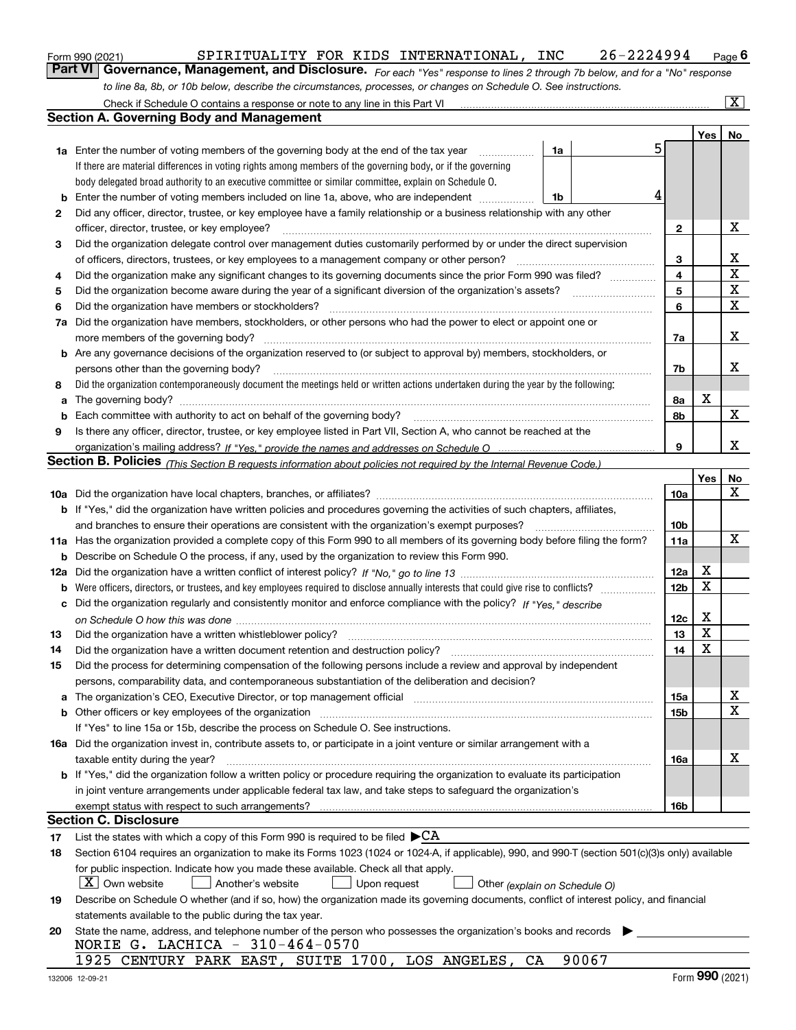| orm 990 (2021) |  |  |
|----------------|--|--|
|                |  |  |

### Form 990 (2021) SPIRITUALITY FOR KIDS INTERNATIONAL,INC 26-2224994 Page

*For each "Yes" response to lines 2 through 7b below, and for a "No" response* **6Part VI Governance, Management, and Disclosure.**  *to line 8a, 8b, or 10b below, describe the circumstances, processes, or changes on Schedule O. See instructions.*

|     | Check if Schedule O contains a response or note to any line in this Part VI                                                                                                                                                   |                 |             | $\overline{\mathbf{x}}$ |
|-----|-------------------------------------------------------------------------------------------------------------------------------------------------------------------------------------------------------------------------------|-----------------|-------------|-------------------------|
|     | <b>Section A. Governing Body and Management</b>                                                                                                                                                                               |                 |             |                         |
|     |                                                                                                                                                                                                                               |                 | Yes         | No                      |
|     | 1a<br><b>1a</b> Enter the number of voting members of the governing body at the end of the tax year<br>.                                                                                                                      | 5               |             |                         |
|     | If there are material differences in voting rights among members of the governing body, or if the governing                                                                                                                   |                 |             |                         |
|     | body delegated broad authority to an executive committee or similar committee, explain on Schedule O.                                                                                                                         |                 |             |                         |
| b   | Enter the number of voting members included on line 1a, above, who are independent<br>1b                                                                                                                                      | 4               |             |                         |
| 2   | Did any officer, director, trustee, or key employee have a family relationship or a business relationship with any other                                                                                                      |                 |             |                         |
|     | officer, director, trustee, or key employee?                                                                                                                                                                                  | $\mathbf{2}$    |             | х                       |
| 3   | Did the organization delegate control over management duties customarily performed by or under the direct supervision                                                                                                         |                 |             |                         |
|     | of officers, directors, trustees, or key employees to a management company or other person?                                                                                                                                   | 3               |             | x                       |
| 4   | Did the organization make any significant changes to its governing documents since the prior Form 990 was filed?                                                                                                              | 4               |             | $\mathbf X$             |
| 5   | Did the organization become aware during the year of a significant diversion of the organization's assets?                                                                                                                    | 5               |             | X                       |
| 6   | Did the organization have members or stockholders?                                                                                                                                                                            | 6               |             | $\mathbf X$             |
| 7a  | Did the organization have members, stockholders, or other persons who had the power to elect or appoint one or                                                                                                                |                 |             |                         |
|     | more members of the governing body?                                                                                                                                                                                           | 7a              |             | x                       |
|     | <b>b</b> Are any governance decisions of the organization reserved to (or subject to approval by) members, stockholders, or                                                                                                   |                 |             |                         |
|     | persons other than the governing body?                                                                                                                                                                                        | 7b              |             | x                       |
| 8   | Did the organization contemporaneously document the meetings held or written actions undertaken during the year by the following:                                                                                             |                 |             |                         |
| a   |                                                                                                                                                                                                                               | 8а              | х           |                         |
| b   |                                                                                                                                                                                                                               | 8b              |             | $\mathbf X$             |
| 9   | Is there any officer, director, trustee, or key employee listed in Part VII, Section A, who cannot be reached at the                                                                                                          |                 |             |                         |
|     |                                                                                                                                                                                                                               | 9               |             | x                       |
|     | Section B. Policies <sub>(This Section B requests information about policies not required by the Internal Revenue Code.)</sub>                                                                                                |                 |             |                         |
|     |                                                                                                                                                                                                                               |                 | Yes         | No                      |
|     |                                                                                                                                                                                                                               | 10a             |             | X                       |
|     | b If "Yes," did the organization have written policies and procedures governing the activities of such chapters, affiliates,                                                                                                  |                 |             |                         |
|     | and branches to ensure their operations are consistent with the organization's exempt purposes?                                                                                                                               | 10b             |             |                         |
|     | 11a Has the organization provided a complete copy of this Form 990 to all members of its governing body before filing the form?                                                                                               | 11a             |             | $\mathbf X$             |
| b   | Describe on Schedule O the process, if any, used by the organization to review this Form 990.                                                                                                                                 |                 |             |                         |
| 12a |                                                                                                                                                                                                                               | 12a             | X           |                         |
| b   |                                                                                                                                                                                                                               | 12 <sub>b</sub> | $\mathbf X$ |                         |
| c   | Did the organization regularly and consistently monitor and enforce compliance with the policy? If "Yes," describe                                                                                                            |                 |             |                         |
|     |                                                                                                                                                                                                                               | 12c             | х           |                         |
| 13  | Did the organization have a written whistleblower policy?                                                                                                                                                                     | 13              | X           |                         |
| 14  | Did the organization have a written document retention and destruction policy?                                                                                                                                                | 14              | X           |                         |
| 15  | Did the process for determining compensation of the following persons include a review and approval by independent                                                                                                            |                 |             |                         |
|     | persons, comparability data, and contemporaneous substantiation of the deliberation and decision?                                                                                                                             |                 |             |                         |
| a   | The organization's CEO, Executive Director, or top management official manufactured content content of the organization's CEO, executive Director, or top management official manufactured content of the original content of | 15a             |             | X                       |
|     | <b>b</b> Other officers or key employees of the organization                                                                                                                                                                  | 15b             |             | $\mathbf X$             |
|     | If "Yes" to line 15a or 15b, describe the process on Schedule O. See instructions.                                                                                                                                            |                 |             |                         |
|     | 16a Did the organization invest in, contribute assets to, or participate in a joint venture or similar arrangement with a                                                                                                     |                 |             |                         |
|     | taxable entity during the year?                                                                                                                                                                                               | 16a             |             | х                       |
|     | <b>b</b> If "Yes," did the organization follow a written policy or procedure requiring the organization to evaluate its participation                                                                                         |                 |             |                         |
|     | in joint venture arrangements under applicable federal tax law, and take steps to safeguard the organization's                                                                                                                |                 |             |                         |
|     | exempt status with respect to such arrangements?                                                                                                                                                                              | 16b             |             |                         |
|     | Section C. Disclosure                                                                                                                                                                                                         |                 |             |                         |
| 17  | List the states with which a copy of this Form 990 is required to be filed $\blacktriangleright$ CA                                                                                                                           |                 |             |                         |
| 18  | Section 6104 requires an organization to make its Forms 1023 (1024 or 1024-A, if applicable), 990, and 990-T (section 501(c)(3)s only) available                                                                              |                 |             |                         |
|     | for public inspection. Indicate how you made these available. Check all that apply.                                                                                                                                           |                 |             |                         |
|     | $X$ Own website<br>Another's website<br>Upon request<br>Other (explain on Schedule O)                                                                                                                                         |                 |             |                         |
| 19  | Describe on Schedule O whether (and if so, how) the organization made its governing documents, conflict of interest policy, and financial                                                                                     |                 |             |                         |
|     | statements available to the public during the tax year.                                                                                                                                                                       |                 |             |                         |
| 20  | State the name, address, and telephone number of the person who possesses the organization's books and records                                                                                                                |                 |             |                         |
|     | NORIE G. LACHICA - $310-464-0570$                                                                                                                                                                                             |                 |             |                         |
|     | 90067<br>1925 CENTURY PARK EAST, SUITE 1700, LOS ANGELES, CA                                                                                                                                                                  |                 |             |                         |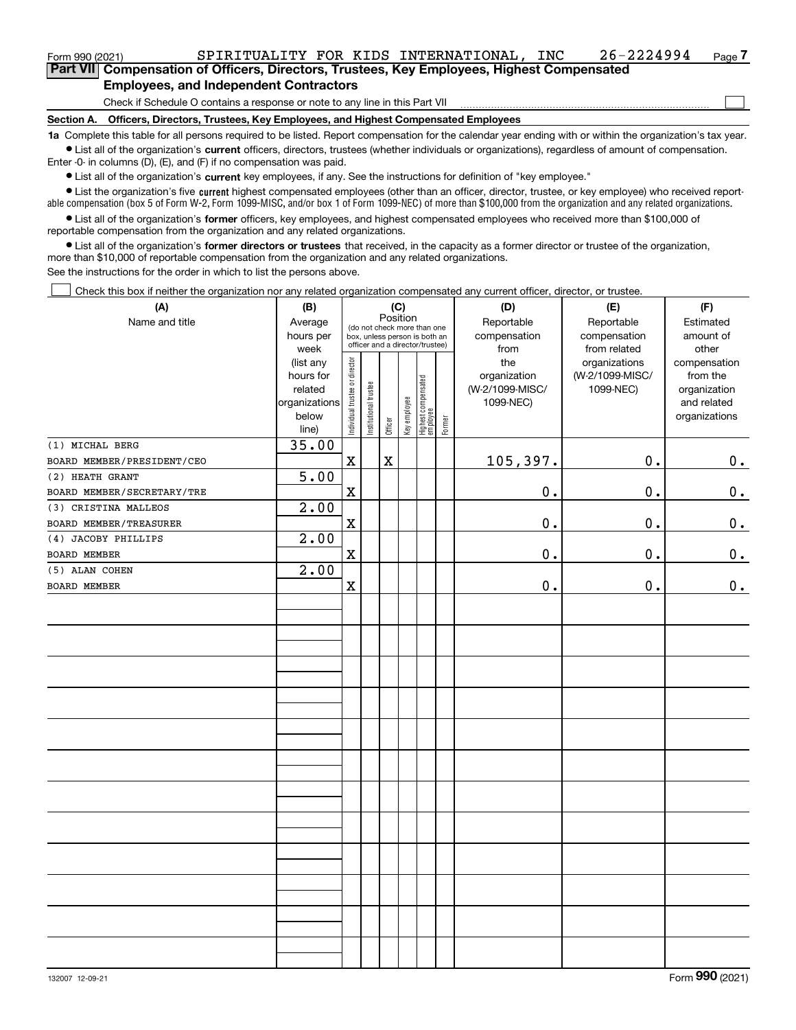| Form 990 (2021)                                                              |                                                                                            |  | SPIRITUALITY FOR KIDS INTERNATIONAL, | INC | 26-2224994 | Page / |  |
|------------------------------------------------------------------------------|--------------------------------------------------------------------------------------------|--|--------------------------------------|-----|------------|--------|--|
|                                                                              | Part VII Compensation of Officers, Directors, Trustees, Key Employees, Highest Compensated |  |                                      |     |            |        |  |
| <b>Employees, and Independent Contractors</b>                                |                                                                                            |  |                                      |     |            |        |  |
| Check if Schedule O contains a response or note to any line in this Part VII |                                                                                            |  |                                      |     |            |        |  |

**Section A. Officers, Directors, Trustees, Key Employees, and Highest Compensated Employees**

**1a**  Complete this table for all persons required to be listed. Report compensation for the calendar year ending with or within the organization's tax year. **•** List all of the organization's current officers, directors, trustees (whether individuals or organizations), regardless of amount of compensation.

Enter -0- in columns (D), (E), and (F) if no compensation was paid.

 $\bullet$  List all of the organization's  $\sf current$  key employees, if any. See the instructions for definition of "key employee."

**•** List the organization's five current highest compensated employees (other than an officer, director, trustee, or key employee) who received reportable compensation (box 5 of Form W-2, Form 1099-MISC, and/or box 1 of Form 1099-NEC) of more than \$100,000 from the organization and any related organizations.

**•** List all of the organization's former officers, key employees, and highest compensated employees who received more than \$100,000 of reportable compensation from the organization and any related organizations.

**former directors or trustees**  ¥ List all of the organization's that received, in the capacity as a former director or trustee of the organization, more than \$10,000 of reportable compensation from the organization and any related organizations.

See the instructions for the order in which to list the persons above.

Check this box if neither the organization nor any related organization compensated any current officer, director, or trustee.  $\mathcal{L}^{\text{max}}$ 

| (A)                        | (B)                                                                          | (C)                            |                                                                                                             |             |              |                                 |        | (D)                                                         | (E)                                                           | (F)                                                                               |
|----------------------------|------------------------------------------------------------------------------|--------------------------------|-------------------------------------------------------------------------------------------------------------|-------------|--------------|---------------------------------|--------|-------------------------------------------------------------|---------------------------------------------------------------|-----------------------------------------------------------------------------------|
| Name and title             | Average<br>hours per                                                         |                                | Position<br>(do not check more than one<br>box, unless person is both an<br>officer and a director/trustee) |             |              |                                 |        | Reportable<br>compensation                                  | Reportable<br>compensation                                    | Estimated<br>amount of                                                            |
|                            | week<br>(list any<br>hours for<br>related<br>organizations<br>below<br>line) | Individual trustee or director | Institutional trustee                                                                                       | Officer     | Key employee | Highest compensated<br>employee | Former | from<br>the<br>organization<br>(W-2/1099-MISC/<br>1099-NEC) | from related<br>organizations<br>(W-2/1099-MISC/<br>1099-NEC) | other<br>compensation<br>from the<br>organization<br>and related<br>organizations |
| (1) MICHAL BERG            | 35.00                                                                        |                                |                                                                                                             |             |              |                                 |        |                                                             |                                                               |                                                                                   |
| BOARD MEMBER/PRESIDENT/CEO |                                                                              | $\mathbf x$                    |                                                                                                             | $\mathbf X$ |              |                                 |        | 105,397.                                                    | 0.                                                            | 0.                                                                                |
| (2) HEATH GRANT            | 5.00                                                                         |                                |                                                                                                             |             |              |                                 |        |                                                             |                                                               |                                                                                   |
| BOARD MEMBER/SECRETARY/TRE |                                                                              | $\mathbf x$                    |                                                                                                             |             |              |                                 |        | $\mathbf 0$ .                                               | $0$ .                                                         | 0.                                                                                |
| (3) CRISTINA MALLEOS       | 2.00                                                                         |                                |                                                                                                             |             |              |                                 |        |                                                             |                                                               |                                                                                   |
| BOARD MEMBER/TREASURER     |                                                                              | $\mathbf x$                    |                                                                                                             |             |              |                                 |        | 0.                                                          | 0.                                                            | 0.                                                                                |
| (4) JACOBY PHILLIPS        | 2.00                                                                         |                                |                                                                                                             |             |              |                                 |        |                                                             |                                                               |                                                                                   |
| BOARD MEMBER               |                                                                              | $\mathbf X$                    |                                                                                                             |             |              |                                 |        | $\mathbf 0$ .                                               | $0$ .                                                         | 0.                                                                                |
| (5) ALAN COHEN             | 2.00                                                                         |                                |                                                                                                             |             |              |                                 |        |                                                             |                                                               |                                                                                   |
| BOARD MEMBER               |                                                                              | $\mathbf X$                    |                                                                                                             |             |              |                                 |        | 0.                                                          | 0.                                                            | 0.                                                                                |
|                            |                                                                              |                                |                                                                                                             |             |              |                                 |        |                                                             |                                                               |                                                                                   |
|                            |                                                                              |                                |                                                                                                             |             |              |                                 |        |                                                             |                                                               |                                                                                   |
|                            |                                                                              |                                |                                                                                                             |             |              |                                 |        |                                                             |                                                               |                                                                                   |
|                            |                                                                              |                                |                                                                                                             |             |              |                                 |        |                                                             |                                                               |                                                                                   |
|                            |                                                                              |                                |                                                                                                             |             |              |                                 |        |                                                             |                                                               |                                                                                   |
|                            |                                                                              |                                |                                                                                                             |             |              |                                 |        |                                                             |                                                               |                                                                                   |
|                            |                                                                              |                                |                                                                                                             |             |              |                                 |        |                                                             |                                                               |                                                                                   |
|                            |                                                                              |                                |                                                                                                             |             |              |                                 |        |                                                             |                                                               |                                                                                   |
|                            |                                                                              |                                |                                                                                                             |             |              |                                 |        |                                                             |                                                               |                                                                                   |
|                            |                                                                              |                                |                                                                                                             |             |              |                                 |        |                                                             |                                                               |                                                                                   |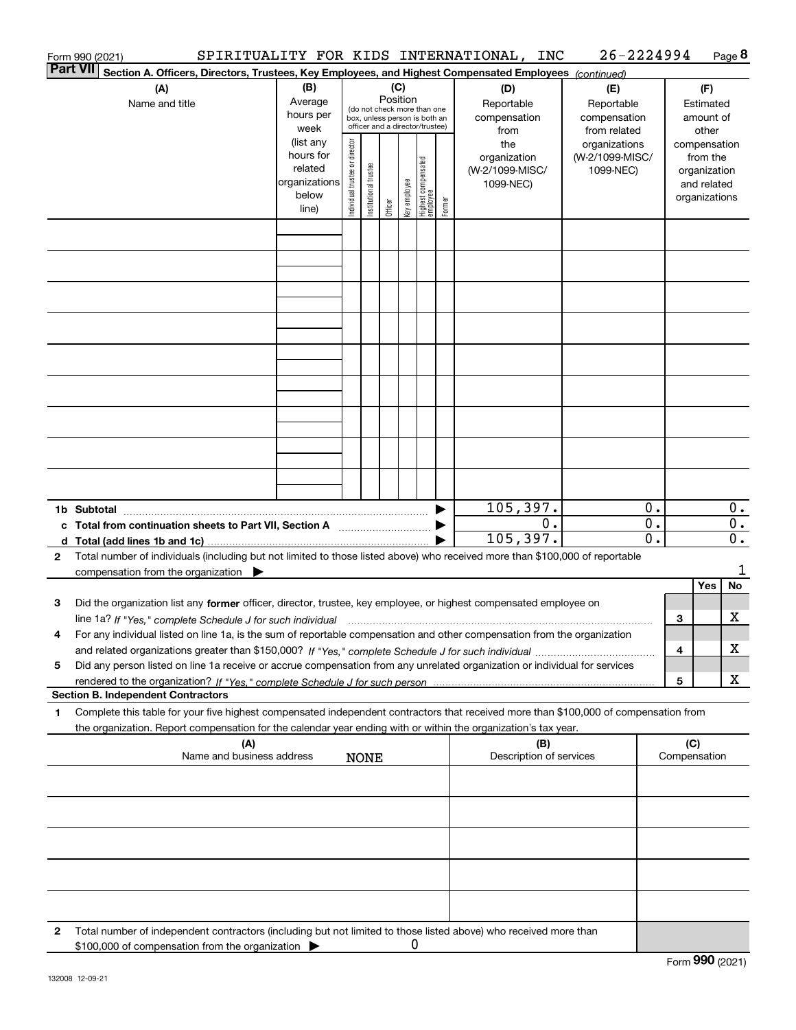|              | Form 990 (2021)                                                                                                                                                                          |                                                                      |                                |                       |                 |              |                                                                                                 |        | SPIRITUALITY FOR KIDS INTERNATIONAL, INC            | 26-2224994                                        |                     |                     |                                                                          | Page 8           |
|--------------|------------------------------------------------------------------------------------------------------------------------------------------------------------------------------------------|----------------------------------------------------------------------|--------------------------------|-----------------------|-----------------|--------------|-------------------------------------------------------------------------------------------------|--------|-----------------------------------------------------|---------------------------------------------------|---------------------|---------------------|--------------------------------------------------------------------------|------------------|
|              | <b>Part VII</b><br>Section A. Officers, Directors, Trustees, Key Employees, and Highest Compensated Employees (continued)                                                                |                                                                      |                                |                       |                 |              |                                                                                                 |        |                                                     |                                                   |                     |                     |                                                                          |                  |
|              | (A)<br>Name and title                                                                                                                                                                    | (B)<br>Average<br>hours per<br>week                                  |                                |                       | (C)<br>Position |              | (do not check more than one<br>box, unless person is both an<br>officer and a director/trustee) |        | (D)<br>Reportable<br>compensation<br>from           | (E)<br>Reportable<br>compensation<br>from related |                     |                     | (F)<br>Estimated<br>amount of<br>other                                   |                  |
|              |                                                                                                                                                                                          | (list any<br>hours for<br>related<br>organizations<br>below<br>line) | Individual trustee or director | Institutional trustee | Officer         | Key employee | Highest compensated<br>  employee                                                               | Former | the<br>organization<br>(W-2/1099-MISC/<br>1099-NEC) | organizations<br>(W-2/1099-MISC/<br>1099-NEC)     |                     |                     | compensation<br>from the<br>organization<br>and related<br>organizations |                  |
|              |                                                                                                                                                                                          |                                                                      |                                |                       |                 |              |                                                                                                 |        |                                                     |                                                   |                     |                     |                                                                          |                  |
|              |                                                                                                                                                                                          |                                                                      |                                |                       |                 |              |                                                                                                 |        |                                                     |                                                   |                     |                     |                                                                          |                  |
|              |                                                                                                                                                                                          |                                                                      |                                |                       |                 |              |                                                                                                 |        |                                                     |                                                   |                     |                     |                                                                          |                  |
|              |                                                                                                                                                                                          |                                                                      |                                |                       |                 |              |                                                                                                 |        |                                                     |                                                   |                     |                     |                                                                          |                  |
|              |                                                                                                                                                                                          |                                                                      |                                |                       |                 |              |                                                                                                 |        |                                                     |                                                   |                     |                     |                                                                          |                  |
|              |                                                                                                                                                                                          |                                                                      |                                |                       |                 |              |                                                                                                 |        |                                                     |                                                   |                     |                     |                                                                          |                  |
|              | 1b Subtotal<br>c Total from continuation sheets to Part VII, Section A                                                                                                                   |                                                                      |                                |                       |                 |              |                                                                                                 |        | 105, 397.<br>0.                                     |                                                   | Ο.<br>$\mathbf 0$ . |                     |                                                                          | О.<br>$0$ .      |
|              |                                                                                                                                                                                          |                                                                      |                                |                       |                 |              |                                                                                                 |        | 105, 397.                                           |                                                   | $\overline{0}$ .    |                     |                                                                          | $\overline{0}$ . |
| $\mathbf{2}$ | Total number of individuals (including but not limited to those listed above) who received more than \$100,000 of reportable<br>compensation from the organization $\blacktriangleright$ |                                                                      |                                |                       |                 |              |                                                                                                 |        |                                                     |                                                   |                     |                     |                                                                          | 1                |
|              |                                                                                                                                                                                          |                                                                      |                                |                       |                 |              |                                                                                                 |        |                                                     |                                                   |                     |                     | <b>Yes</b>                                                               | No               |
| з            | Did the organization list any former officer, director, trustee, key employee, or highest compensated employee on                                                                        |                                                                      |                                |                       |                 |              |                                                                                                 |        |                                                     |                                                   |                     |                     |                                                                          |                  |
|              |                                                                                                                                                                                          |                                                                      |                                |                       |                 |              |                                                                                                 |        |                                                     |                                                   |                     | 3                   |                                                                          | x                |
| 4            | For any individual listed on line 1a, is the sum of reportable compensation and other compensation from the organization                                                                 |                                                                      |                                |                       |                 |              |                                                                                                 |        |                                                     |                                                   |                     | 4                   |                                                                          | x                |
| 5            | Did any person listed on line 1a receive or accrue compensation from any unrelated organization or individual for services                                                               |                                                                      |                                |                       |                 |              |                                                                                                 |        |                                                     |                                                   |                     |                     |                                                                          |                  |
|              |                                                                                                                                                                                          |                                                                      |                                |                       |                 |              |                                                                                                 |        |                                                     |                                                   |                     | 5                   |                                                                          | x                |
| 1            | <b>Section B. Independent Contractors</b><br>Complete this table for your five highest compensated independent contractors that received more than \$100,000 of compensation from        |                                                                      |                                |                       |                 |              |                                                                                                 |        |                                                     |                                                   |                     |                     |                                                                          |                  |
|              | the organization. Report compensation for the calendar year ending with or within the organization's tax year.                                                                           |                                                                      |                                |                       |                 |              |                                                                                                 |        |                                                     |                                                   |                     |                     |                                                                          |                  |
|              | (A)<br>Name and business address                                                                                                                                                         |                                                                      |                                | <b>NONE</b>           |                 |              |                                                                                                 |        | (B)<br>Description of services                      |                                                   |                     | (C)<br>Compensation |                                                                          |                  |
|              |                                                                                                                                                                                          |                                                                      |                                |                       |                 |              |                                                                                                 |        |                                                     |                                                   |                     |                     |                                                                          |                  |
|              |                                                                                                                                                                                          |                                                                      |                                |                       |                 |              |                                                                                                 |        |                                                     |                                                   |                     |                     |                                                                          |                  |
|              |                                                                                                                                                                                          |                                                                      |                                |                       |                 |              |                                                                                                 |        |                                                     |                                                   |                     |                     |                                                                          |                  |
|              |                                                                                                                                                                                          |                                                                      |                                |                       |                 |              |                                                                                                 |        |                                                     |                                                   |                     |                     |                                                                          |                  |
| 2            | Total number of independent contractors (including but not limited to those listed above) who received more than<br>\$100,000 of compensation from the organization                      |                                                                      |                                |                       |                 | 0            |                                                                                                 |        |                                                     |                                                   |                     |                     |                                                                          |                  |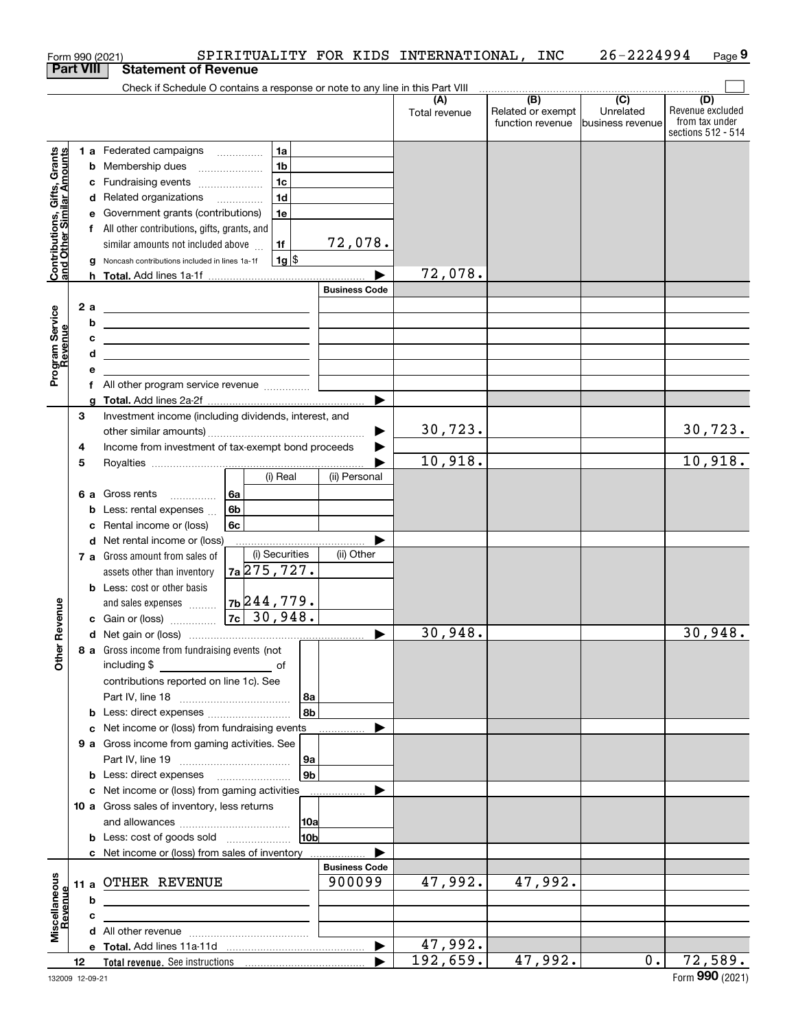|                                                           |    |    | Form 990 (2021)                                                               |                |                 |                      | SPIRITUALITY FOR KIDS INTERNATIONAL, | INC                                                                                         | 26-2224994                    | Page 9                                                          |
|-----------------------------------------------------------|----|----|-------------------------------------------------------------------------------|----------------|-----------------|----------------------|--------------------------------------|---------------------------------------------------------------------------------------------|-------------------------------|-----------------------------------------------------------------|
| <b>Part VIII</b>                                          |    |    | <b>Statement of Revenue</b>                                                   |                |                 |                      |                                      |                                                                                             |                               |                                                                 |
|                                                           |    |    | Check if Schedule O contains a response or note to any line in this Part VIII |                |                 |                      |                                      | $\begin{array}{c c c c c} \hline \text{ } & \text{(B)} & \text{ } & \text{(C)} \end{array}$ |                               |                                                                 |
|                                                           |    |    |                                                                               |                |                 |                      | (A)<br>Total revenue                 | Related or exempt<br>function revenue                                                       | Unrelated<br>business revenue | (D)<br>Revenue excluded<br>from tax under<br>sections 512 - 514 |
|                                                           |    |    | 1 a Federated campaigns                                                       |                | 1a              |                      |                                      |                                                                                             |                               |                                                                 |
| Contributions, Gifts, Grants<br>and Other Similar Amounts |    |    | <b>b</b> Membership dues                                                      |                | 1 <sub>b</sub>  |                      |                                      |                                                                                             |                               |                                                                 |
|                                                           |    |    | c Fundraising events                                                          |                | 1 <sub>c</sub>  |                      |                                      |                                                                                             |                               |                                                                 |
|                                                           |    |    | d Related organizations                                                       |                | 1 <sub>d</sub>  |                      |                                      |                                                                                             |                               |                                                                 |
|                                                           |    |    | e Government grants (contributions)                                           |                | 1e              |                      |                                      |                                                                                             |                               |                                                                 |
|                                                           |    |    | f All other contributions, gifts, grants, and                                 |                |                 |                      |                                      |                                                                                             |                               |                                                                 |
|                                                           |    |    | similar amounts not included above                                            |                | 1f              | 72,078.              |                                      |                                                                                             |                               |                                                                 |
|                                                           |    | g  | Noncash contributions included in lines 1a-1f                                 |                | $1g$ \$         |                      |                                      |                                                                                             |                               |                                                                 |
|                                                           |    |    |                                                                               |                |                 |                      | 72,078.                              |                                                                                             |                               |                                                                 |
|                                                           |    |    |                                                                               |                |                 | <b>Business Code</b> |                                      |                                                                                             |                               |                                                                 |
|                                                           |    | 2a | <u> 1989 - Johann Stein, mars an de Brazilia (b. 1989)</u>                    |                |                 |                      |                                      |                                                                                             |                               |                                                                 |
| Program Service<br>Revenue                                |    | b  | <u> 1989 - Johann Stein, mars an de Brasilia (b. 1989)</u>                    |                |                 |                      |                                      |                                                                                             |                               |                                                                 |
|                                                           |    | с  | <u> 1989 - Johann Barn, amerikansk politiker (</u>                            |                |                 |                      |                                      |                                                                                             |                               |                                                                 |
|                                                           |    | d  | <u> 1989 - Johann Stein, mars an de Brasilia (b. 1989)</u>                    |                |                 |                      |                                      |                                                                                             |                               |                                                                 |
|                                                           |    | е  |                                                                               |                |                 |                      |                                      |                                                                                             |                               |                                                                 |
|                                                           |    |    |                                                                               |                |                 |                      |                                      |                                                                                             |                               |                                                                 |
|                                                           |    | a  |                                                                               |                |                 |                      |                                      |                                                                                             |                               |                                                                 |
|                                                           | 3  |    | Investment income (including dividends, interest, and                         |                |                 |                      |                                      |                                                                                             |                               |                                                                 |
|                                                           |    |    |                                                                               |                |                 |                      | 30, 723.                             |                                                                                             |                               | 30, 723.                                                        |
|                                                           | 4  |    | Income from investment of tax-exempt bond proceeds                            |                |                 |                      |                                      |                                                                                             |                               |                                                                 |
|                                                           | 5  |    |                                                                               |                |                 |                      | 10,918.                              |                                                                                             |                               | 10,918.                                                         |
|                                                           |    |    |                                                                               |                | (i) Real        | (ii) Personal        |                                      |                                                                                             |                               |                                                                 |
|                                                           |    |    | 6 a Gross rents                                                               | l 6a           |                 |                      |                                      |                                                                                             |                               |                                                                 |
|                                                           |    |    | <b>b</b> Less: rental expenses                                                | 6 <sub>b</sub> |                 |                      |                                      |                                                                                             |                               |                                                                 |
|                                                           |    |    | c Rental income or (loss)                                                     | 6c             |                 |                      |                                      |                                                                                             |                               |                                                                 |
|                                                           |    |    | d Net rental income or (loss)                                                 |                |                 |                      |                                      |                                                                                             |                               |                                                                 |
|                                                           |    |    | 7 a Gross amount from sales of                                                |                | (i) Securities  | (ii) Other           |                                      |                                                                                             |                               |                                                                 |
|                                                           |    |    | assets other than inventory                                                   |                | $7a$ 275, 727.  |                      |                                      |                                                                                             |                               |                                                                 |
|                                                           |    |    | <b>b</b> Less: cost or other basis                                            |                |                 |                      |                                      |                                                                                             |                               |                                                                 |
|                                                           |    |    | and sales expenses                                                            |                | $7b$ 244,779.   |                      |                                      |                                                                                             |                               |                                                                 |
| evenue                                                    |    |    | c Gain or (loss)                                                              |                | $7c$ 30,948.    |                      |                                      |                                                                                             |                               |                                                                 |
| Œ                                                         |    |    |                                                                               |                |                 |                      | 30,948.                              |                                                                                             |                               | 30,948.                                                         |
| Other                                                     |    |    | 8 a Gross income from fundraising events (not                                 |                |                 |                      |                                      |                                                                                             |                               |                                                                 |
|                                                           |    |    | including \$<br><u>of</u> of                                                  |                |                 |                      |                                      |                                                                                             |                               |                                                                 |
|                                                           |    |    | contributions reported on line 1c). See                                       |                |                 |                      |                                      |                                                                                             |                               |                                                                 |
|                                                           |    |    |                                                                               |                | 8a              |                      |                                      |                                                                                             |                               |                                                                 |
|                                                           |    |    |                                                                               |                | 8b              |                      |                                      |                                                                                             |                               |                                                                 |
|                                                           |    |    | c Net income or (loss) from fundraising events                                |                |                 |                      |                                      |                                                                                             |                               |                                                                 |
|                                                           |    |    | 9 a Gross income from gaming activities. See                                  |                |                 |                      |                                      |                                                                                             |                               |                                                                 |
|                                                           |    |    |                                                                               |                | 9a              |                      |                                      |                                                                                             |                               |                                                                 |
|                                                           |    |    | <b>b</b> Less: direct expenses <b>manually</b>                                |                | 9 <sub>b</sub>  |                      |                                      |                                                                                             |                               |                                                                 |
|                                                           |    |    | c Net income or (loss) from gaming activities                                 |                |                 |                      |                                      |                                                                                             |                               |                                                                 |
|                                                           |    |    | 10 a Gross sales of inventory, less returns                                   |                |                 |                      |                                      |                                                                                             |                               |                                                                 |
|                                                           |    |    |                                                                               |                | 10a             |                      |                                      |                                                                                             |                               |                                                                 |
|                                                           |    |    |                                                                               |                | 10 <sub>b</sub> |                      |                                      |                                                                                             |                               |                                                                 |
|                                                           |    |    | c Net income or (loss) from sales of inventory                                |                |                 |                      |                                      |                                                                                             |                               |                                                                 |
|                                                           |    |    |                                                                               |                |                 | <b>Business Code</b> |                                      |                                                                                             |                               |                                                                 |
| Miscellaneous<br>Revenue                                  |    |    | 11 a OTHER REVENUE                                                            |                |                 | 900099               | 47,992.                              | 47,992.                                                                                     |                               |                                                                 |
|                                                           |    | b  |                                                                               |                |                 |                      |                                      |                                                                                             |                               |                                                                 |
|                                                           |    | с  |                                                                               |                |                 |                      |                                      |                                                                                             |                               |                                                                 |
|                                                           |    |    |                                                                               |                |                 |                      |                                      |                                                                                             |                               |                                                                 |
|                                                           |    |    |                                                                               |                |                 |                      | 47,992.                              |                                                                                             |                               |                                                                 |
|                                                           | 12 |    |                                                                               |                |                 |                      | 192,659.                             | 47,992.                                                                                     | $0$ .                         | 72,589.                                                         |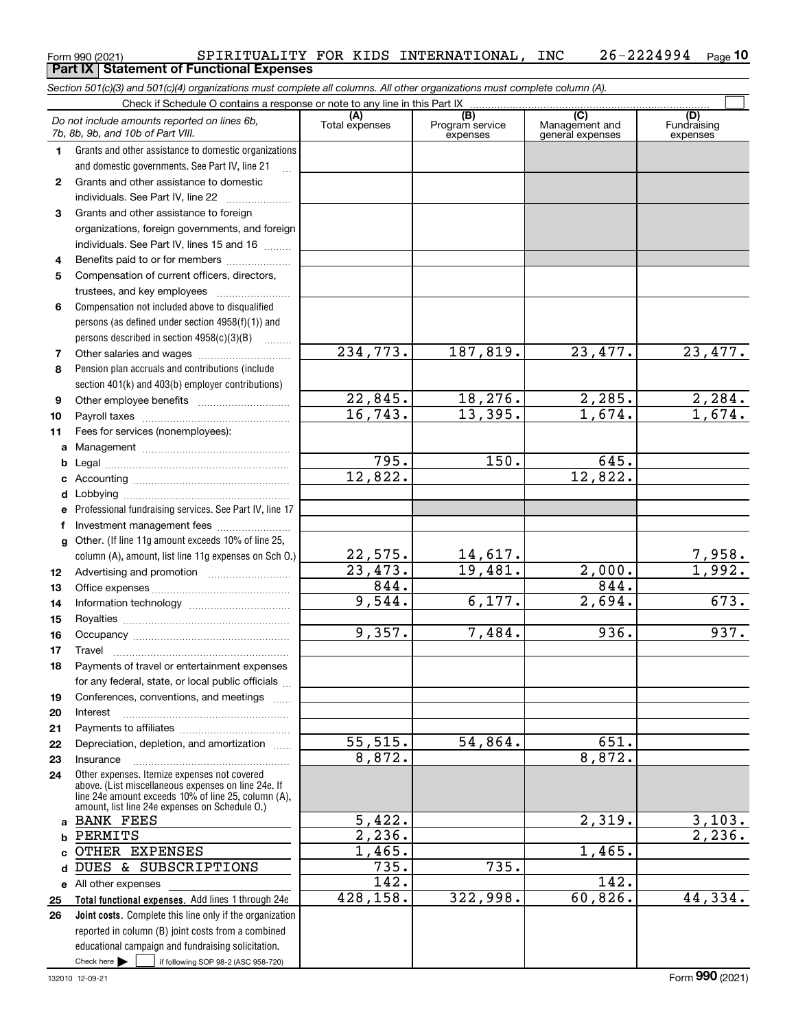|    | Do not include amounts reported on lines 6b,                                                               | (A)<br>Total expenses | $\overline{(B)}$<br>Program service | (C)<br>Management and | (D)<br>Fundraising   |
|----|------------------------------------------------------------------------------------------------------------|-----------------------|-------------------------------------|-----------------------|----------------------|
|    | 7b, 8b, 9b, and 10b of Part VIII.                                                                          |                       | expenses                            | general expenses      | expenses             |
| 1. | Grants and other assistance to domestic organizations                                                      |                       |                                     |                       |                      |
|    | and domestic governments. See Part IV, line 21                                                             |                       |                                     |                       |                      |
| 2  | Grants and other assistance to domestic                                                                    |                       |                                     |                       |                      |
|    | individuals. See Part IV, line 22<br>$\overline{\phantom{a}}$                                              |                       |                                     |                       |                      |
| 3  | Grants and other assistance to foreign                                                                     |                       |                                     |                       |                      |
|    | organizations, foreign governments, and foreign                                                            |                       |                                     |                       |                      |
|    | individuals. See Part IV, lines 15 and 16                                                                  |                       |                                     |                       |                      |
| 4  | Benefits paid to or for members                                                                            |                       |                                     |                       |                      |
| 5  | Compensation of current officers, directors,                                                               |                       |                                     |                       |                      |
|    |                                                                                                            |                       |                                     |                       |                      |
| 6  | Compensation not included above to disqualified                                                            |                       |                                     |                       |                      |
|    | persons (as defined under section 4958(f)(1)) and                                                          |                       |                                     |                       |                      |
|    | persons described in section $4958(c)(3)(B)$                                                               |                       |                                     |                       |                      |
| 7  | Other salaries and wages                                                                                   | 234,773.              | 187,819.                            | 23,477.               | 23, 477.             |
| 8  | Pension plan accruals and contributions (include                                                           |                       |                                     |                       |                      |
|    | section 401(k) and 403(b) employer contributions)                                                          |                       |                                     |                       |                      |
| 9  |                                                                                                            | 22,845.<br>16, 743.   | 18,276.<br>13,395.                  | 2,285.<br>1,674.      | 2,284.<br>1,674.     |
| 10 |                                                                                                            |                       |                                     |                       |                      |
| 11 | Fees for services (nonemployees):                                                                          |                       |                                     |                       |                      |
| a  |                                                                                                            | 795.                  | 150.                                | 645.                  |                      |
| b  |                                                                                                            | 12,822.               |                                     | 12,822.               |                      |
| c  |                                                                                                            |                       |                                     |                       |                      |
| d  |                                                                                                            |                       |                                     |                       |                      |
| е  | Professional fundraising services. See Part IV, line 17                                                    |                       |                                     |                       |                      |
| f  | Investment management fees<br>Other. (If line 11g amount exceeds 10% of line 25,                           |                       |                                     |                       |                      |
| g  | column (A), amount, list line 11g expenses on Sch O.)                                                      | 22,575.               |                                     |                       | <u>7,958.</u>        |
| 12 |                                                                                                            | 23,473.               | $\frac{14,617.}{19,481.}$           | 2,000.                | 1,992.               |
| 13 |                                                                                                            | 844.                  |                                     | 844.                  |                      |
| 14 |                                                                                                            | 9,544.                | 6,177.                              | 2,694.                | 673.                 |
| 15 |                                                                                                            |                       |                                     |                       |                      |
| 16 |                                                                                                            | 9,357.                | 7,484.                              | 936.                  | 937.                 |
| 17 | Travel                                                                                                     |                       |                                     |                       |                      |
| 18 | Payments of travel or entertainment expenses                                                               |                       |                                     |                       |                      |
|    | for any federal, state, or local public officials                                                          |                       |                                     |                       |                      |
| 19 | Conferences, conventions, and meetings                                                                     |                       |                                     |                       |                      |
| 20 | Interest                                                                                                   |                       |                                     |                       |                      |
| 21 |                                                                                                            |                       |                                     |                       |                      |
| 22 | Depreciation, depletion, and amortization                                                                  | 55, 515.              | 54,864.                             | 651.                  |                      |
| 23 | Insurance                                                                                                  | 8,872.                |                                     | 8,872.                |                      |
| 24 | Other expenses. Itemize expenses not covered                                                               |                       |                                     |                       |                      |
|    | above. (List miscellaneous expenses on line 24e. If<br>line 24e amount exceeds 10% of line 25, column (A), |                       |                                     |                       |                      |
|    | amount, list line 24e expenses on Schedule O.)                                                             |                       |                                     |                       |                      |
|    | <b>BANK FEES</b>                                                                                           | 5,422.                |                                     | 2,319.                | 3,103.               |
|    | PERMITS                                                                                                    | 2,236.                |                                     |                       | $\overline{2,236}$ . |
|    | OTHER EXPENSES                                                                                             | 1,465.                |                                     | 1,465.                |                      |
| d  | DUES & SUBSCRIPTIONS                                                                                       | 735.                  | 735.                                |                       |                      |
|    | e All other expenses                                                                                       | 142.                  |                                     | 142.                  |                      |
| 25 | Total functional expenses. Add lines 1 through 24e                                                         | 428,158.              | 322,998.                            | 60,826.               | 44,334.              |
| 26 | Joint costs. Complete this line only if the organization                                                   |                       |                                     |                       |                      |
|    | reported in column (B) joint costs from a combined                                                         |                       |                                     |                       |                      |
|    | educational campaign and fundraising solicitation.                                                         |                       |                                     |                       |                      |

### Form 990 (2021) SPIRITUALITY FOR KIDS INTERNATIONAL, INC 26-2224994 Page **10 Part IX Statement of Functional Expenses**

*Section 501(c)(3) and 501(c)(4) organizations must complete all columns. All other organizations must complete column (A).*

Check if Schedule O contains a response or note to any line in this Part IX

132010 12-09-21  $Check here$ 

Check here  $\bullet$  if following SOP 98-2 (ASC 958-720)

 $\mathcal{L}^{\text{max}}$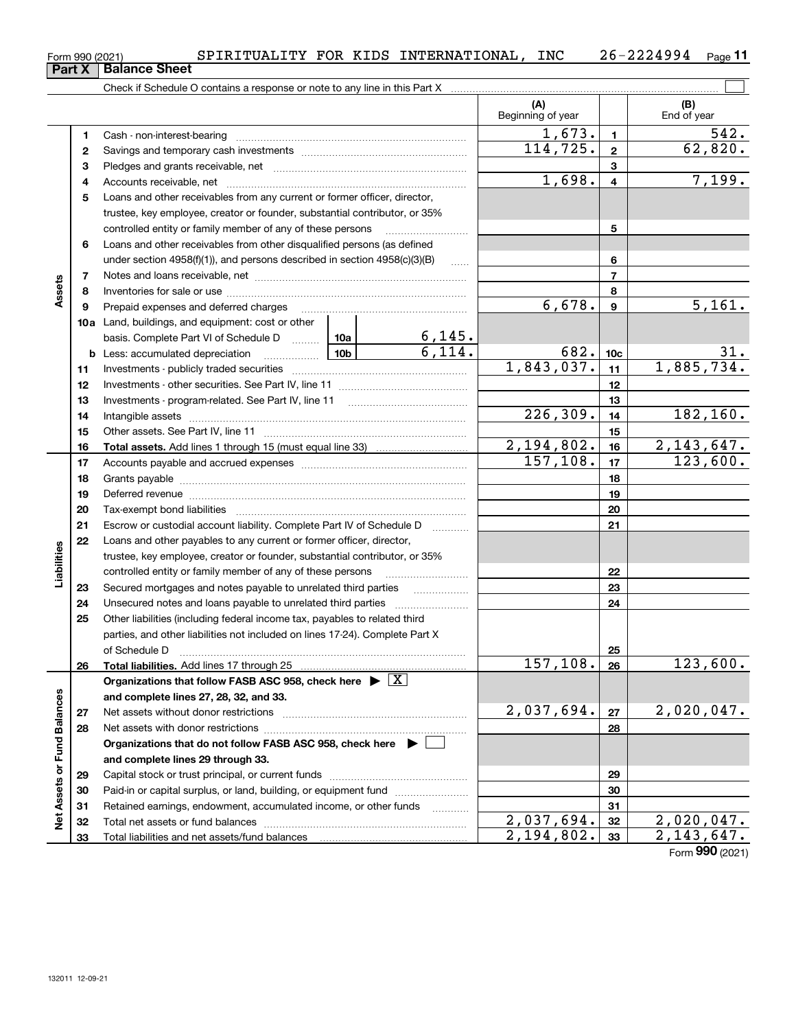**25**

**26**

**2728**

**Net Assets or Fund Balances**

Net Assets or Fund Balances

|             |              | SPIRITUALITY FOR KIDS INTERNATIONAL, INC                                                                                                                                                                                       |              |               |                          |                 | $26 - 2224994$ Page 11   |
|-------------|--------------|--------------------------------------------------------------------------------------------------------------------------------------------------------------------------------------------------------------------------------|--------------|---------------|--------------------------|-----------------|--------------------------|
|             | Part X       | Form 990 (2021)<br><b>Balance Sheet</b>                                                                                                                                                                                        |              |               |                          |                 |                          |
|             |              | Check if Schedule O contains a response or note to any line in this Part X                                                                                                                                                     |              |               |                          |                 |                          |
|             |              |                                                                                                                                                                                                                                |              |               | (A)<br>Beginning of year |                 | (B)<br>End of year       |
|             | 1.           |                                                                                                                                                                                                                                |              |               | 1,673.                   | 1               | 542.                     |
|             | $\mathbf{2}$ |                                                                                                                                                                                                                                |              |               | 114, 725.                | $\mathbf{2}$    | 62,820.                  |
|             | 3            |                                                                                                                                                                                                                                |              |               |                          | 3               |                          |
|             | 4            |                                                                                                                                                                                                                                |              |               | 1,698.                   | 4               | 7,199.                   |
|             | 5            | Loans and other receivables from any current or former officer, director,                                                                                                                                                      |              |               |                          |                 |                          |
|             |              | trustee, key employee, creator or founder, substantial contributor, or 35%                                                                                                                                                     |              |               |                          |                 |                          |
|             |              | controlled entity or family member of any of these persons                                                                                                                                                                     |              |               |                          | 5               |                          |
|             | 6            | Loans and other receivables from other disqualified persons (as defined                                                                                                                                                        |              |               |                          |                 |                          |
|             |              | under section $4958(f)(1)$ , and persons described in section $4958(c)(3)(B)$                                                                                                                                                  | <b>Salar</b> |               | 6                        |                 |                          |
|             | 7            |                                                                                                                                                                                                                                |              |               | $\overline{7}$           |                 |                          |
| Assets      | 8            |                                                                                                                                                                                                                                |              |               | 8                        |                 |                          |
|             | 9            | Prepaid expenses and deferred charges [11] [11] prepaid expenses and deferred charges [11] [11] present and the Prepaid expenses and deferred charges [11] and the Prepaid experiment of Prepaid experiment and the Prepaid ex |              |               | 6,678.                   | 9               | 5,161.                   |
|             |              | <b>10a</b> Land, buildings, and equipment: cost or other                                                                                                                                                                       |              |               |                          |                 |                          |
|             |              | basis. Complete Part VI of Schedule D  10a                                                                                                                                                                                     |              | <u>6,145.</u> |                          |                 |                          |
|             |              | <u>  10b</u> 10m<br><b>b</b> Less: accumulated depreciation                                                                                                                                                                    |              | 6,114.        | 682.                     | 10 <sub>c</sub> | 31.                      |
|             | 11           |                                                                                                                                                                                                                                |              |               | 1,843,037.               | 11              | 1,885,734.               |
|             | 12           |                                                                                                                                                                                                                                |              |               |                          | 12              |                          |
|             | 13           |                                                                                                                                                                                                                                |              |               |                          | 13              |                          |
|             | 14           |                                                                                                                                                                                                                                |              |               | 226, 309.                | 14              | 182, 160.                |
|             | 15           |                                                                                                                                                                                                                                |              |               |                          | 15              |                          |
|             | 16           |                                                                                                                                                                                                                                |              |               | 2,194,802.<br>157, 108.  | 16              | 2, 143, 647.<br>123,600. |
|             | 17<br>18     |                                                                                                                                                                                                                                |              |               |                          | 17<br>18        |                          |
|             | 19           |                                                                                                                                                                                                                                |              |               |                          | 19              |                          |
|             | 20           |                                                                                                                                                                                                                                |              |               |                          | 20              |                          |
|             | 21           | Escrow or custodial account liability. Complete Part IV of Schedule D                                                                                                                                                          |              |               |                          | 21              |                          |
|             | 22           | Loans and other payables to any current or former officer, director,                                                                                                                                                           |              |               |                          |                 |                          |
| Liabilities |              | trustee, key employee, creator or founder, substantial contributor, or 35%                                                                                                                                                     |              |               |                          |                 |                          |
|             |              | controlled entity or family member of any of these persons                                                                                                                                                                     |              |               |                          | 22              |                          |
|             | 23           | Secured mortgages and notes payable to unrelated third parties                                                                                                                                                                 |              |               |                          | 23              |                          |
|             | 24           |                                                                                                                                                                                                                                |              |               |                          | 24              |                          |
|             |              |                                                                                                                                                                                                                                |              |               |                          |                 |                          |

**Total liabilities.**  Add lines 17 through 25

Net assets without donor restrictions ~~~~~~~~~~~~~~~~~~~~ Net assets with donor restrictions ~~~~~~~~~~~~~~~~~~~~~~

Capital stock or trust principal, or current funds ~~~~~~~~~~~~~~~ Paid-in or capital surplus, or land, building, or equipment fund www.commun.com Retained earnings, endowment, accumulated income, or other funds we have all the Total net assets or fund balances ~~~~~~~~~~~~~~~~~~~~~~

**Organizations that do not follow FASB ASC 958, check here** |

**Organizations that follow FASB ASC 958, check here** | X

Other liabilities (including federal income tax, payables to related third parties, and other liabilities not included on lines 17-24). Complete Part X of Schedule D ~~~~~~~~~~~~~~~~~~~~~~~~~~~~~~~

**and complete lines 27, 28, 32, and 33.**

**and complete lines 29 through 33.**

Total liabilities and net assets/fund balances

1,673. 542.

**2526**

 $157, 108. |26| 123, 600.$ 

**2728**

 $2,037,694.$   $27$   $2,020,047.$ 

 $2,037,694.$   $32$   $2,020,047.$  $2,194,802.$  33  $2,143,647.$ 

Form (2021) **990**

| Form 990 (2021) |  |  |
|-----------------|--|--|
|-----------------|--|--|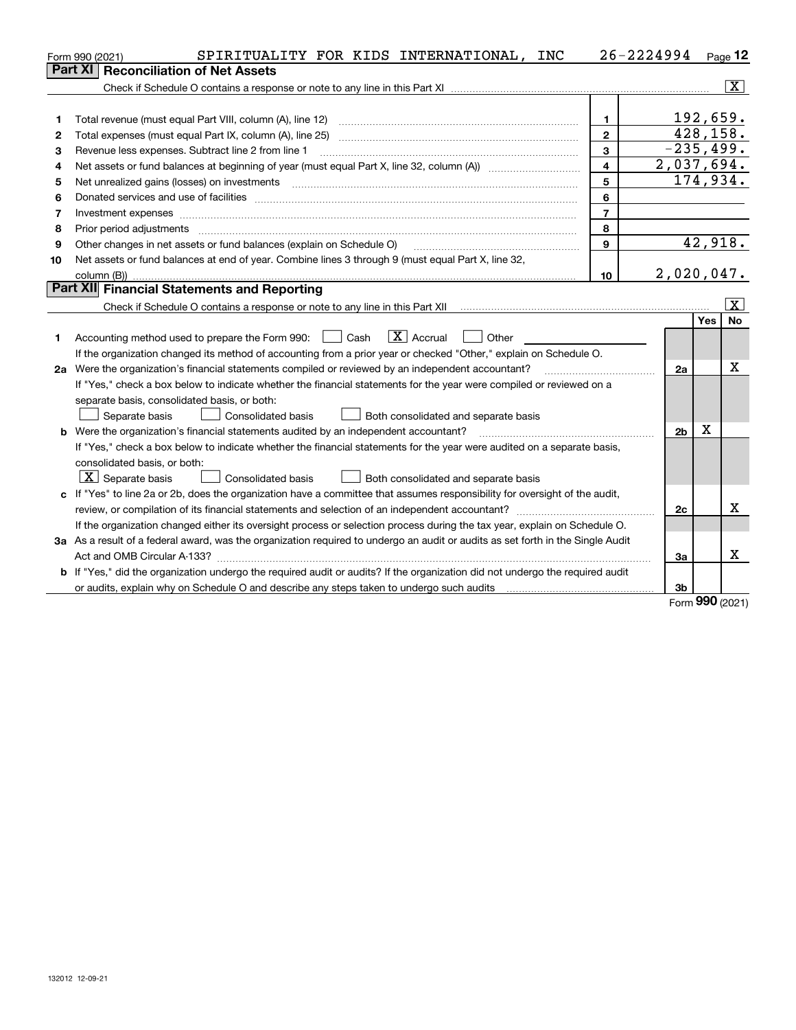|    | SPIRITUALITY FOR KIDS INTERNATIONAL, INC<br>Form 990 (2021)                                                                     |                         | $26 - 2224994$ Page 12 |           |                       |
|----|---------------------------------------------------------------------------------------------------------------------------------|-------------------------|------------------------|-----------|-----------------------|
|    | <b>Reconciliation of Net Assets</b><br>Part XI                                                                                  |                         |                        |           |                       |
|    |                                                                                                                                 |                         |                        |           | $\vert$ X $\vert$     |
|    |                                                                                                                                 |                         |                        |           |                       |
| 1  | Total revenue (must equal Part VIII, column (A), line 12)                                                                       | $\mathbf{1}$            |                        | 192,659.  |                       |
| 2  | Total expenses (must equal Part IX, column (A), line 25)                                                                        | $\overline{2}$          |                        | 428, 158. |                       |
| З  | Revenue less expenses. Subtract line 2 from line 1                                                                              | 3                       | $-235, 499.$           |           |                       |
| 4  |                                                                                                                                 | $\overline{\mathbf{4}}$ | 2,037,694.             |           |                       |
| 5  | Net unrealized gains (losses) on investments                                                                                    | 5                       |                        |           | 174,934.              |
| 6  |                                                                                                                                 | 6                       |                        |           |                       |
| 7  |                                                                                                                                 | $\overline{7}$          |                        |           |                       |
| 8  | Prior period adjustments                                                                                                        | 8                       |                        |           |                       |
| 9  | Other changes in net assets or fund balances (explain on Schedule O)                                                            | $\mathbf{9}$            |                        |           | 42,918.               |
| 10 | Net assets or fund balances at end of year. Combine lines 3 through 9 (must equal Part X, line 32,                              |                         |                        |           |                       |
|    |                                                                                                                                 | 10                      | 2,020,047.             |           |                       |
|    | Part XII Financial Statements and Reporting                                                                                     |                         |                        |           |                       |
|    |                                                                                                                                 |                         |                        |           | $\overline{\text{X}}$ |
|    |                                                                                                                                 |                         |                        | Yes       | No                    |
| 1. | $ X $ Accrual<br>  Cash<br>Other<br>Accounting method used to prepare the Form 990:                                             |                         |                        |           |                       |
|    | If the organization changed its method of accounting from a prior year or checked "Other," explain on Schedule O.               |                         |                        |           |                       |
|    | 2a Were the organization's financial statements compiled or reviewed by an independent accountant?                              |                         | 2a                     |           | х                     |
|    | If "Yes," check a box below to indicate whether the financial statements for the year were compiled or reviewed on a            |                         |                        |           |                       |
|    | separate basis, consolidated basis, or both:                                                                                    |                         |                        |           |                       |
|    | Separate basis<br><b>Consolidated basis</b><br>Both consolidated and separate basis                                             |                         |                        |           |                       |
|    | <b>b</b> Were the organization's financial statements audited by an independent accountant?                                     |                         | 2 <sub>b</sub>         | Χ         |                       |
|    | If "Yes," check a box below to indicate whether the financial statements for the year were audited on a separate basis,         |                         |                        |           |                       |
|    | consolidated basis, or both:                                                                                                    |                         |                        |           |                       |
|    | $X$ Separate basis<br><b>Consolidated basis</b><br>Both consolidated and separate basis                                         |                         |                        |           |                       |
|    | c If "Yes" to line 2a or 2b, does the organization have a committee that assumes responsibility for oversight of the audit,     |                         |                        |           |                       |
|    |                                                                                                                                 |                         | 2c                     |           | x                     |
|    | If the organization changed either its oversight process or selection process during the tax year, explain on Schedule O.       |                         |                        |           |                       |
|    | 3a As a result of a federal award, was the organization required to undergo an audit or audits as set forth in the Single Audit |                         |                        |           |                       |
|    |                                                                                                                                 |                         | За                     |           | x                     |
|    | b If "Yes," did the organization undergo the required audit or audits? If the organization did not undergo the required audit   |                         |                        |           |                       |
|    |                                                                                                                                 |                         | 3b                     |           |                       |

Form (2021) **990**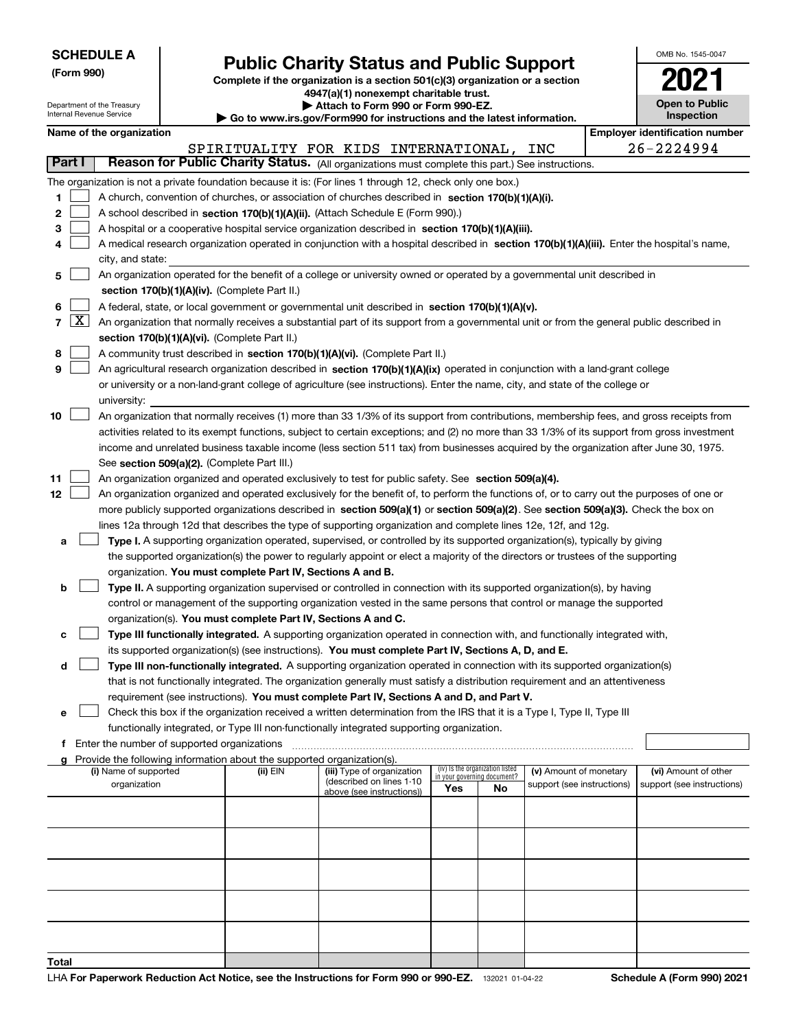| <b>SCHEDULE A</b><br>(Form 990)<br>Department of the Treasury<br>Internal Revenue Service |                                                                                                                                                                                                                                                                                                                                                                                                                                                                                                                                                       | <b>Public Charity Status and Public Support</b><br>Complete if the organization is a section 501(c)(3) organization or a section<br>4947(a)(1) nonexempt charitable trust.<br>Attach to Form 990 or Form 990-EZ.<br>Go to www.irs.gov/Form990 for instructions and the latest information. |                                    |    |                            |  |                                       |  |  |  |
|-------------------------------------------------------------------------------------------|-------------------------------------------------------------------------------------------------------------------------------------------------------------------------------------------------------------------------------------------------------------------------------------------------------------------------------------------------------------------------------------------------------------------------------------------------------------------------------------------------------------------------------------------------------|--------------------------------------------------------------------------------------------------------------------------------------------------------------------------------------------------------------------------------------------------------------------------------------------|------------------------------------|----|----------------------------|--|---------------------------------------|--|--|--|
| Name of the organization                                                                  |                                                                                                                                                                                                                                                                                                                                                                                                                                                                                                                                                       |                                                                                                                                                                                                                                                                                            |                                    |    |                            |  | <b>Employer identification number</b> |  |  |  |
|                                                                                           |                                                                                                                                                                                                                                                                                                                                                                                                                                                                                                                                                       | SPIRITUALITY FOR KIDS INTERNATIONAL,                                                                                                                                                                                                                                                       |                                    |    | INC                        |  | 26-2224994                            |  |  |  |
| Part I                                                                                    | Reason for Public Charity Status. (All organizations must complete this part.) See instructions.                                                                                                                                                                                                                                                                                                                                                                                                                                                      |                                                                                                                                                                                                                                                                                            |                                    |    |                            |  |                                       |  |  |  |
| 1<br>$\mathbf{2}$<br>з<br>4<br>city, and state:                                           | The organization is not a private foundation because it is: (For lines 1 through 12, check only one box.)<br>A church, convention of churches, or association of churches described in section 170(b)(1)(A)(i).<br>A school described in section 170(b)(1)(A)(ii). (Attach Schedule E (Form 990).)<br>A hospital or a cooperative hospital service organization described in section 170(b)(1)(A)(iii).<br>A medical research organization operated in conjunction with a hospital described in section 170(b)(1)(A)(iii). Enter the hospital's name, |                                                                                                                                                                                                                                                                                            |                                    |    |                            |  |                                       |  |  |  |
| 5                                                                                         | An organization operated for the benefit of a college or university owned or operated by a governmental unit described in                                                                                                                                                                                                                                                                                                                                                                                                                             |                                                                                                                                                                                                                                                                                            |                                    |    |                            |  |                                       |  |  |  |
|                                                                                           | section 170(b)(1)(A)(iv). (Complete Part II.)                                                                                                                                                                                                                                                                                                                                                                                                                                                                                                         |                                                                                                                                                                                                                                                                                            |                                    |    |                            |  |                                       |  |  |  |
| 6                                                                                         | A federal, state, or local government or governmental unit described in section 170(b)(1)(A)(v).                                                                                                                                                                                                                                                                                                                                                                                                                                                      |                                                                                                                                                                                                                                                                                            |                                    |    |                            |  |                                       |  |  |  |
| $\lfloor x \rfloor$<br>$\overline{7}$                                                     | An organization that normally receives a substantial part of its support from a governmental unit or from the general public described in                                                                                                                                                                                                                                                                                                                                                                                                             |                                                                                                                                                                                                                                                                                            |                                    |    |                            |  |                                       |  |  |  |
|                                                                                           | section 170(b)(1)(A)(vi). (Complete Part II.)                                                                                                                                                                                                                                                                                                                                                                                                                                                                                                         |                                                                                                                                                                                                                                                                                            |                                    |    |                            |  |                                       |  |  |  |
| 8<br>9                                                                                    | A community trust described in section 170(b)(1)(A)(vi). (Complete Part II.)<br>An agricultural research organization described in section 170(b)(1)(A)(ix) operated in conjunction with a land-grant college                                                                                                                                                                                                                                                                                                                                         |                                                                                                                                                                                                                                                                                            |                                    |    |                            |  |                                       |  |  |  |
|                                                                                           | or university or a non-land-grant college of agriculture (see instructions). Enter the name, city, and state of the college or                                                                                                                                                                                                                                                                                                                                                                                                                        |                                                                                                                                                                                                                                                                                            |                                    |    |                            |  |                                       |  |  |  |
| university:                                                                               |                                                                                                                                                                                                                                                                                                                                                                                                                                                                                                                                                       |                                                                                                                                                                                                                                                                                            |                                    |    |                            |  |                                       |  |  |  |
| 10                                                                                        | An organization that normally receives (1) more than 33 1/3% of its support from contributions, membership fees, and gross receipts from<br>activities related to its exempt functions, subject to certain exceptions; and (2) no more than 33 1/3% of its support from gross investment<br>income and unrelated business taxable income (less section 511 tax) from businesses acquired by the organization after June 30, 1975.<br>See section 509(a)(2). (Complete Part III.)                                                                      |                                                                                                                                                                                                                                                                                            |                                    |    |                            |  |                                       |  |  |  |
| 11                                                                                        | An organization organized and operated exclusively to test for public safety. See section 509(a)(4).                                                                                                                                                                                                                                                                                                                                                                                                                                                  |                                                                                                                                                                                                                                                                                            |                                    |    |                            |  |                                       |  |  |  |
| 12                                                                                        | An organization organized and operated exclusively for the benefit of, to perform the functions of, or to carry out the purposes of one or                                                                                                                                                                                                                                                                                                                                                                                                            |                                                                                                                                                                                                                                                                                            |                                    |    |                            |  |                                       |  |  |  |
|                                                                                           | more publicly supported organizations described in section 509(a)(1) or section 509(a)(2). See section 509(a)(3). Check the box on                                                                                                                                                                                                                                                                                                                                                                                                                    |                                                                                                                                                                                                                                                                                            |                                    |    |                            |  |                                       |  |  |  |
|                                                                                           | lines 12a through 12d that describes the type of supporting organization and complete lines 12e, 12f, and 12g.                                                                                                                                                                                                                                                                                                                                                                                                                                        |                                                                                                                                                                                                                                                                                            |                                    |    |                            |  |                                       |  |  |  |
| a                                                                                         | Type I. A supporting organization operated, supervised, or controlled by its supported organization(s), typically by giving<br>the supported organization(s) the power to regularly appoint or elect a majority of the directors or trustees of the supporting                                                                                                                                                                                                                                                                                        |                                                                                                                                                                                                                                                                                            |                                    |    |                            |  |                                       |  |  |  |
|                                                                                           | organization. You must complete Part IV, Sections A and B.                                                                                                                                                                                                                                                                                                                                                                                                                                                                                            |                                                                                                                                                                                                                                                                                            |                                    |    |                            |  |                                       |  |  |  |
| b                                                                                         | Type II. A supporting organization supervised or controlled in connection with its supported organization(s), by having                                                                                                                                                                                                                                                                                                                                                                                                                               |                                                                                                                                                                                                                                                                                            |                                    |    |                            |  |                                       |  |  |  |
|                                                                                           | control or management of the supporting organization vested in the same persons that control or manage the supported                                                                                                                                                                                                                                                                                                                                                                                                                                  |                                                                                                                                                                                                                                                                                            |                                    |    |                            |  |                                       |  |  |  |
|                                                                                           | organization(s). You must complete Part IV, Sections A and C.                                                                                                                                                                                                                                                                                                                                                                                                                                                                                         |                                                                                                                                                                                                                                                                                            |                                    |    |                            |  |                                       |  |  |  |
| с                                                                                         | Type III functionally integrated. A supporting organization operated in connection with, and functionally integrated with,                                                                                                                                                                                                                                                                                                                                                                                                                            |                                                                                                                                                                                                                                                                                            |                                    |    |                            |  |                                       |  |  |  |
|                                                                                           | its supported organization(s) (see instructions). You must complete Part IV, Sections A, D, and E.                                                                                                                                                                                                                                                                                                                                                                                                                                                    |                                                                                                                                                                                                                                                                                            |                                    |    |                            |  |                                       |  |  |  |
| d                                                                                         | Type III non-functionally integrated. A supporting organization operated in connection with its supported organization(s)                                                                                                                                                                                                                                                                                                                                                                                                                             |                                                                                                                                                                                                                                                                                            |                                    |    |                            |  |                                       |  |  |  |
|                                                                                           | that is not functionally integrated. The organization generally must satisfy a distribution requirement and an attentiveness                                                                                                                                                                                                                                                                                                                                                                                                                          |                                                                                                                                                                                                                                                                                            |                                    |    |                            |  |                                       |  |  |  |
|                                                                                           | requirement (see instructions). You must complete Part IV, Sections A and D, and Part V.                                                                                                                                                                                                                                                                                                                                                                                                                                                              |                                                                                                                                                                                                                                                                                            |                                    |    |                            |  |                                       |  |  |  |
| е                                                                                         | Check this box if the organization received a written determination from the IRS that it is a Type I, Type II, Type III                                                                                                                                                                                                                                                                                                                                                                                                                               |                                                                                                                                                                                                                                                                                            |                                    |    |                            |  |                                       |  |  |  |
|                                                                                           | functionally integrated, or Type III non-functionally integrated supporting organization.                                                                                                                                                                                                                                                                                                                                                                                                                                                             |                                                                                                                                                                                                                                                                                            |                                    |    |                            |  |                                       |  |  |  |
| f.                                                                                        | Enter the number of supported organizations<br>Provide the following information about the supported organization(s).                                                                                                                                                                                                                                                                                                                                                                                                                                 |                                                                                                                                                                                                                                                                                            |                                    |    |                            |  |                                       |  |  |  |
| (i) Name of supported                                                                     | (ii) EIN                                                                                                                                                                                                                                                                                                                                                                                                                                                                                                                                              | (iii) Type of organization                                                                                                                                                                                                                                                                 | (iv) Is the organization listed    |    | (v) Amount of monetary     |  | (vi) Amount of other                  |  |  |  |
| organization                                                                              |                                                                                                                                                                                                                                                                                                                                                                                                                                                                                                                                                       | (described on lines 1-10<br>above (see instructions))                                                                                                                                                                                                                                      | in your governing document?<br>Yes | No | support (see instructions) |  | support (see instructions)            |  |  |  |
|                                                                                           |                                                                                                                                                                                                                                                                                                                                                                                                                                                                                                                                                       |                                                                                                                                                                                                                                                                                            |                                    |    |                            |  |                                       |  |  |  |

**Total**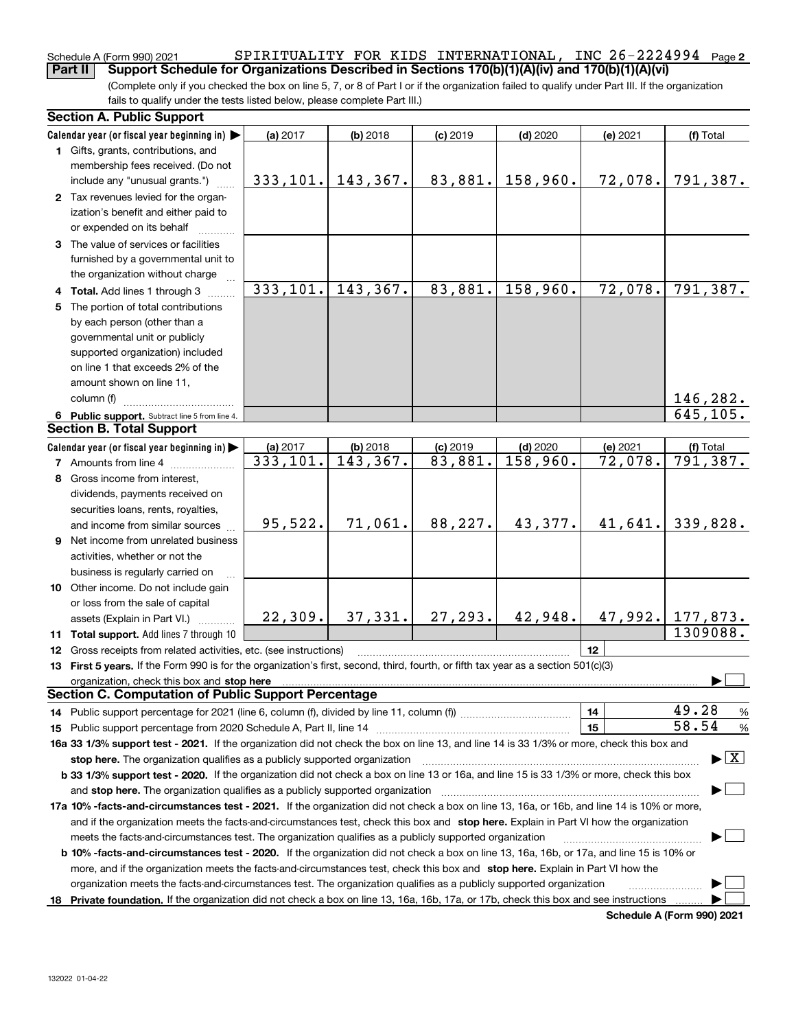### **2** Schedule A (Form 990) 2021 Page SPIRITUALITY FOR KIDS INTERNATIONAL, INC 26-2224994**Part II Support Schedule for Organizations Described in Sections 170(b)(1)(A)(iv) and 170(b)(1)(A)(vi)**

(Complete only if you checked the box on line 5, 7, or 8 of Part I or if the organization failed to qualify under Part III. If the organization fails to qualify under the tests listed below, please complete Part III.)

|   | <b>Section A. Public Support</b>                                                                                                                                                                                                                                                             |           |            |            |            |          |                                          |
|---|----------------------------------------------------------------------------------------------------------------------------------------------------------------------------------------------------------------------------------------------------------------------------------------------|-----------|------------|------------|------------|----------|------------------------------------------|
|   | Calendar year (or fiscal year beginning in)                                                                                                                                                                                                                                                  | (a) 2017  | $(b)$ 2018 | $(c)$ 2019 | $(d)$ 2020 | (e) 2021 | (f) Total                                |
|   | 1 Gifts, grants, contributions, and                                                                                                                                                                                                                                                          |           |            |            |            |          |                                          |
|   | membership fees received. (Do not                                                                                                                                                                                                                                                            |           |            |            |            |          |                                          |
|   | include any "unusual grants.")                                                                                                                                                                                                                                                               | 333, 101. | 143,367.   | 83,881.    | 158,960.   | 72,078.  | 791,387.                                 |
|   | 2 Tax revenues levied for the organ-                                                                                                                                                                                                                                                         |           |            |            |            |          |                                          |
|   | ization's benefit and either paid to                                                                                                                                                                                                                                                         |           |            |            |            |          |                                          |
|   | or expended on its behalf                                                                                                                                                                                                                                                                    |           |            |            |            |          |                                          |
|   | 3 The value of services or facilities                                                                                                                                                                                                                                                        |           |            |            |            |          |                                          |
|   | furnished by a governmental unit to                                                                                                                                                                                                                                                          |           |            |            |            |          |                                          |
|   | the organization without charge                                                                                                                                                                                                                                                              |           |            |            |            |          |                                          |
|   | 4 Total. Add lines 1 through 3                                                                                                                                                                                                                                                               | 333,101.  | 143,367.   | 83,881.    | 158,960.   | 72,078.  | 791,387.                                 |
| 5 | The portion of total contributions                                                                                                                                                                                                                                                           |           |            |            |            |          |                                          |
|   | by each person (other than a                                                                                                                                                                                                                                                                 |           |            |            |            |          |                                          |
|   | governmental unit or publicly                                                                                                                                                                                                                                                                |           |            |            |            |          |                                          |
|   | supported organization) included                                                                                                                                                                                                                                                             |           |            |            |            |          |                                          |
|   | on line 1 that exceeds 2% of the                                                                                                                                                                                                                                                             |           |            |            |            |          |                                          |
|   | amount shown on line 11,                                                                                                                                                                                                                                                                     |           |            |            |            |          |                                          |
|   | column (f)                                                                                                                                                                                                                                                                                   |           |            |            |            |          | 146,282.                                 |
|   | 6 Public support. Subtract line 5 from line 4.                                                                                                                                                                                                                                               |           |            |            |            |          | 645, 105.                                |
|   | <b>Section B. Total Support</b>                                                                                                                                                                                                                                                              |           |            |            |            |          |                                          |
|   | Calendar year (or fiscal year beginning in) $\blacktriangleright$                                                                                                                                                                                                                            | (a) 2017  | $(b)$ 2018 | $(c)$ 2019 | $(d)$ 2020 | (e) 2021 | (f) Total                                |
|   | <b>7</b> Amounts from line 4                                                                                                                                                                                                                                                                 | 333,101.  | 143,367.   | 83,881.    | 158,960.   | 72,078.  | 791, 387.                                |
| 8 | Gross income from interest.                                                                                                                                                                                                                                                                  |           |            |            |            |          |                                          |
|   | dividends, payments received on                                                                                                                                                                                                                                                              |           |            |            |            |          |                                          |
|   | securities loans, rents, royalties,                                                                                                                                                                                                                                                          |           |            |            |            |          |                                          |
|   | and income from similar sources                                                                                                                                                                                                                                                              | 95,522.   | 71,061.    | 88,227.    | 43,377.    | 41,641.  | 339,828.                                 |
|   | <b>9</b> Net income from unrelated business                                                                                                                                                                                                                                                  |           |            |            |            |          |                                          |
|   | activities, whether or not the                                                                                                                                                                                                                                                               |           |            |            |            |          |                                          |
|   | business is regularly carried on                                                                                                                                                                                                                                                             |           |            |            |            |          |                                          |
|   | 10 Other income. Do not include gain                                                                                                                                                                                                                                                         |           |            |            |            |          |                                          |
|   | or loss from the sale of capital                                                                                                                                                                                                                                                             |           |            |            |            |          |                                          |
|   |                                                                                                                                                                                                                                                                                              | 22, 309.  | 37, 331.   | 27, 293.   | 42,948.    |          | 47, 992.   177, 873.                     |
|   | assets (Explain in Part VI.)                                                                                                                                                                                                                                                                 |           |            |            |            |          | 1309088.                                 |
|   | 11 Total support. Add lines 7 through 10                                                                                                                                                                                                                                                     |           |            |            |            | 12       |                                          |
|   | 12 Gross receipts from related activities, etc. (see instructions)                                                                                                                                                                                                                           |           |            |            |            |          |                                          |
|   | 13 First 5 years. If the Form 990 is for the organization's first, second, third, fourth, or fifth tax year as a section 501(c)(3)                                                                                                                                                           |           |            |            |            |          |                                          |
|   | organization, check this box and stop here manufactured and according to the state of the state of the state of the state of the state of the state of the state of the state of the state of the state of the state of the st<br><b>Section C. Computation of Public Support Percentage</b> |           |            |            |            |          |                                          |
|   |                                                                                                                                                                                                                                                                                              |           |            |            |            | 14       | 49.28                                    |
|   | 14 Public support percentage for 2021 (line 6, column (f), divided by line 11, column (f) <i>marroummaname</i>                                                                                                                                                                               |           |            |            |            | 15       | %<br>58.54<br>%                          |
|   | 16a 33 1/3% support test - 2021. If the organization did not check the box on line 13, and line 14 is 33 1/3% or more, check this box and                                                                                                                                                    |           |            |            |            |          |                                          |
|   | stop here. The organization qualifies as a publicly supported organization                                                                                                                                                                                                                   |           |            |            |            |          | $\blacktriangleright$ $\boxed{\text{X}}$ |
|   | b 33 1/3% support test - 2020. If the organization did not check a box on line 13 or 16a, and line 15 is 33 1/3% or more, check this box                                                                                                                                                     |           |            |            |            |          |                                          |
|   |                                                                                                                                                                                                                                                                                              |           |            |            |            |          |                                          |
|   | and stop here. The organization qualifies as a publicly supported organization                                                                                                                                                                                                               |           |            |            |            |          |                                          |
|   | 17a 10% -facts-and-circumstances test - 2021. If the organization did not check a box on line 13, 16a, or 16b, and line 14 is 10% or more,                                                                                                                                                   |           |            |            |            |          |                                          |
|   | and if the organization meets the facts-and-circumstances test, check this box and stop here. Explain in Part VI how the organization                                                                                                                                                        |           |            |            |            |          |                                          |
|   | meets the facts-and-circumstances test. The organization qualifies as a publicly supported organization                                                                                                                                                                                      |           |            |            |            |          |                                          |
|   | <b>b 10% -facts-and-circumstances test - 2020.</b> If the organization did not check a box on line 13, 16a, 16b, or 17a, and line 15 is 10% or                                                                                                                                               |           |            |            |            |          |                                          |
|   | more, and if the organization meets the facts-and-circumstances test, check this box and stop here. Explain in Part VI how the                                                                                                                                                               |           |            |            |            |          |                                          |
|   | organization meets the facts-and-circumstances test. The organization qualifies as a publicly supported organization                                                                                                                                                                         |           |            |            |            |          |                                          |
|   | 18 Private foundation. If the organization did not check a box on line 13, 16a, 16b, 17a, or 17b, check this box and see instructions                                                                                                                                                        |           |            |            |            |          |                                          |

**Schedule A (Form 990) 2021**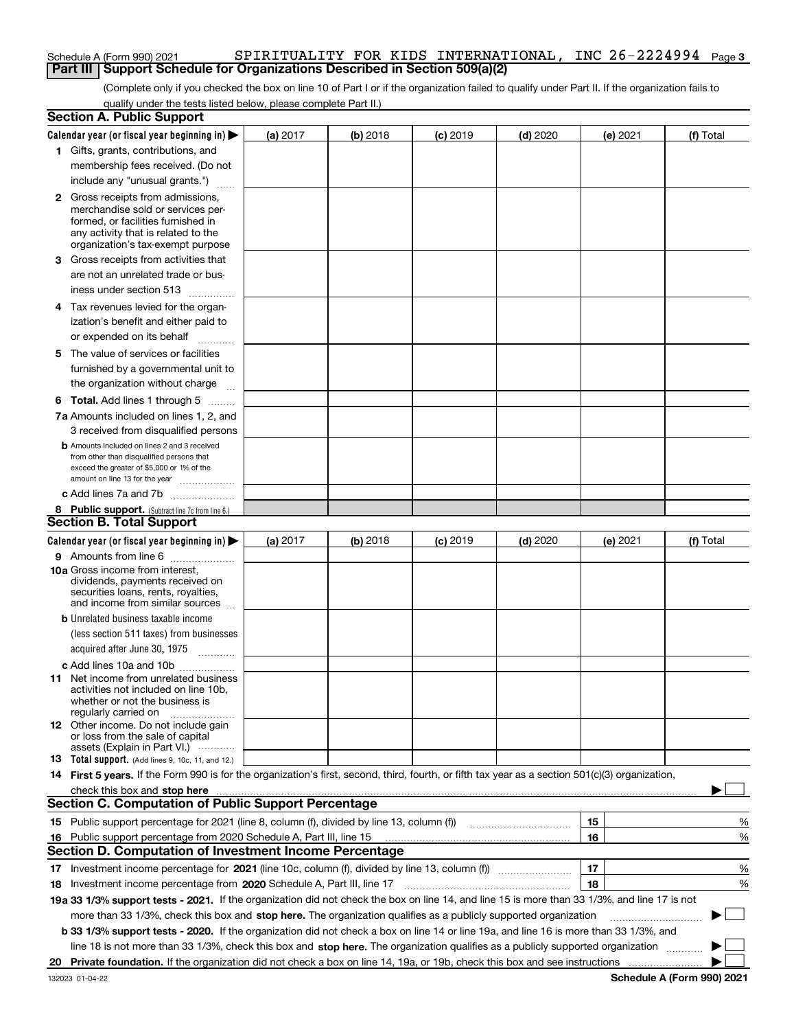### Schedule A (Form 990) 2021 SPIRITUALITY FOR KIDS INTERNATIONAL, INC 26-2224994 Page **3 Part III Support Schedule for Organizations Described in Section 509(a)(2)**

(Complete only if you checked the box on line 10 of Part I or if the organization failed to qualify under Part II. If the organization fails to qualify under the tests listed below, please complete Part II.)

| <b>Section A. Public Support</b>           |                                                                                                                                                  |          |          |                 |                                                      |          |           |
|--------------------------------------------|--------------------------------------------------------------------------------------------------------------------------------------------------|----------|----------|-----------------|------------------------------------------------------|----------|-----------|
|                                            | Calendar year (or fiscal year beginning in) $\blacktriangleright$                                                                                | (a) 2017 | (b) 2018 | $(c)$ 2019      | $(d)$ 2020                                           | (e) 2021 | (f) Total |
| 1 Gifts, grants, contributions, and        |                                                                                                                                                  |          |          |                 |                                                      |          |           |
|                                            | membership fees received. (Do not                                                                                                                |          |          |                 |                                                      |          |           |
|                                            | include any "unusual grants.")                                                                                                                   |          |          |                 |                                                      |          |           |
| <b>2</b> Gross receipts from admissions,   |                                                                                                                                                  |          |          |                 |                                                      |          |           |
|                                            | merchandise sold or services per-                                                                                                                |          |          |                 |                                                      |          |           |
|                                            | formed, or facilities furnished in                                                                                                               |          |          |                 |                                                      |          |           |
|                                            | any activity that is related to the<br>organization's tax-exempt purpose                                                                         |          |          |                 |                                                      |          |           |
|                                            | 3 Gross receipts from activities that                                                                                                            |          |          |                 |                                                      |          |           |
|                                            | are not an unrelated trade or bus-                                                                                                               |          |          |                 |                                                      |          |           |
| iness under section 513                    |                                                                                                                                                  |          |          |                 |                                                      |          |           |
|                                            |                                                                                                                                                  |          |          |                 |                                                      |          |           |
|                                            | 4 Tax revenues levied for the organ-                                                                                                             |          |          |                 |                                                      |          |           |
|                                            | ization's benefit and either paid to                                                                                                             |          |          |                 |                                                      |          |           |
| or expended on its behalf                  | .                                                                                                                                                |          |          |                 |                                                      |          |           |
| 5 The value of services or facilities      |                                                                                                                                                  |          |          |                 |                                                      |          |           |
|                                            | furnished by a governmental unit to                                                                                                              |          |          |                 |                                                      |          |           |
|                                            | the organization without charge                                                                                                                  |          |          |                 |                                                      |          |           |
|                                            | <b>6 Total.</b> Add lines 1 through 5                                                                                                            |          |          |                 |                                                      |          |           |
|                                            | 7a Amounts included on lines 1, 2, and                                                                                                           |          |          |                 |                                                      |          |           |
|                                            | 3 received from disqualified persons                                                                                                             |          |          |                 |                                                      |          |           |
|                                            | <b>b</b> Amounts included on lines 2 and 3 received                                                                                              |          |          |                 |                                                      |          |           |
|                                            | from other than disqualified persons that<br>exceed the greater of \$5,000 or 1% of the                                                          |          |          |                 |                                                      |          |           |
|                                            | amount on line 13 for the year                                                                                                                   |          |          |                 |                                                      |          |           |
|                                            | c Add lines 7a and 7b                                                                                                                            |          |          |                 |                                                      |          |           |
|                                            | 8 Public support. (Subtract line 7c from line 6.)                                                                                                |          |          |                 |                                                      |          |           |
| <b>Section B. Total Support</b>            |                                                                                                                                                  |          |          |                 |                                                      |          |           |
|                                            | Calendar year (or fiscal year beginning in) $\blacktriangleright$                                                                                | (a) 2017 | (b) 2018 | <b>(c)</b> 2019 | $(d)$ 2020                                           | (e) 2021 | (f) Total |
|                                            | 9 Amounts from line 6                                                                                                                            |          |          |                 |                                                      |          |           |
| 10a Gross income from interest,            |                                                                                                                                                  |          |          |                 |                                                      |          |           |
|                                            | dividends, payments received on                                                                                                                  |          |          |                 |                                                      |          |           |
|                                            | securities loans, rents, royalties,<br>and income from similar sources                                                                           |          |          |                 |                                                      |          |           |
| <b>b</b> Unrelated business taxable income |                                                                                                                                                  |          |          |                 |                                                      |          |           |
|                                            | (less section 511 taxes) from businesses                                                                                                         |          |          |                 |                                                      |          |           |
| acquired after June 30, 1975               |                                                                                                                                                  |          |          |                 |                                                      |          |           |
|                                            |                                                                                                                                                  |          |          |                 |                                                      |          |           |
|                                            | c Add lines 10a and 10b<br>11 Net income from unrelated business                                                                                 |          |          |                 |                                                      |          |           |
|                                            | activities not included on line 10b,                                                                                                             |          |          |                 |                                                      |          |           |
|                                            | whether or not the business is                                                                                                                   |          |          |                 |                                                      |          |           |
| regularly carried on                       |                                                                                                                                                  |          |          |                 |                                                      |          |           |
|                                            | 12 Other income. Do not include gain<br>or loss from the sale of capital                                                                         |          |          |                 |                                                      |          |           |
|                                            | assets (Explain in Part VI.)                                                                                                                     |          |          |                 |                                                      |          |           |
|                                            | <b>13</b> Total support. (Add lines 9, 10c, 11, and 12.)                                                                                         |          |          |                 |                                                      |          |           |
|                                            | 14 First 5 years. If the Form 990 is for the organization's first, second, third, fourth, or fifth tax year as a section 501(c)(3) organization, |          |          |                 |                                                      |          |           |
|                                            | check this box and stop here measurements are constructed as the state of the state of the state of the state o                                  |          |          |                 |                                                      |          |           |
|                                            | <b>Section C. Computation of Public Support Percentage</b>                                                                                       |          |          |                 |                                                      |          |           |
|                                            | 15 Public support percentage for 2021 (line 8, column (f), divided by line 13, column (f))                                                       |          |          |                 | <u> 1986 - Johann Stoff, Amerikaansk politiker (</u> | 15       | %         |
|                                            | 16 Public support percentage from 2020 Schedule A, Part III, line 15                                                                             |          |          |                 |                                                      | 16       | %         |
|                                            | <b>Section D. Computation of Investment Income Percentage</b>                                                                                    |          |          |                 |                                                      |          |           |
|                                            |                                                                                                                                                  |          |          |                 |                                                      | 17       | %         |
|                                            | 18 Investment income percentage from 2020 Schedule A, Part III, line 17                                                                          |          |          |                 |                                                      | 18       | %         |
|                                            | 19a 33 1/3% support tests - 2021. If the organization did not check the box on line 14, and line 15 is more than 33 1/3%, and line 17 is not     |          |          |                 |                                                      |          |           |
|                                            | more than 33 1/3%, check this box and stop here. The organization qualifies as a publicly supported organization                                 |          |          |                 |                                                      |          | ▶         |
|                                            | b 33 1/3% support tests - 2020. If the organization did not check a box on line 14 or line 19a, and line 16 is more than 33 1/3%, and            |          |          |                 |                                                      |          |           |
|                                            | line 18 is not more than 33 1/3%, check this box and stop here. The organization qualifies as a publicly supported organization                  |          |          |                 |                                                      |          |           |
| 20                                         |                                                                                                                                                  |          |          |                 |                                                      |          |           |
|                                            |                                                                                                                                                  |          |          |                 |                                                      |          |           |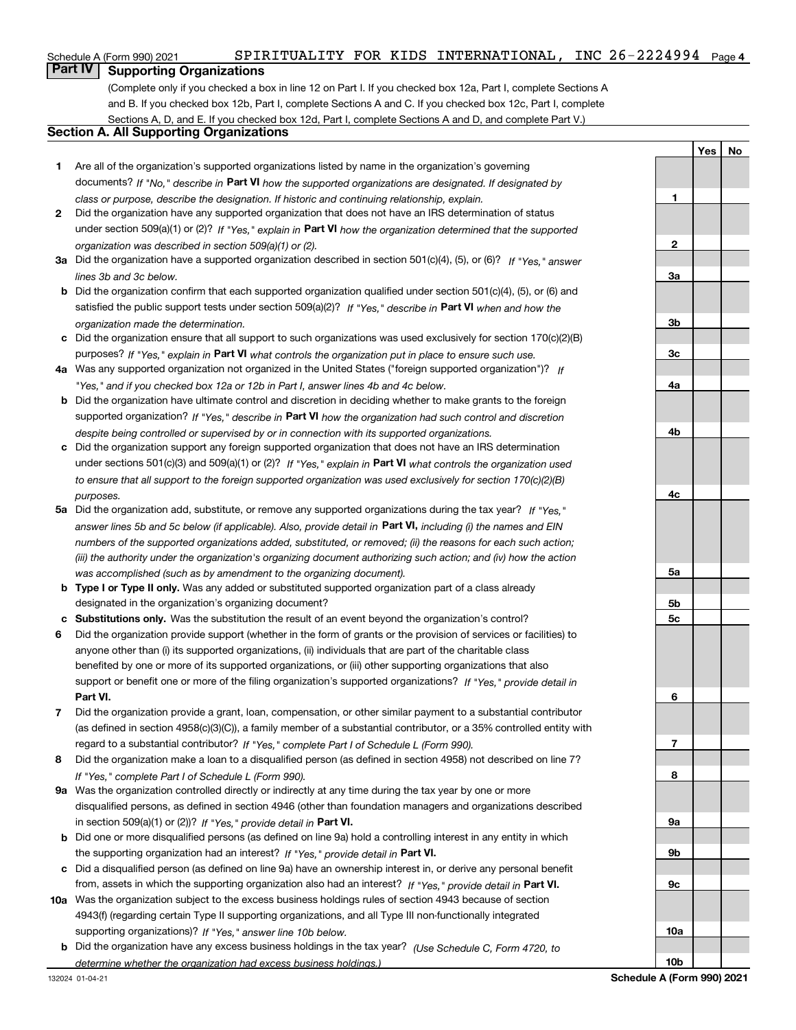## **Part IV Supporting Organizations**

(Complete only if you checked a box in line 12 on Part I. If you checked box 12a, Part I, complete Sections A and B. If you checked box 12b, Part I, complete Sections A and C. If you checked box 12c, Part I, complete Sections A, D, and E. If you checked box 12d, Part I, complete Sections A and D, and complete Part V.)

### **Section A. All Supporting Organizations**

- **1** Are all of the organization's supported organizations listed by name in the organization's governing documents? If "No," describe in **Part VI** how the supported organizations are designated. If designated by *class or purpose, describe the designation. If historic and continuing relationship, explain.*
- **2** Did the organization have any supported organization that does not have an IRS determination of status under section 509(a)(1) or (2)? If "Yes," explain in Part VI how the organization determined that the supported *organization was described in section 509(a)(1) or (2).*
- **3a** Did the organization have a supported organization described in section 501(c)(4), (5), or (6)? If "Yes," answer *lines 3b and 3c below.*
- **b** Did the organization confirm that each supported organization qualified under section 501(c)(4), (5), or (6) and satisfied the public support tests under section 509(a)(2)? If "Yes," describe in **Part VI** when and how the *organization made the determination.*
- **c**Did the organization ensure that all support to such organizations was used exclusively for section 170(c)(2)(B) purposes? If "Yes," explain in **Part VI** what controls the organization put in place to ensure such use.
- **4a***If* Was any supported organization not organized in the United States ("foreign supported organization")? *"Yes," and if you checked box 12a or 12b in Part I, answer lines 4b and 4c below.*
- **b** Did the organization have ultimate control and discretion in deciding whether to make grants to the foreign supported organization? If "Yes," describe in **Part VI** how the organization had such control and discretion *despite being controlled or supervised by or in connection with its supported organizations.*
- **c** Did the organization support any foreign supported organization that does not have an IRS determination under sections 501(c)(3) and 509(a)(1) or (2)? If "Yes," explain in **Part VI** what controls the organization used *to ensure that all support to the foreign supported organization was used exclusively for section 170(c)(2)(B) purposes.*
- **5a***If "Yes,"* Did the organization add, substitute, or remove any supported organizations during the tax year? answer lines 5b and 5c below (if applicable). Also, provide detail in **Part VI,** including (i) the names and EIN *numbers of the supported organizations added, substituted, or removed; (ii) the reasons for each such action; (iii) the authority under the organization's organizing document authorizing such action; and (iv) how the action was accomplished (such as by amendment to the organizing document).*
- **b** Type I or Type II only. Was any added or substituted supported organization part of a class already designated in the organization's organizing document?
- **cSubstitutions only.**  Was the substitution the result of an event beyond the organization's control?
- **6** Did the organization provide support (whether in the form of grants or the provision of services or facilities) to **Part VI.** *If "Yes," provide detail in* support or benefit one or more of the filing organization's supported organizations? anyone other than (i) its supported organizations, (ii) individuals that are part of the charitable class benefited by one or more of its supported organizations, or (iii) other supporting organizations that also
- **7**Did the organization provide a grant, loan, compensation, or other similar payment to a substantial contributor *If "Yes," complete Part I of Schedule L (Form 990).* regard to a substantial contributor? (as defined in section 4958(c)(3)(C)), a family member of a substantial contributor, or a 35% controlled entity with
- **8** Did the organization make a loan to a disqualified person (as defined in section 4958) not described on line 7? *If "Yes," complete Part I of Schedule L (Form 990).*
- **9a** Was the organization controlled directly or indirectly at any time during the tax year by one or more in section 509(a)(1) or (2))? If "Yes," *provide detail in* <code>Part VI.</code> disqualified persons, as defined in section 4946 (other than foundation managers and organizations described
- **b** Did one or more disqualified persons (as defined on line 9a) hold a controlling interest in any entity in which the supporting organization had an interest? If "Yes," provide detail in P**art VI**.
- **c**Did a disqualified person (as defined on line 9a) have an ownership interest in, or derive any personal benefit from, assets in which the supporting organization also had an interest? If "Yes," provide detail in P**art VI.**
- **10a** Was the organization subject to the excess business holdings rules of section 4943 because of section supporting organizations)? If "Yes," answer line 10b below. 4943(f) (regarding certain Type II supporting organizations, and all Type III non-functionally integrated
- **b** Did the organization have any excess business holdings in the tax year? (Use Schedule C, Form 4720, to *determine whether the organization had excess business holdings.)*

**YesNo**

**1**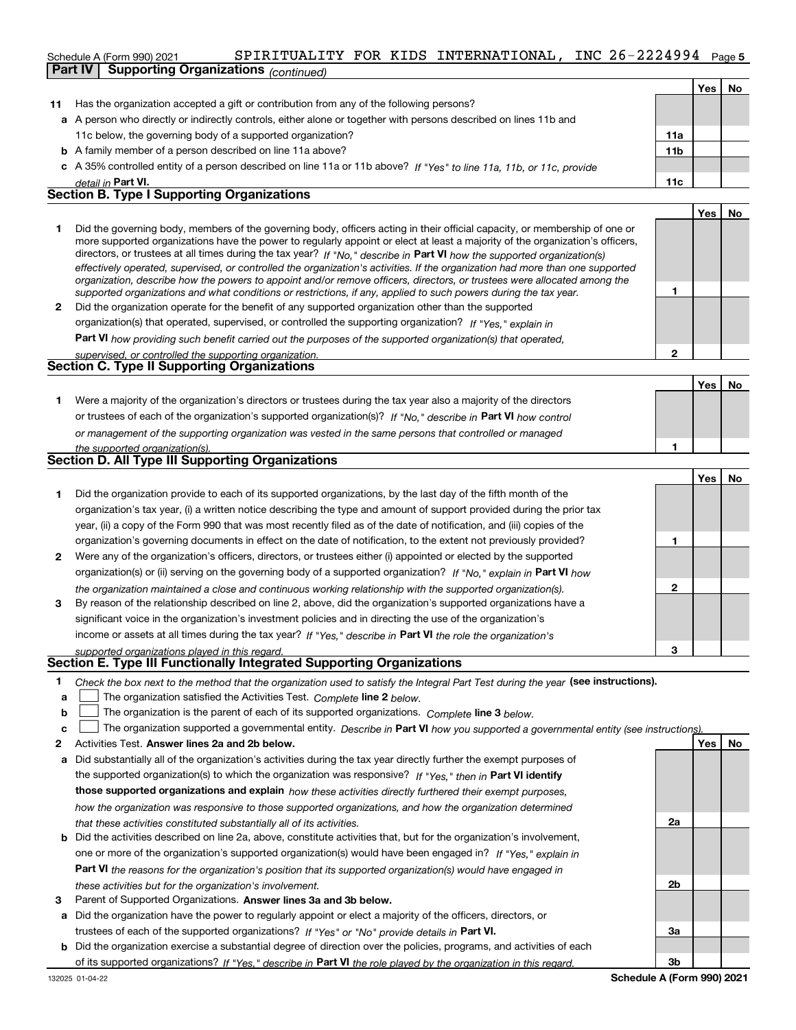### **INC**  $26 - 2224994$  Page 5 Schedule A (Form 990) 2021 SPIRITUALITY FOR KIDS INTERNATIONAL,INC 26-2224994 Page **Part IV Supporting Organizations** *(continued)*

|    | ----------                                                                                                           |                 |     |    |
|----|----------------------------------------------------------------------------------------------------------------------|-----------------|-----|----|
|    |                                                                                                                      |                 | Yes | No |
| 11 | Has the organization accepted a gift or contribution from any of the following persons?                              |                 |     |    |
|    | a A person who directly or indirectly controls, either alone or together with persons described on lines 11b and     |                 |     |    |
|    | 11c below, the governing body of a supported organization?                                                           | 11a             |     |    |
|    | <b>b</b> A family member of a person described on line 11a above?                                                    | 11 <sub>b</sub> |     |    |
|    | c A 35% controlled entity of a person described on line 11a or 11b above? If "Yes" to line 11a, 11b, or 11c, provide |                 |     |    |
|    | detail in Part VI.                                                                                                   | 11c             |     |    |
|    | <b>Section B. Type I Supporting Organizations</b>                                                                    |                 |     |    |
|    |                                                                                                                      |                 | Yes | No |
|    |                                                                                                                      |                 |     |    |

|   | Did the governing body, members of the governing body, officers acting in their official capacity, or membership of one or<br>more supported organizations have the power to regularly appoint or elect at least a majority of the organization's officers,<br>directors, or trustees at all times during the tax year? If "No," describe in Part VI how the supported organization(s)<br>effectively operated, supervised, or controlled the organization's activities. If the organization had more than one supported<br>organization, describe how the powers to appoint and/or remove officers, directors, or trustees were allocated among the |  |
|---|------------------------------------------------------------------------------------------------------------------------------------------------------------------------------------------------------------------------------------------------------------------------------------------------------------------------------------------------------------------------------------------------------------------------------------------------------------------------------------------------------------------------------------------------------------------------------------------------------------------------------------------------------|--|
|   | supported organizations and what conditions or restrictions, if any, applied to such powers during the tax year.                                                                                                                                                                                                                                                                                                                                                                                                                                                                                                                                     |  |
| 2 | Did the organization operate for the benefit of any supported organization other than the supported                                                                                                                                                                                                                                                                                                                                                                                                                                                                                                                                                  |  |
|   | organization(s) that operated, supervised, or controlled the supporting organization? If "Yes," explain in                                                                                                                                                                                                                                                                                                                                                                                                                                                                                                                                           |  |

**Part VI**  *how providing such benefit carried out the purposes of the supported organization(s) that operated,*

| supervised, or controlled the supporting organization.<br>Section C. Type II Supporting Organizations            |     |  |
|------------------------------------------------------------------------------------------------------------------|-----|--|
|                                                                                                                  | Yes |  |
| Were a majority of the organization's directors or trustees during the tax year also a majority of the directors |     |  |
| or trustees of each of the organization's supported organization(s)? If "No," describe in Part VI how control    |     |  |

| or management of the supporting organization was vested in the same persons that controlled or managed |  |  |  |  |
|--------------------------------------------------------------------------------------------------------|--|--|--|--|
| the supported organization(s).                                                                         |  |  |  |  |

|  |  | <b>Section D. All Type III Supporting Organizations</b> |
|--|--|---------------------------------------------------------|
|--|--|---------------------------------------------------------|

|              |                                                                                                                        |   | Yes | No |
|--------------|------------------------------------------------------------------------------------------------------------------------|---|-----|----|
|              | Did the organization provide to each of its supported organizations, by the last day of the fifth month of the         |   |     |    |
|              | organization's tax year, (i) a written notice describing the type and amount of support provided during the prior tax  |   |     |    |
|              | year, (ii) a copy of the Form 990 that was most recently filed as of the date of notification, and (iii) copies of the |   |     |    |
|              | organization's governing documents in effect on the date of notification, to the extent not previously provided?       |   |     |    |
| $\mathbf{2}$ | Were any of the organization's officers, directors, or trustees either (i) appointed or elected by the supported       |   |     |    |
|              | organization(s) or (ii) serving on the governing body of a supported organization? If "No," explain in Part VI how     |   |     |    |
|              | the organization maintained a close and continuous working relationship with the supported organization(s).            |   |     |    |
| 3            | By reason of the relationship described on line 2, above, did the organization's supported organizations have a        |   |     |    |
|              | significant voice in the organization's investment policies and in directing the use of the organization's             |   |     |    |
|              | income or assets at all times during the tax year? If "Yes," describe in Part VI the role the organization's           |   |     |    |
|              | supported organizations played in this regard                                                                          | з |     |    |

# *supported organizations played in this regard.* **Section E. Type III Functionally Integrated Supporting Organizations**

- **1**Check the box next to the method that the organization used to satisfy the Integral Part Test during the year (see instructions).
- **alinupy** The organization satisfied the Activities Test. Complete line 2 below.
- **bThe organization is the parent of each of its supported organizations. Complete line 3 below.**

|  |  | c $\Box$ The organization supported a governmental entity. Describe in Part VI how you supported a governmental entity (see instructions) |  |  |  |  |  |
|--|--|-------------------------------------------------------------------------------------------------------------------------------------------|--|--|--|--|--|
|--|--|-------------------------------------------------------------------------------------------------------------------------------------------|--|--|--|--|--|

- **2Answer lines 2a and 2b below. Yes No** Activities Test.
- **a** Did substantially all of the organization's activities during the tax year directly further the exempt purposes of the supported organization(s) to which the organization was responsive? If "Yes," then in **Part VI identify those supported organizations and explain**  *how these activities directly furthered their exempt purposes, how the organization was responsive to those supported organizations, and how the organization determined that these activities constituted substantially all of its activities.*
- **b** Did the activities described on line 2a, above, constitute activities that, but for the organization's involvement, **Part VI**  *the reasons for the organization's position that its supported organization(s) would have engaged in* one or more of the organization's supported organization(s) would have been engaged in? If "Yes," e*xplain in these activities but for the organization's involvement.*
- **3** Parent of Supported Organizations. Answer lines 3a and 3b below.
- **a** Did the organization have the power to regularly appoint or elect a majority of the officers, directors, or trustees of each of the supported organizations? If "Yes" or "No" provide details in P**art VI.**
- **b** Did the organization exercise a substantial degree of direction over the policies, programs, and activities of each of its supported organizations? If "Yes," describe in Part VI the role played by the organization in this regard.

**2a**

**2b**

**3a**

**1**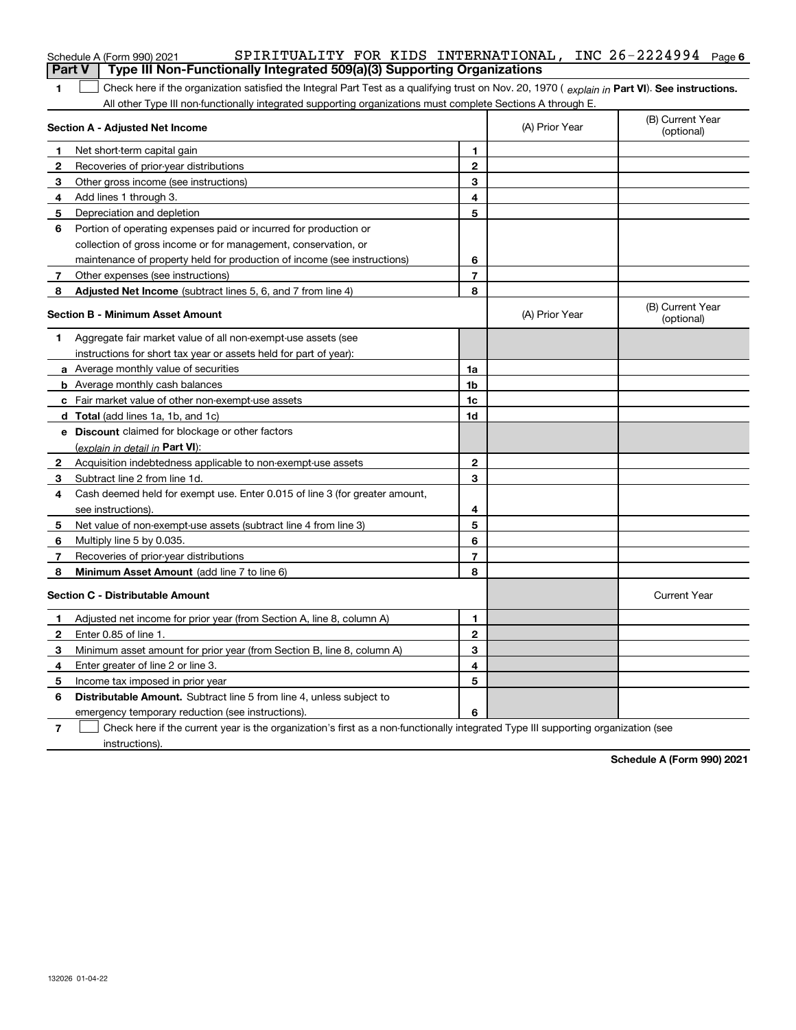|              | SPIRITUALITY FOR KIDS INTERNATIONAL, INC 26-2224994 $_{Page 6}$<br>Schedule A (Form 990) 2021                                                  |                |                |                                |
|--------------|------------------------------------------------------------------------------------------------------------------------------------------------|----------------|----------------|--------------------------------|
|              | Type III Non-Functionally Integrated 509(a)(3) Supporting Organizations<br><b>Part V</b>                                                       |                |                |                                |
| 1            | Check here if the organization satisfied the Integral Part Test as a qualifying trust on Nov. 20, 1970 (explain in Part VI). See instructions. |                |                |                                |
|              | All other Type III non-functionally integrated supporting organizations must complete Sections A through E.                                    |                |                |                                |
|              | Section A - Adjusted Net Income                                                                                                                |                | (A) Prior Year | (B) Current Year<br>(optional) |
| 1            | Net short-term capital gain                                                                                                                    | 1.             |                |                                |
| $\mathbf{2}$ | Recoveries of prior-year distributions                                                                                                         | $\overline{2}$ |                |                                |
| 3            | Other gross income (see instructions)                                                                                                          | 3              |                |                                |
| 4            | Add lines 1 through 3.                                                                                                                         | 4              |                |                                |
| 5            | Depreciation and depletion                                                                                                                     | 5              |                |                                |
| 6            | Portion of operating expenses paid or incurred for production or                                                                               |                |                |                                |
|              | collection of gross income or for management, conservation, or                                                                                 |                |                |                                |
|              | maintenance of property held for production of income (see instructions)                                                                       | 6              |                |                                |
| 7            | Other expenses (see instructions)                                                                                                              | 7              |                |                                |
| 8            | Adjusted Net Income (subtract lines 5, 6, and 7 from line 4)                                                                                   | 8              |                |                                |
|              | <b>Section B - Minimum Asset Amount</b>                                                                                                        |                | (A) Prior Year | (B) Current Year<br>(optional) |
| 1            | Aggregate fair market value of all non-exempt-use assets (see                                                                                  |                |                |                                |
|              | instructions for short tax year or assets held for part of year):                                                                              |                |                |                                |
|              | a Average monthly value of securities                                                                                                          | 1a             |                |                                |
|              | <b>b</b> Average monthly cash balances                                                                                                         | 1b             |                |                                |
|              | c Fair market value of other non-exempt-use assets                                                                                             | 1c             |                |                                |
|              | d Total (add lines 1a, 1b, and 1c)                                                                                                             | 1d             |                |                                |
|              | e Discount claimed for blockage or other factors                                                                                               |                |                |                                |
|              | (explain in detail in Part VI):                                                                                                                |                |                |                                |
| 2            | Acquisition indebtedness applicable to non-exempt-use assets                                                                                   | $\mathbf{2}$   |                |                                |
| 3            | Subtract line 2 from line 1d.                                                                                                                  | 3              |                |                                |
| 4            | Cash deemed held for exempt use. Enter 0.015 of line 3 (for greater amount,                                                                    |                |                |                                |
|              | see instructions).                                                                                                                             | 4              |                |                                |
| 5            | Net value of non-exempt-use assets (subtract line 4 from line 3)                                                                               | 5              |                |                                |
| 6            | Multiply line 5 by 0.035.                                                                                                                      | 6              |                |                                |
| 7            | Recoveries of prior-year distributions                                                                                                         | $\overline{7}$ |                |                                |
| 8            | Minimum Asset Amount (add line 7 to line 6)                                                                                                    | 8              |                |                                |
|              | <b>Section C - Distributable Amount</b>                                                                                                        |                |                | <b>Current Year</b>            |
| 1            | Adjusted net income for prior year (from Section A, line 8, column A)                                                                          | 1              |                |                                |
| $\mathbf{2}$ | Enter 0.85 of line 1.                                                                                                                          | $\overline{2}$ |                |                                |
| 3            | Minimum asset amount for prior year (from Section B, line 8, column A)                                                                         | 3              |                |                                |
| 4            | Enter greater of line 2 or line 3.                                                                                                             | 4              |                |                                |
| 5            | Income tax imposed in prior year                                                                                                               | 5              |                |                                |
| 6            | <b>Distributable Amount.</b> Subtract line 5 from line 4, unless subject to                                                                    |                |                |                                |
|              | emergency temporary reduction (see instructions).                                                                                              | 6              |                |                                |

**7** Check here if the current year is the organization's first as a non-functionally integrated Type III supporting organization (see instructions).

**Schedule A (Form 990) 2021**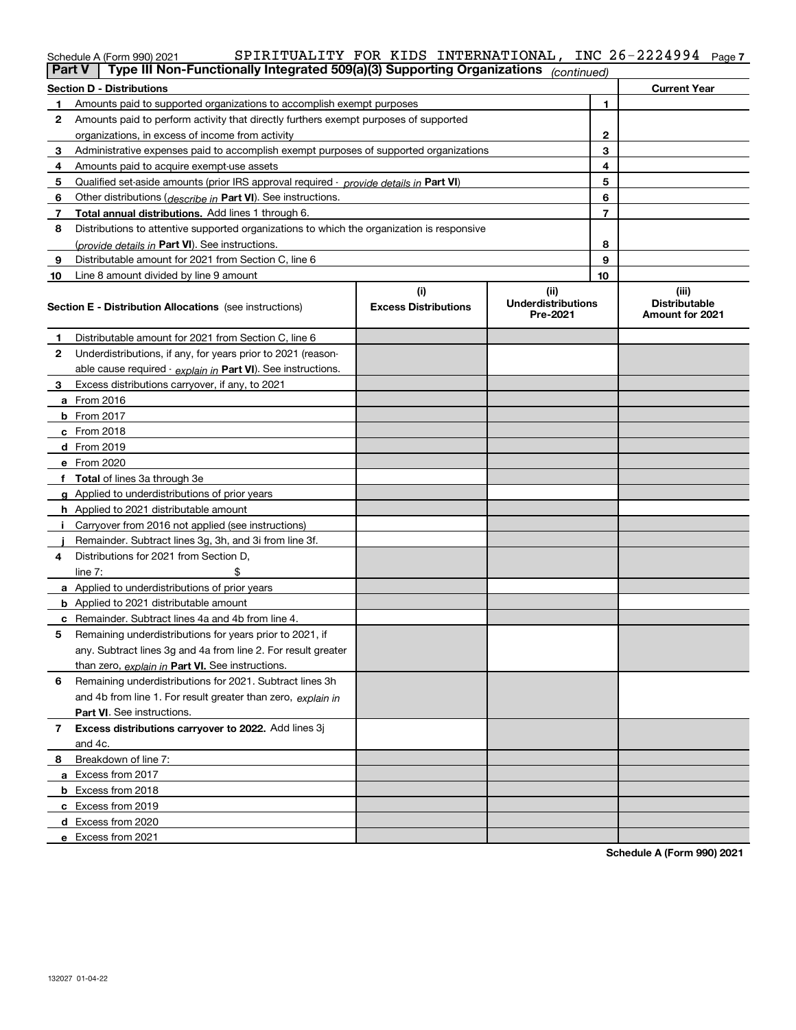### **7** Schedule A (Form 990) 2021 SPIRITUALITY FOR KIDS INTERNATIONAL,INC 26-2224994 Page

|    | Type III Non-Functionally Integrated 509(a)(3) Supporting Organizations<br>∣ Part V ∣      |                             | (continued)                           |   |                                                |  |  |  |  |
|----|--------------------------------------------------------------------------------------------|-----------------------------|---------------------------------------|---|------------------------------------------------|--|--|--|--|
|    | Section D - Distributions<br><b>Current Year</b>                                           |                             |                                       |   |                                                |  |  |  |  |
| 1  | Amounts paid to supported organizations to accomplish exempt purposes                      | 1                           |                                       |   |                                                |  |  |  |  |
| 2  | Amounts paid to perform activity that directly furthers exempt purposes of supported       |                             |                                       |   |                                                |  |  |  |  |
|    | organizations, in excess of income from activity                                           |                             | 2                                     |   |                                                |  |  |  |  |
| 3  | Administrative expenses paid to accomplish exempt purposes of supported organizations      |                             |                                       | 3 |                                                |  |  |  |  |
| 4  | Amounts paid to acquire exempt-use assets                                                  |                             |                                       | 4 |                                                |  |  |  |  |
| 5  | Qualified set-aside amounts (prior IRS approval required - provide details in Part VI)     |                             |                                       | 5 |                                                |  |  |  |  |
| 6  | Other distributions ( <i>describe in</i> Part VI). See instructions.                       |                             |                                       | 6 |                                                |  |  |  |  |
| 7  | Total annual distributions. Add lines 1 through 6.                                         |                             |                                       | 7 |                                                |  |  |  |  |
| 8  | Distributions to attentive supported organizations to which the organization is responsive |                             |                                       |   |                                                |  |  |  |  |
|    | (provide details in Part VI). See instructions.                                            |                             |                                       | 8 |                                                |  |  |  |  |
| 9  | Distributable amount for 2021 from Section C, line 6                                       |                             |                                       | 9 |                                                |  |  |  |  |
| 10 | Line 8 amount divided by line 9 amount                                                     |                             | 10                                    |   |                                                |  |  |  |  |
|    |                                                                                            | (i)                         | (ii)                                  |   | (iii)                                          |  |  |  |  |
|    | <b>Section E - Distribution Allocations</b> (see instructions)                             | <b>Excess Distributions</b> | <b>Underdistributions</b><br>Pre-2021 |   | <b>Distributable</b><br><b>Amount for 2021</b> |  |  |  |  |
| 1  | Distributable amount for 2021 from Section C, line 6                                       |                             |                                       |   |                                                |  |  |  |  |
| 2  | Underdistributions, if any, for years prior to 2021 (reason-                               |                             |                                       |   |                                                |  |  |  |  |
|    | able cause required - explain in Part VI). See instructions.                               |                             |                                       |   |                                                |  |  |  |  |
| 3  | Excess distributions carryover, if any, to 2021                                            |                             |                                       |   |                                                |  |  |  |  |
|    | a From 2016                                                                                |                             |                                       |   |                                                |  |  |  |  |
|    | <b>b</b> From 2017                                                                         |                             |                                       |   |                                                |  |  |  |  |
|    | $c$ From 2018                                                                              |                             |                                       |   |                                                |  |  |  |  |
|    | d From 2019                                                                                |                             |                                       |   |                                                |  |  |  |  |
|    | e From 2020                                                                                |                             |                                       |   |                                                |  |  |  |  |
|    | f Total of lines 3a through 3e                                                             |                             |                                       |   |                                                |  |  |  |  |
|    | g Applied to underdistributions of prior years                                             |                             |                                       |   |                                                |  |  |  |  |
|    | <b>h</b> Applied to 2021 distributable amount                                              |                             |                                       |   |                                                |  |  |  |  |
|    | Carryover from 2016 not applied (see instructions)                                         |                             |                                       |   |                                                |  |  |  |  |
|    | Remainder. Subtract lines 3g, 3h, and 3i from line 3f.                                     |                             |                                       |   |                                                |  |  |  |  |
| 4  | Distributions for 2021 from Section D,                                                     |                             |                                       |   |                                                |  |  |  |  |
|    | line $7:$                                                                                  |                             |                                       |   |                                                |  |  |  |  |
|    | a Applied to underdistributions of prior years                                             |                             |                                       |   |                                                |  |  |  |  |
|    | <b>b</b> Applied to 2021 distributable amount                                              |                             |                                       |   |                                                |  |  |  |  |
|    | c Remainder. Subtract lines 4a and 4b from line 4.                                         |                             |                                       |   |                                                |  |  |  |  |
| 5  | Remaining underdistributions for years prior to 2021, if                                   |                             |                                       |   |                                                |  |  |  |  |
|    | any. Subtract lines 3g and 4a from line 2. For result greater                              |                             |                                       |   |                                                |  |  |  |  |
|    | than zero, explain in Part VI. See instructions.                                           |                             |                                       |   |                                                |  |  |  |  |
| 6  | Remaining underdistributions for 2021. Subtract lines 3h                                   |                             |                                       |   |                                                |  |  |  |  |
|    | and 4b from line 1. For result greater than zero, explain in                               |                             |                                       |   |                                                |  |  |  |  |
|    | Part VI. See instructions.                                                                 |                             |                                       |   |                                                |  |  |  |  |
| 7  | Excess distributions carryover to 2022. Add lines 3j                                       |                             |                                       |   |                                                |  |  |  |  |
|    | and 4c.                                                                                    |                             |                                       |   |                                                |  |  |  |  |
| 8  | Breakdown of line 7:                                                                       |                             |                                       |   |                                                |  |  |  |  |
|    | a Excess from 2017                                                                         |                             |                                       |   |                                                |  |  |  |  |
|    | <b>b</b> Excess from 2018                                                                  |                             |                                       |   |                                                |  |  |  |  |
|    | c Excess from 2019                                                                         |                             |                                       |   |                                                |  |  |  |  |
|    | d Excess from 2020                                                                         |                             |                                       |   |                                                |  |  |  |  |
|    | e Excess from 2021                                                                         |                             |                                       |   |                                                |  |  |  |  |

**Schedule A (Form 990) 2021**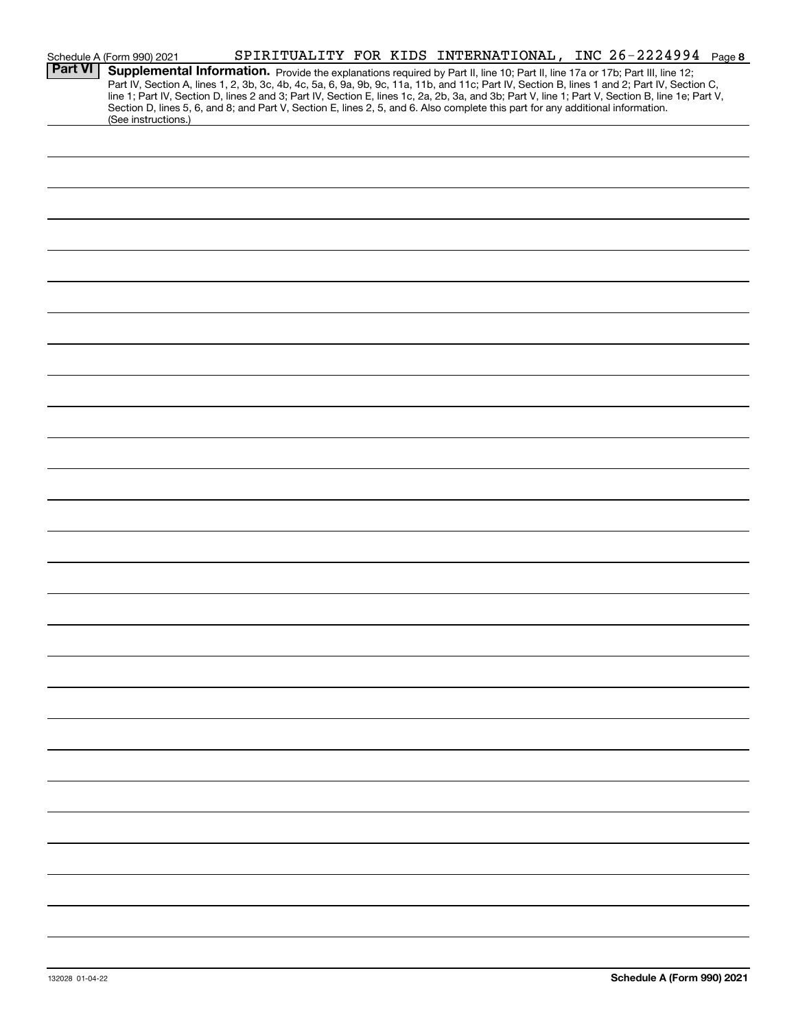|                | Schedule A (Form 990) 2021                                                                                                                                                                                                                                                                                                                                                                                                        |  |  |  | SPIRITUALITY FOR KIDS INTERNATIONAL, INC 26-2224994 Page 8 |  |
|----------------|-----------------------------------------------------------------------------------------------------------------------------------------------------------------------------------------------------------------------------------------------------------------------------------------------------------------------------------------------------------------------------------------------------------------------------------|--|--|--|------------------------------------------------------------|--|
| <b>Part VI</b> | Supplemental Information. Provide the explanations required by Part II, line 10; Part II, line 17a or 17b; Part III, line 12;<br>Part IV, Section A, lines 1, 2, 3b, 3c, 4b, 4c, 5a, 6, 9a, 9b, 9c, 11a, 11b, and 11c; Part IV, Section B, lines 1 and 2; Part IV, Section C,<br>line 1; Part IV, Section D, lines 2 and 3; Part IV, Section E, lines 1c, 2a, 2b, 3a, and 3b; Part V, line 1; Part V, Section B, line 1e; Part V, |  |  |  |                                                            |  |
|                | Section D, lines 5, 6, and 8; and Part V, Section E, lines 2, 5, and 6. Also complete this part for any additional information.<br>(See instructions.)                                                                                                                                                                                                                                                                            |  |  |  |                                                            |  |
|                |                                                                                                                                                                                                                                                                                                                                                                                                                                   |  |  |  |                                                            |  |
|                |                                                                                                                                                                                                                                                                                                                                                                                                                                   |  |  |  |                                                            |  |
|                |                                                                                                                                                                                                                                                                                                                                                                                                                                   |  |  |  |                                                            |  |
|                |                                                                                                                                                                                                                                                                                                                                                                                                                                   |  |  |  |                                                            |  |
|                |                                                                                                                                                                                                                                                                                                                                                                                                                                   |  |  |  |                                                            |  |
|                |                                                                                                                                                                                                                                                                                                                                                                                                                                   |  |  |  |                                                            |  |
|                |                                                                                                                                                                                                                                                                                                                                                                                                                                   |  |  |  |                                                            |  |
|                |                                                                                                                                                                                                                                                                                                                                                                                                                                   |  |  |  |                                                            |  |
|                |                                                                                                                                                                                                                                                                                                                                                                                                                                   |  |  |  |                                                            |  |
|                |                                                                                                                                                                                                                                                                                                                                                                                                                                   |  |  |  |                                                            |  |
|                |                                                                                                                                                                                                                                                                                                                                                                                                                                   |  |  |  |                                                            |  |
|                |                                                                                                                                                                                                                                                                                                                                                                                                                                   |  |  |  |                                                            |  |
|                |                                                                                                                                                                                                                                                                                                                                                                                                                                   |  |  |  |                                                            |  |
|                |                                                                                                                                                                                                                                                                                                                                                                                                                                   |  |  |  |                                                            |  |
|                |                                                                                                                                                                                                                                                                                                                                                                                                                                   |  |  |  |                                                            |  |
|                |                                                                                                                                                                                                                                                                                                                                                                                                                                   |  |  |  |                                                            |  |
|                |                                                                                                                                                                                                                                                                                                                                                                                                                                   |  |  |  |                                                            |  |
|                |                                                                                                                                                                                                                                                                                                                                                                                                                                   |  |  |  |                                                            |  |
|                |                                                                                                                                                                                                                                                                                                                                                                                                                                   |  |  |  |                                                            |  |
|                |                                                                                                                                                                                                                                                                                                                                                                                                                                   |  |  |  |                                                            |  |
|                |                                                                                                                                                                                                                                                                                                                                                                                                                                   |  |  |  |                                                            |  |
|                |                                                                                                                                                                                                                                                                                                                                                                                                                                   |  |  |  |                                                            |  |
|                |                                                                                                                                                                                                                                                                                                                                                                                                                                   |  |  |  |                                                            |  |
|                |                                                                                                                                                                                                                                                                                                                                                                                                                                   |  |  |  |                                                            |  |
|                |                                                                                                                                                                                                                                                                                                                                                                                                                                   |  |  |  |                                                            |  |
|                |                                                                                                                                                                                                                                                                                                                                                                                                                                   |  |  |  |                                                            |  |
|                |                                                                                                                                                                                                                                                                                                                                                                                                                                   |  |  |  |                                                            |  |
|                |                                                                                                                                                                                                                                                                                                                                                                                                                                   |  |  |  |                                                            |  |
|                |                                                                                                                                                                                                                                                                                                                                                                                                                                   |  |  |  |                                                            |  |
|                |                                                                                                                                                                                                                                                                                                                                                                                                                                   |  |  |  |                                                            |  |
|                |                                                                                                                                                                                                                                                                                                                                                                                                                                   |  |  |  |                                                            |  |
|                |                                                                                                                                                                                                                                                                                                                                                                                                                                   |  |  |  |                                                            |  |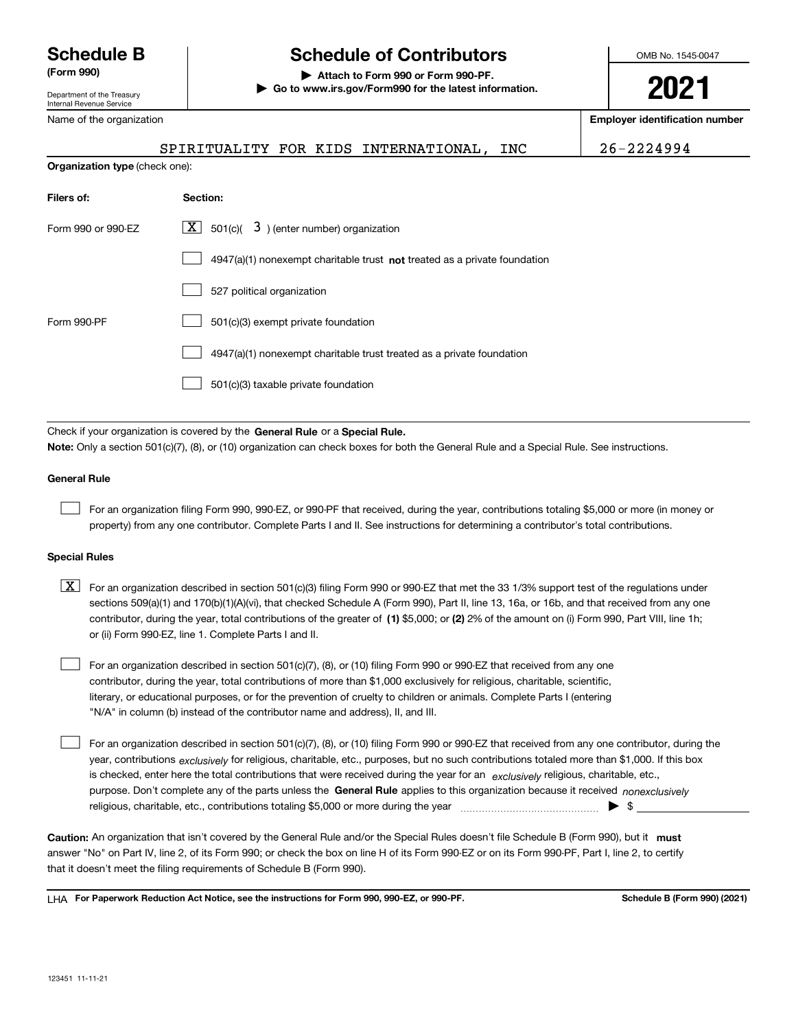Department of the Treasury Internal Revenue Service

Name of the organization

# **Schedule B Schedule of Contributors**

**(Form 990) | Attach to Form 990 or Form 990-PF. | Go to www.irs.gov/Form990 for the latest information.** OMB No. 1545-0047

**2021**

**Employer identification number**

**Organization type** (check one):

| Filers of:         | Section:                                                                  |
|--------------------|---------------------------------------------------------------------------|
| Form 990 or 990-EZ | $\lfloor \underline{X} \rfloor$ 501(c)( 3) (enter number) organization    |
|                    | 4947(a)(1) nonexempt charitable trust not treated as a private foundation |
|                    | 527 political organization                                                |
| Form 990-PF        | 501(c)(3) exempt private foundation                                       |
|                    | 4947(a)(1) nonexempt charitable trust treated as a private foundation     |
|                    | 501(c)(3) taxable private foundation                                      |
|                    |                                                                           |

Check if your organization is covered by the **General Rule** or a **Special Rule. Note:**  Only a section 501(c)(7), (8), or (10) organization can check boxes for both the General Rule and a Special Rule. See instructions.

### **General Rule**

 $\mathcal{L}^{\text{max}}$ 

For an organization filing Form 990, 990-EZ, or 990-PF that received, during the year, contributions totaling \$5,000 or more (in money or property) from any one contributor. Complete Parts I and II. See instructions for determining a contributor's total contributions.

### **Special Rules**

contributor, during the year, total contributions of the greater of (1**)** \$5,000; or (2) 2% of the amount on (i) Form 990, Part VIII, line 1h;  $\boxed{\textbf{X}}$  For an organization described in section 501(c)(3) filing Form 990 or 990-EZ that met the 33 1/3% support test of the regulations under sections 509(a)(1) and 170(b)(1)(A)(vi), that checked Schedule A (Form 990), Part II, line 13, 16a, or 16b, and that received from any one or (ii) Form 990-EZ, line 1. Complete Parts I and II.

For an organization described in section 501(c)(7), (8), or (10) filing Form 990 or 990-EZ that received from any one contributor, during the year, total contributions of more than \$1,000 exclusively for religious, charitable, scientific, literary, or educational purposes, or for the prevention of cruelty to children or animals. Complete Parts I (entering "N/A" in column (b) instead of the contributor name and address), II, and III.  $\mathcal{L}^{\text{max}}$ 

purpose. Don't complete any of the parts unless the **General Rule** applies to this organization because it received *nonexclusively* year, contributions <sub>exclusively</sub> for religious, charitable, etc., purposes, but no such contributions totaled more than \$1,000. If this box is checked, enter here the total contributions that were received during the year for an  $\;$ exclusively religious, charitable, etc., For an organization described in section 501(c)(7), (8), or (10) filing Form 990 or 990-EZ that received from any one contributor, during the religious, charitable, etc., contributions totaling \$5,000 or more during the year  $\Box$ — $\Box$   $\Box$  $\mathcal{L}^{\text{max}}$ 

Caution: An organization that isn't covered by the General Rule and/or the Special Rules doesn't file Schedule B (Form 990), but it **must** answer "No" on Part IV, line 2, of its Form 990; or check the box on line H of its Form 990-EZ or on its Form 990-PF, Part I, line 2, to certify that it doesn't meet the filing requirements of Schedule B (Form 990).

LHA For Paperwork Reduction Act Notice, see the instructions for Form 990, 990-EZ, or 990-PF. **In the act and Schedule B** (Form 990) (2021)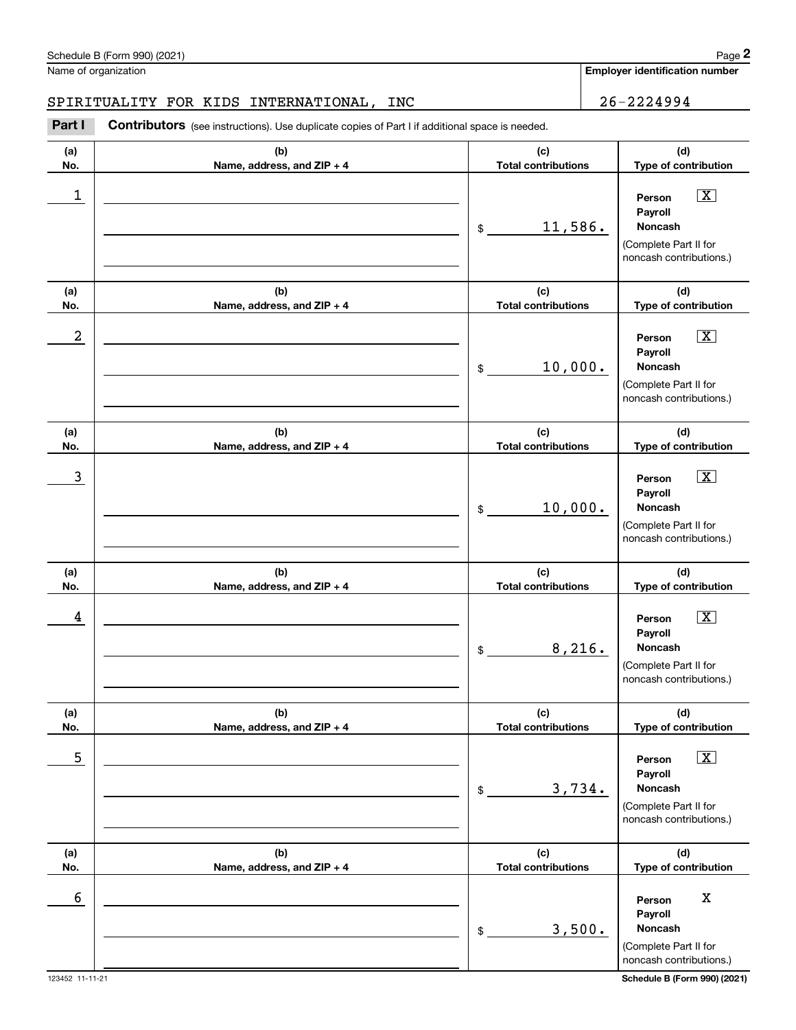Name of organization

### SPIRITUALITY FOR KIDS INTERNATIONAL, INC  $\vert$  26-2224994

**(a)No.(b)Name, address, and ZIP + 4 (c)Total contributions (d)Type of contribution PersonPayrollNoncash(a)No.(b)Name, address, and ZIP + 4 (c)Total contributions (d)Type of contribution PersonPayrollNoncash(a)No.(b)Name, address, and ZIP + 4 (c)Total contributions (d)Type of contribution Person PayrollNoncash(a) No.(b) Name, address, and ZIP + 4 (c) Total contributions (d) Type of contribution PersonPayrollNoncash(a) No.(b) Name, address, and ZIP + 4 (c) Total contributions (d) Type of contribution Person PayrollNoncash(a) No.(b)Name, address, and ZIP + 4 (c) Total contributions (d) Type of contribution PersonPayrollNoncashContributors** (see instructions). Use duplicate copies of Part I if additional space is needed. \$(Complete Part II for noncash contributions.) \$(Complete Part II for noncash contributions.) \$(Complete Part II for noncash contributions.) \$(Complete Part II for noncash contributions.) \$(Complete Part II for noncash contributions.) \$(Complete Part II for noncash contributions.) **29 Chedule B (Form 990) (2021)**<br> **26 - 2224994**<br> **26 - 2224994**<br> **26 - 2224994**<br> **26 - 2224994**<br> **26 - 2224994**<br> **26 - 2224994**  $\boxed{\mathbf{X}}$  $\boxed{\mathbf{X}}$  $\sqrt{X}$  $\sqrt{X}$  $\boxed{\text{X}}$  $\begin{array}{c|c|c|c|c|c} 1 & \hspace{1.5cm} & \hspace{1.5cm} & \hspace{1.5cm} & \hspace{1.5cm} & \hspace{1.5cm} & \hspace{1.5cm} & \hspace{1.5cm} & \hspace{1.5cm} & \hspace{1.5cm} & \hspace{1.5cm} & \hspace{1.5cm} & \hspace{1.5cm} & \hspace{1.5cm} & \hspace{1.5cm} & \hspace{1.5cm} & \hspace{1.5cm} & \hspace{1.5cm} & \hspace{1.5cm} & \hspace{1.5cm} & \hspace{1.5cm} &$ 11,586.  $2$  | Person  $\overline{\text{X}}$ 10,000.  $\overline{3}$  | Person  $\overline{X}$ 10,000.  $4$  | Person  $\overline{\text{X}}$ 8,216.  $\sim$  5 | Person X 3,734. 6 Berson X Adventure Contract of the Contract of the Contract of the Contract of the Contract of the Contract of the Contract of the Contract of the Contract of the Contract of the Contract of the Contract of the Contract 3,500.

**Employer identification number**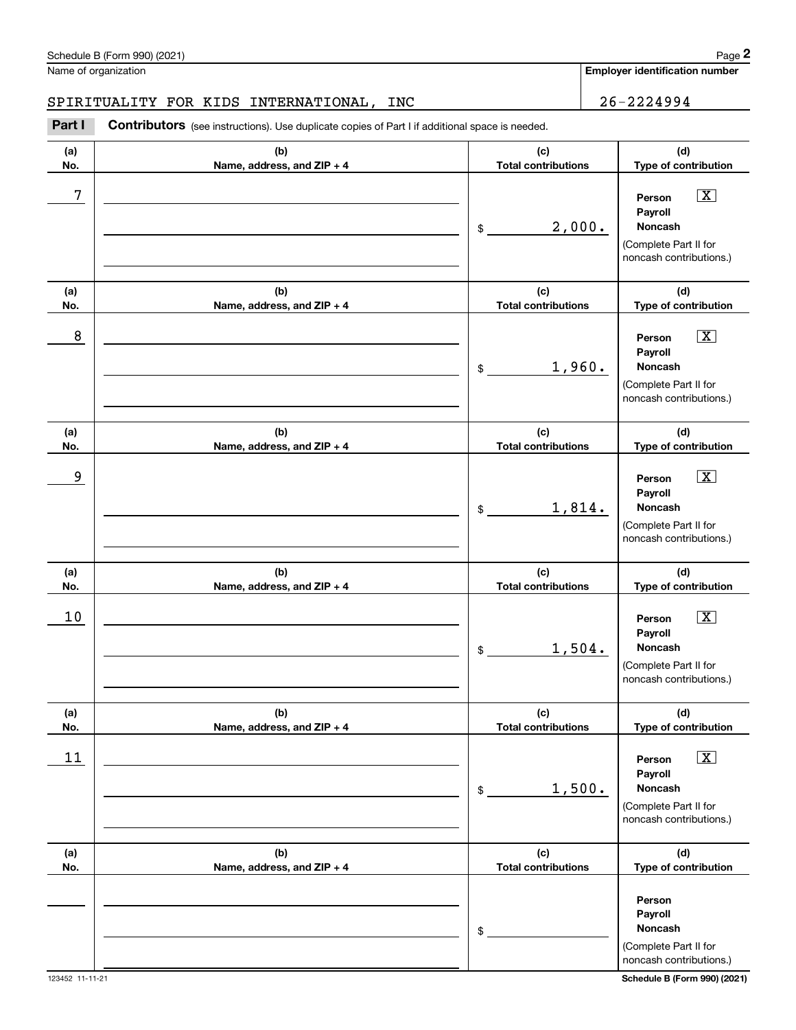## SPIRITUALITY FOR KIDS INTERNATIONAL, INC 26-2224994

|            | Schedule B (Form 990) (2021)                                                                          |                                   |        | Page 2                                                                                                                         |
|------------|-------------------------------------------------------------------------------------------------------|-----------------------------------|--------|--------------------------------------------------------------------------------------------------------------------------------|
|            | Name of organization                                                                                  |                                   |        | <b>Employer identification number</b>                                                                                          |
|            | SPIRITUALITY FOR KIDS INTERNATIONAL,<br>INC                                                           |                                   |        | 26-2224994                                                                                                                     |
| Part I     | <b>Contributors</b> (see instructions). Use duplicate copies of Part I if additional space is needed. |                                   |        |                                                                                                                                |
| (a)<br>No. | (b)<br>Name, address, and ZIP + 4                                                                     | (c)<br><b>Total contributions</b> |        | (d)<br>Type of contribution                                                                                                    |
| 7          |                                                                                                       | \$                                | 2,000. | $\boxed{\text{X}}$<br>Person<br>Payroll<br>Noncash<br>(Complete Part II for<br>noncash contributions.)                         |
| (a)        | (b)                                                                                                   | (c)<br><b>Total contributions</b> |        | (d)                                                                                                                            |
| No.<br>8   | Name, address, and ZIP + 4                                                                            | \$                                | 1,960. | Type of contribution<br>$\boxed{\text{X}}$<br>Person<br>Payroll<br>Noncash<br>(Complete Part II for<br>noncash contributions.) |
| (a)<br>No. | (b)<br>Name, address, and ZIP + 4                                                                     | (c)<br><b>Total contributions</b> |        | (d)<br>Type of contribution                                                                                                    |
| 9          |                                                                                                       | \$                                | 1,814. | $\boxed{\text{X}}$<br>Person<br>Payroll<br>Noncash<br>(Complete Part II for<br>noncash contributions.)                         |
| (a)<br>No. | (b)<br>Name, address, and ZIP + 4                                                                     | (c)<br><b>Total contributions</b> |        | (d)<br>Type of contribution                                                                                                    |
| 10         |                                                                                                       | \$                                | 1,504. | $\boxed{\text{X}}$<br>Person<br>Payroll<br>Noncash<br>(Complete Part II for<br>noncash contributions.)                         |
| (a)<br>No. | (b)<br>Name, address, and ZIP + 4                                                                     | (c)<br><b>Total contributions</b> |        | (d)<br>Type of contribution                                                                                                    |
| 11         |                                                                                                       | \$                                | 1,500. | $\boxed{\text{X}}$<br>Person<br>Payroll<br><b>Noncash</b><br>(Complete Part II for<br>noncash contributions.)                  |
| (a)<br>No. | (b)<br>Name, address, and ZIP + 4                                                                     | (c)<br><b>Total contributions</b> |        | (d)<br>Type of contribution                                                                                                    |
|            |                                                                                                       | \$                                |        | Person<br>Payroll<br>Noncash<br>(Complete Part II for<br>noncash contributions.)                                               |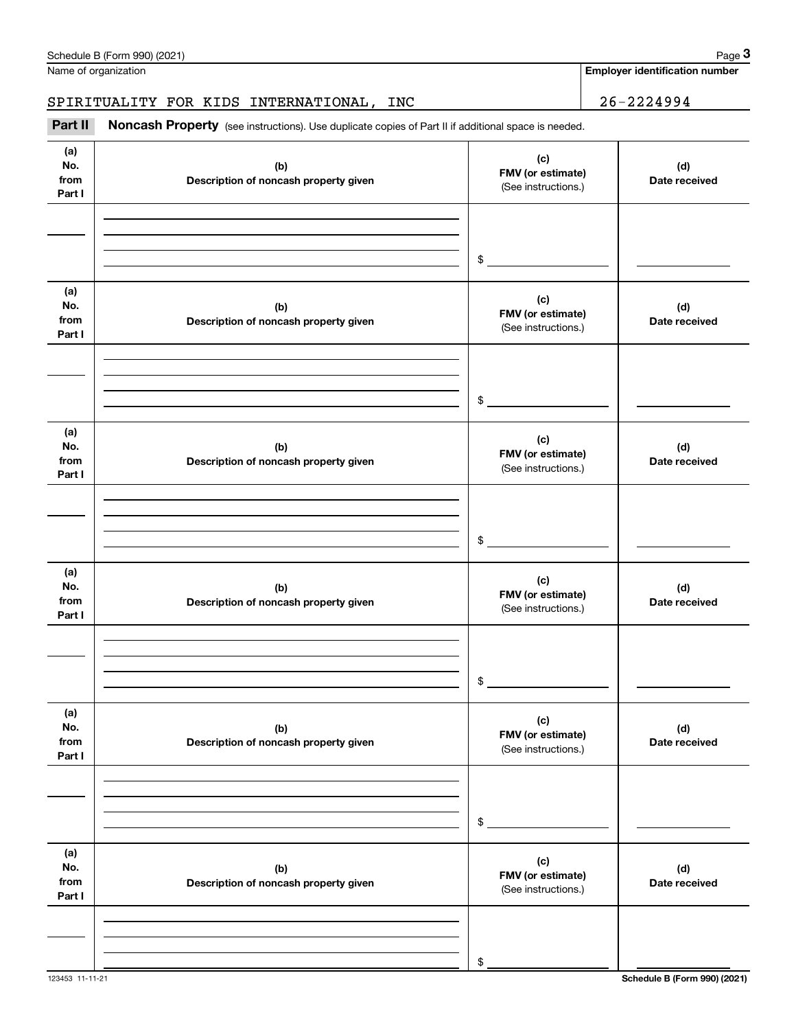|                              | Schedule B (Form 990) (2021)                                                                        |                                                                  | Page 3                                |
|------------------------------|-----------------------------------------------------------------------------------------------------|------------------------------------------------------------------|---------------------------------------|
|                              | Name of organization                                                                                |                                                                  | <b>Employer identification number</b> |
|                              | SPIRITUALITY FOR KIDS INTERNATIONAL, INC                                                            |                                                                  | $26 - 2224994$                        |
| Part II                      | Noncash Property (see instructions). Use duplicate copies of Part II if additional space is needed. |                                                                  |                                       |
| (a)<br>No.<br>from<br>Part I | (b)<br>Description of noncash property given                                                        | (c)<br>FMV (or estimate)<br>Date received<br>(See instructions.) |                                       |
|                              |                                                                                                     | \$                                                               |                                       |
| (a)<br>No.<br>from<br>Part I | (b)<br>Description of noncash property given                                                        | (c)<br>FMV (or estimate)<br>(See instructions.)                  | (d)<br>Date received                  |
|                              |                                                                                                     | \$                                                               |                                       |
| (a)<br>No.<br>from<br>Part I | (b)<br>Description of noncash property given                                                        | (c)<br>FMV (or estimate)<br>(See instructions.)                  | (d)<br>Date received                  |
|                              |                                                                                                     | \$                                                               |                                       |
| (a)<br>No.<br>from<br>Part I | (b)<br>Description of noncash property given                                                        | (c)<br>FMV (or estimate)<br>(See instructions.)                  | (d)<br>Date received                  |
|                              |                                                                                                     | \$                                                               |                                       |
| (a)<br>No.<br>from<br>Part I | (b)<br>Description of noncash property given                                                        | (c)<br>FMV (or estimate)<br>(See instructions.)                  | (d)<br>Date received                  |
|                              |                                                                                                     | \$                                                               |                                       |
| (a)<br>No.<br>from<br>Part I | (b)<br>Description of noncash property given                                                        | (c)<br>FMV (or estimate)<br>(See instructions.)                  | (d)<br>Date received                  |
|                              |                                                                                                     | \$                                                               |                                       |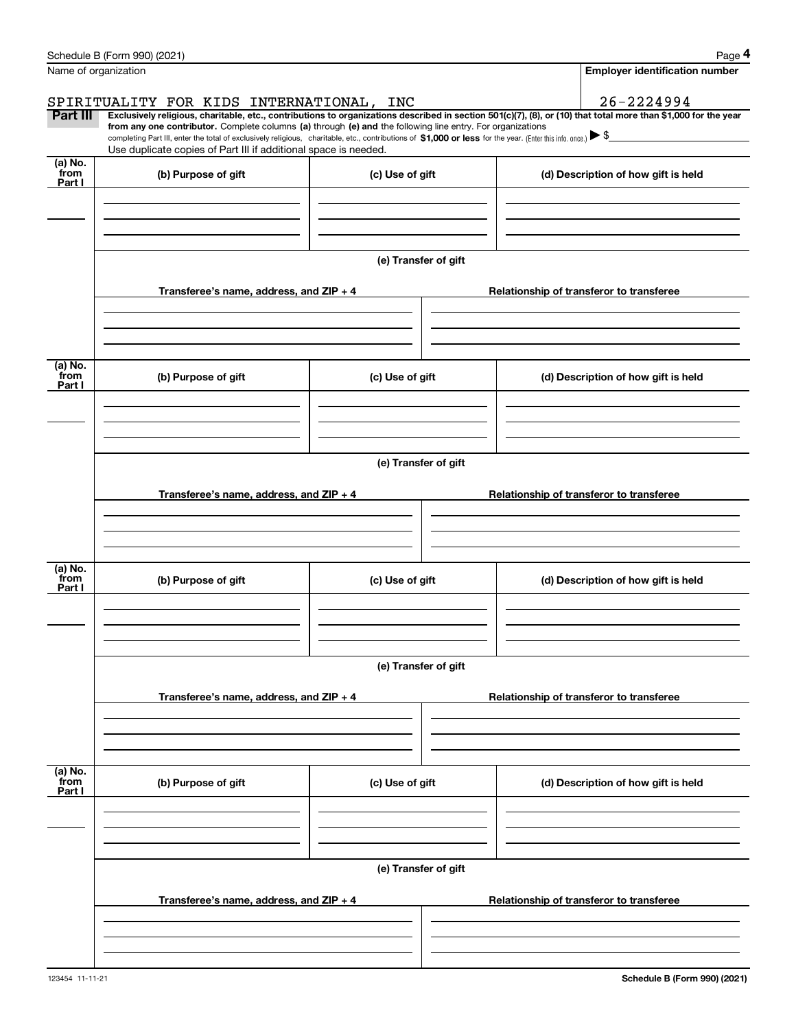|                      | Schedule B (Form 990) (2021)                                                                                                                                                                                                                                                 |                      |                                          | Page 4                                   |  |  |  |  |  |  |  |
|----------------------|------------------------------------------------------------------------------------------------------------------------------------------------------------------------------------------------------------------------------------------------------------------------------|----------------------|------------------------------------------|------------------------------------------|--|--|--|--|--|--|--|
| Name of organization |                                                                                                                                                                                                                                                                              |                      |                                          | Employer identification number           |  |  |  |  |  |  |  |
|                      | SPIRITUALITY FOR KIDS INTERNATIONAL,                                                                                                                                                                                                                                         | INC                  |                                          | 26-2224994                               |  |  |  |  |  |  |  |
| <b>Part III</b>      | Exclusively religious, charitable, etc., contributions to organizations described in section 501(c)(7), (8), or (10) that total more than \$1,000 for the year<br>from any one contributor. Complete columns (a) through (e) and the following line entry. For organizations |                      |                                          |                                          |  |  |  |  |  |  |  |
|                      | completing Part III, enter the total of exclusively religious, charitable, etc., contributions of \$1,000 or less for the year. (Enter this info. once.) $\blacktriangleright$ \$<br>Use duplicate copies of Part III if additional space is needed.                         |                      |                                          |                                          |  |  |  |  |  |  |  |
| (a) No.              |                                                                                                                                                                                                                                                                              |                      |                                          |                                          |  |  |  |  |  |  |  |
| from<br>Part I       | (b) Purpose of gift                                                                                                                                                                                                                                                          | (c) Use of gift      |                                          | (d) Description of how gift is held      |  |  |  |  |  |  |  |
|                      |                                                                                                                                                                                                                                                                              |                      |                                          |                                          |  |  |  |  |  |  |  |
|                      |                                                                                                                                                                                                                                                                              |                      |                                          |                                          |  |  |  |  |  |  |  |
|                      |                                                                                                                                                                                                                                                                              |                      |                                          |                                          |  |  |  |  |  |  |  |
|                      |                                                                                                                                                                                                                                                                              | (e) Transfer of gift |                                          |                                          |  |  |  |  |  |  |  |
|                      | Transferee's name, address, and $ZIP + 4$                                                                                                                                                                                                                                    |                      |                                          | Relationship of transferor to transferee |  |  |  |  |  |  |  |
|                      |                                                                                                                                                                                                                                                                              |                      |                                          |                                          |  |  |  |  |  |  |  |
|                      |                                                                                                                                                                                                                                                                              |                      |                                          |                                          |  |  |  |  |  |  |  |
|                      |                                                                                                                                                                                                                                                                              |                      |                                          |                                          |  |  |  |  |  |  |  |
| (a) No.<br>from      | (b) Purpose of gift                                                                                                                                                                                                                                                          | (c) Use of gift      |                                          | (d) Description of how gift is held      |  |  |  |  |  |  |  |
| Part I               |                                                                                                                                                                                                                                                                              |                      |                                          |                                          |  |  |  |  |  |  |  |
|                      |                                                                                                                                                                                                                                                                              |                      |                                          |                                          |  |  |  |  |  |  |  |
|                      |                                                                                                                                                                                                                                                                              |                      |                                          |                                          |  |  |  |  |  |  |  |
|                      | (e) Transfer of gift                                                                                                                                                                                                                                                         |                      |                                          |                                          |  |  |  |  |  |  |  |
|                      |                                                                                                                                                                                                                                                                              |                      |                                          |                                          |  |  |  |  |  |  |  |
|                      | Transferee's name, address, and $ZIP + 4$                                                                                                                                                                                                                                    |                      | Relationship of transferor to transferee |                                          |  |  |  |  |  |  |  |
|                      |                                                                                                                                                                                                                                                                              |                      |                                          |                                          |  |  |  |  |  |  |  |
|                      |                                                                                                                                                                                                                                                                              |                      |                                          |                                          |  |  |  |  |  |  |  |
| (a) No.              |                                                                                                                                                                                                                                                                              |                      |                                          |                                          |  |  |  |  |  |  |  |
| from<br>Part I       | (b) Purpose of gift                                                                                                                                                                                                                                                          | (c) Use of gift      |                                          | (d) Description of how gift is held      |  |  |  |  |  |  |  |
|                      |                                                                                                                                                                                                                                                                              |                      |                                          |                                          |  |  |  |  |  |  |  |
|                      |                                                                                                                                                                                                                                                                              |                      |                                          |                                          |  |  |  |  |  |  |  |
|                      |                                                                                                                                                                                                                                                                              |                      |                                          |                                          |  |  |  |  |  |  |  |
|                      |                                                                                                                                                                                                                                                                              | (e) Transfer of gift |                                          |                                          |  |  |  |  |  |  |  |
|                      | Transferee's name, address, and $ZIP + 4$                                                                                                                                                                                                                                    |                      |                                          | Relationship of transferor to transferee |  |  |  |  |  |  |  |
|                      |                                                                                                                                                                                                                                                                              |                      |                                          |                                          |  |  |  |  |  |  |  |
|                      |                                                                                                                                                                                                                                                                              |                      |                                          |                                          |  |  |  |  |  |  |  |
|                      |                                                                                                                                                                                                                                                                              |                      |                                          |                                          |  |  |  |  |  |  |  |
| (a) No.<br>from      | (b) Purpose of gift                                                                                                                                                                                                                                                          | (c) Use of gift      |                                          | (d) Description of how gift is held      |  |  |  |  |  |  |  |
| Part I               |                                                                                                                                                                                                                                                                              |                      |                                          |                                          |  |  |  |  |  |  |  |
|                      |                                                                                                                                                                                                                                                                              |                      |                                          |                                          |  |  |  |  |  |  |  |
|                      |                                                                                                                                                                                                                                                                              |                      |                                          |                                          |  |  |  |  |  |  |  |
|                      |                                                                                                                                                                                                                                                                              |                      |                                          |                                          |  |  |  |  |  |  |  |
|                      | (e) Transfer of gift                                                                                                                                                                                                                                                         |                      |                                          |                                          |  |  |  |  |  |  |  |
|                      | Transferee's name, address, and $ZIP + 4$                                                                                                                                                                                                                                    |                      |                                          | Relationship of transferor to transferee |  |  |  |  |  |  |  |
|                      |                                                                                                                                                                                                                                                                              |                      |                                          |                                          |  |  |  |  |  |  |  |
|                      |                                                                                                                                                                                                                                                                              |                      |                                          |                                          |  |  |  |  |  |  |  |
|                      |                                                                                                                                                                                                                                                                              |                      |                                          |                                          |  |  |  |  |  |  |  |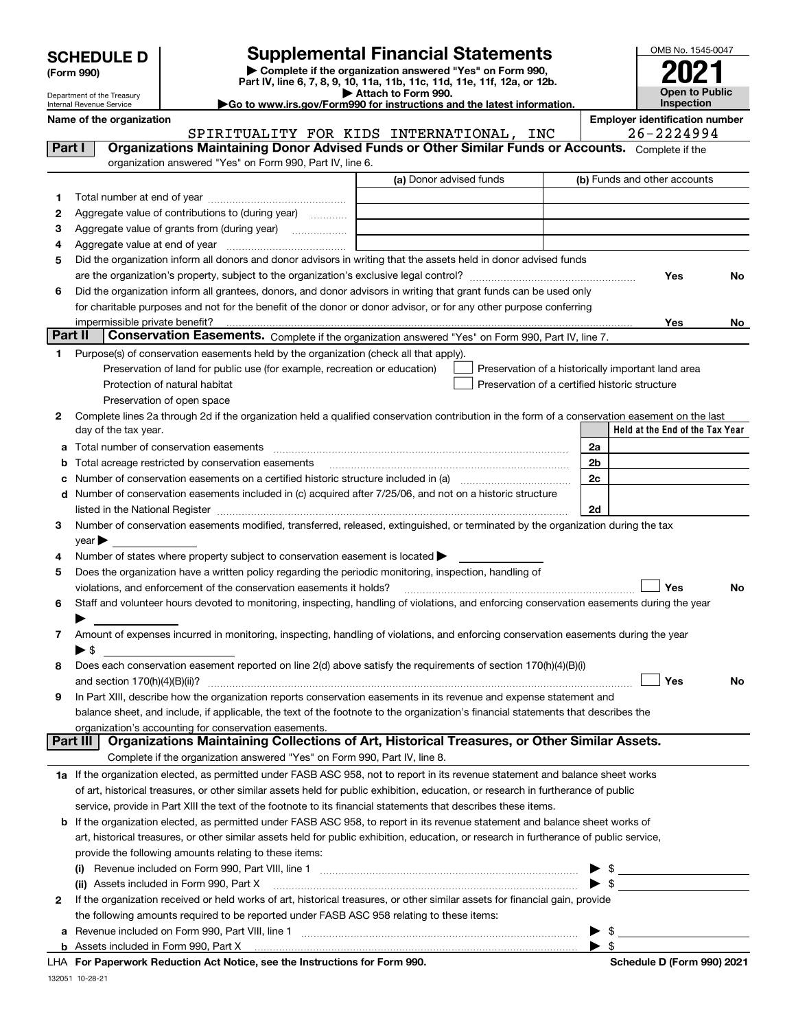Department of the Treasury Internal Revenue Service

**(Form 990)**

# **SCHEDULE D Supplemental Financial Statements**

**| Complete if the organization answered "Yes" on Form 990, Part IV, line 6, 7, 8, 9, 10, 11a, 11b, 11c, 11d, 11e, 11f, 12a, or 12b. | Attach to Form 990.** OMB No. 1545-0047 **Open to Public Inspection2021**

|--|

|         | Name of the organization<br>SPIRITUALITY FOR KIDS INTERNATIONAL, INC                                                                                                                                                                    | <b>Employer identification number</b><br>26-2224994 |  |                                                        |  |  |
|---------|-----------------------------------------------------------------------------------------------------------------------------------------------------------------------------------------------------------------------------------------|-----------------------------------------------------|--|--------------------------------------------------------|--|--|
| Part I  | Organizations Maintaining Donor Advised Funds or Other Similar Funds or Accounts. Complete if the                                                                                                                                       |                                                     |  |                                                        |  |  |
|         | organization answered "Yes" on Form 990, Part IV, line 6.                                                                                                                                                                               |                                                     |  |                                                        |  |  |
|         |                                                                                                                                                                                                                                         | (a) Donor advised funds                             |  | (b) Funds and other accounts                           |  |  |
| 1       |                                                                                                                                                                                                                                         |                                                     |  |                                                        |  |  |
| 2       | Aggregate value of contributions to (during year)                                                                                                                                                                                       |                                                     |  |                                                        |  |  |
| 3       |                                                                                                                                                                                                                                         |                                                     |  |                                                        |  |  |
| 4       |                                                                                                                                                                                                                                         |                                                     |  |                                                        |  |  |
| 5       | Did the organization inform all donors and donor advisors in writing that the assets held in donor advised funds                                                                                                                        |                                                     |  |                                                        |  |  |
|         |                                                                                                                                                                                                                                         |                                                     |  | Yes<br>No                                              |  |  |
| 6       |                                                                                                                                                                                                                                         |                                                     |  |                                                        |  |  |
|         | Did the organization inform all grantees, donors, and donor advisors in writing that grant funds can be used only<br>for charitable purposes and not for the benefit of the donor or donor advisor, or for any other purpose conferring |                                                     |  |                                                        |  |  |
|         |                                                                                                                                                                                                                                         |                                                     |  |                                                        |  |  |
| Part II | impermissible private benefit?<br>Conservation Easements. Complete if the organization answered "Yes" on Form 990, Part IV, line 7.                                                                                                     |                                                     |  | Yes<br>No                                              |  |  |
|         |                                                                                                                                                                                                                                         |                                                     |  |                                                        |  |  |
| 1       | Purpose(s) of conservation easements held by the organization (check all that apply).                                                                                                                                                   |                                                     |  |                                                        |  |  |
|         | Preservation of land for public use (for example, recreation or education)                                                                                                                                                              |                                                     |  | Preservation of a historically important land area     |  |  |
|         | Protection of natural habitat                                                                                                                                                                                                           |                                                     |  | Preservation of a certified historic structure         |  |  |
|         | Preservation of open space                                                                                                                                                                                                              |                                                     |  |                                                        |  |  |
| 2       | Complete lines 2a through 2d if the organization held a qualified conservation contribution in the form of a conservation easement on the last<br>day of the tax year.                                                                  |                                                     |  | Held at the End of the Tax Year                        |  |  |
|         |                                                                                                                                                                                                                                         |                                                     |  |                                                        |  |  |
|         | a Total number of conservation easements                                                                                                                                                                                                |                                                     |  | 2a                                                     |  |  |
| b       | Total acreage restricted by conservation easements                                                                                                                                                                                      |                                                     |  | 2 <sub>b</sub>                                         |  |  |
| с       |                                                                                                                                                                                                                                         |                                                     |  | 2c                                                     |  |  |
| d       | Number of conservation easements included in (c) acquired after 7/25/06, and not on a historic structure                                                                                                                                |                                                     |  |                                                        |  |  |
|         | listed in the National Register [11] manufactured in the National Property of the National Register [11] manufactured in the National Register [11] manufactured in the National Register [11] manufactured in the National Pr          |                                                     |  | 2d                                                     |  |  |
| 3       | Number of conservation easements modified, transferred, released, extinguished, or terminated by the organization during the tax                                                                                                        |                                                     |  |                                                        |  |  |
|         | $\mathsf{year}$                                                                                                                                                                                                                         |                                                     |  |                                                        |  |  |
| 4       | Number of states where property subject to conservation easement is located >                                                                                                                                                           |                                                     |  |                                                        |  |  |
| 5       | Does the organization have a written policy regarding the periodic monitoring, inspection, handling of                                                                                                                                  |                                                     |  |                                                        |  |  |
|         | violations, and enforcement of the conservation easements it holds?                                                                                                                                                                     |                                                     |  | Yes<br>No                                              |  |  |
| 6       | Staff and volunteer hours devoted to monitoring, inspecting, handling of violations, and enforcing conservation easements during the year                                                                                               |                                                     |  |                                                        |  |  |
|         |                                                                                                                                                                                                                                         |                                                     |  |                                                        |  |  |
| 7       | Amount of expenses incurred in monitoring, inspecting, handling of violations, and enforcing conservation easements during the year                                                                                                     |                                                     |  |                                                        |  |  |
|         | $\blacktriangleright$ \$                                                                                                                                                                                                                |                                                     |  |                                                        |  |  |
| 8       | Does each conservation easement reported on line 2(d) above satisfy the requirements of section 170(h)(4)(B)(i)                                                                                                                         |                                                     |  |                                                        |  |  |
|         |                                                                                                                                                                                                                                         |                                                     |  | Yes<br>No                                              |  |  |
|         | In Part XIII, describe how the organization reports conservation easements in its revenue and expense statement and                                                                                                                     |                                                     |  |                                                        |  |  |
|         | balance sheet, and include, if applicable, the text of the footnote to the organization's financial statements that describes the                                                                                                       |                                                     |  |                                                        |  |  |
|         | organization's accounting for conservation easements.<br>Organizations Maintaining Collections of Art, Historical Treasures, or Other Similar Assets.<br>Part III                                                                       |                                                     |  |                                                        |  |  |
|         |                                                                                                                                                                                                                                         |                                                     |  |                                                        |  |  |
|         | Complete if the organization answered "Yes" on Form 990, Part IV, line 8.                                                                                                                                                               |                                                     |  |                                                        |  |  |
|         | 1a If the organization elected, as permitted under FASB ASC 958, not to report in its revenue statement and balance sheet works                                                                                                         |                                                     |  |                                                        |  |  |
|         | of art, historical treasures, or other similar assets held for public exhibition, education, or research in furtherance of public                                                                                                       |                                                     |  |                                                        |  |  |
|         | service, provide in Part XIII the text of the footnote to its financial statements that describes these items.                                                                                                                          |                                                     |  |                                                        |  |  |
| b       | If the organization elected, as permitted under FASB ASC 958, to report in its revenue statement and balance sheet works of                                                                                                             |                                                     |  |                                                        |  |  |
|         | art, historical treasures, or other similar assets held for public exhibition, education, or research in furtherance of public service,                                                                                                 |                                                     |  |                                                        |  |  |
|         | provide the following amounts relating to these items:                                                                                                                                                                                  |                                                     |  |                                                        |  |  |
|         |                                                                                                                                                                                                                                         |                                                     |  | $\frac{1}{2}$                                          |  |  |
|         | (ii) Assets included in Form 990, Part X                                                                                                                                                                                                |                                                     |  | $\blacktriangleright$ \$                               |  |  |
| 2       | If the organization received or held works of art, historical treasures, or other similar assets for financial gain, provide                                                                                                            |                                                     |  |                                                        |  |  |
|         | the following amounts required to be reported under FASB ASC 958 relating to these items:                                                                                                                                               |                                                     |  |                                                        |  |  |
|         |                                                                                                                                                                                                                                         |                                                     |  | $\blacktriangleright$ \$                               |  |  |
|         | LHA, For Department Beduction Act Notice, see the Instructions for Ferm 000                                                                                                                                                             |                                                     |  | $\blacktriangleright$ \$<br>Sebedule D (Ferm 000) 2021 |  |  |

**For Paperwork Reduction Act Notice, see the Instructions for Form 990. Schedule D (Form 990) 2021** LHA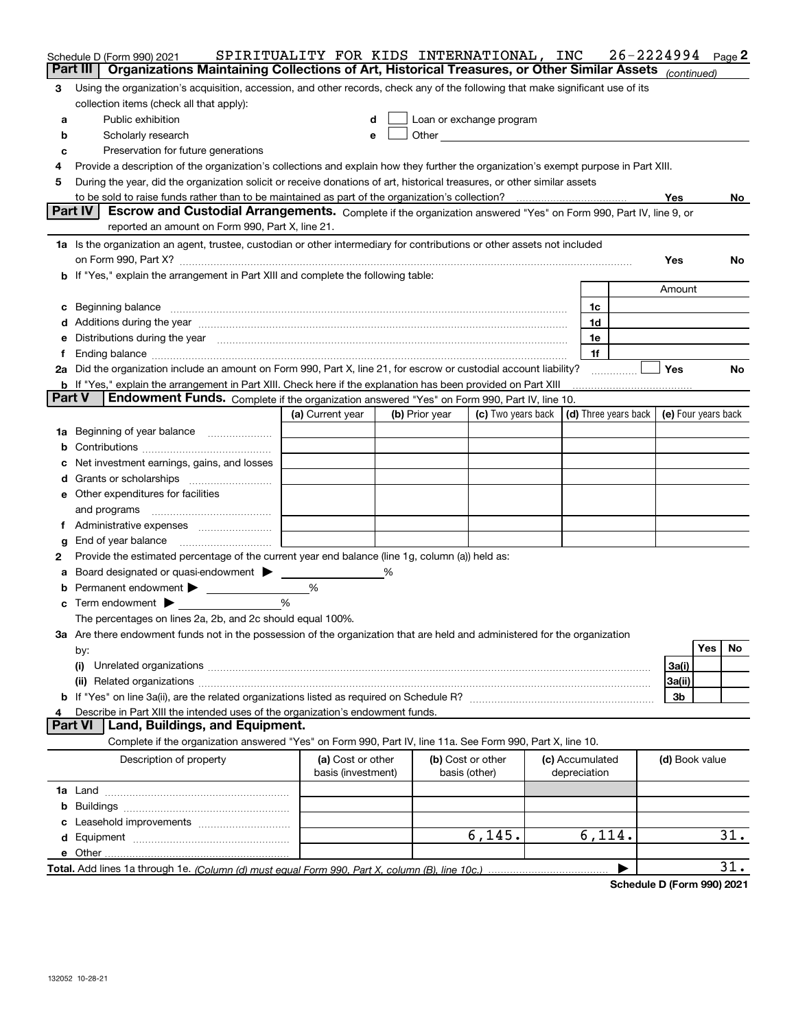|        | Schedule D (Form 990) 2021<br>Organizations Maintaining Collections of Art, Historical Treasures, or Other Similar Assets (continued)<br>Part III                                                                                                                                                                                                    | SPIRITUALITY FOR KIDS INTERNATIONAL, INC |   |                |                                    |                                 | 26-2224994                                   |                |            | Page 2            |
|--------|------------------------------------------------------------------------------------------------------------------------------------------------------------------------------------------------------------------------------------------------------------------------------------------------------------------------------------------------------|------------------------------------------|---|----------------|------------------------------------|---------------------------------|----------------------------------------------|----------------|------------|-------------------|
|        |                                                                                                                                                                                                                                                                                                                                                      |                                          |   |                |                                    |                                 |                                              |                |            |                   |
| 3      | Using the organization's acquisition, accession, and other records, check any of the following that make significant use of its                                                                                                                                                                                                                      |                                          |   |                |                                    |                                 |                                              |                |            |                   |
|        | collection items (check all that apply):                                                                                                                                                                                                                                                                                                             |                                          |   |                |                                    |                                 |                                              |                |            |                   |
| а      | Public exhibition                                                                                                                                                                                                                                                                                                                                    | d                                        |   |                | Loan or exchange program           |                                 |                                              |                |            |                   |
| b      | Scholarly research                                                                                                                                                                                                                                                                                                                                   | e                                        |   |                |                                    |                                 |                                              |                |            |                   |
| с      | Preservation for future generations                                                                                                                                                                                                                                                                                                                  |                                          |   |                |                                    |                                 |                                              |                |            |                   |
| 4      | Provide a description of the organization's collections and explain how they further the organization's exempt purpose in Part XIII.                                                                                                                                                                                                                 |                                          |   |                |                                    |                                 |                                              |                |            |                   |
| 5      | During the year, did the organization solicit or receive donations of art, historical treasures, or other similar assets                                                                                                                                                                                                                             |                                          |   |                |                                    |                                 |                                              |                |            |                   |
|        |                                                                                                                                                                                                                                                                                                                                                      |                                          |   |                |                                    |                                 |                                              | Yes            |            | No.               |
|        | Part IV<br>Escrow and Custodial Arrangements. Complete if the organization answered "Yes" on Form 990, Part IV, line 9, or                                                                                                                                                                                                                           |                                          |   |                |                                    |                                 |                                              |                |            |                   |
|        | reported an amount on Form 990, Part X, line 21.                                                                                                                                                                                                                                                                                                     |                                          |   |                |                                    |                                 |                                              |                |            |                   |
|        | 1a Is the organization an agent, trustee, custodian or other intermediary for contributions or other assets not included                                                                                                                                                                                                                             |                                          |   |                |                                    |                                 |                                              |                |            |                   |
|        |                                                                                                                                                                                                                                                                                                                                                      |                                          |   |                |                                    |                                 |                                              | Yes            |            | No                |
|        | b If "Yes," explain the arrangement in Part XIII and complete the following table:                                                                                                                                                                                                                                                                   |                                          |   |                |                                    |                                 |                                              |                |            |                   |
|        |                                                                                                                                                                                                                                                                                                                                                      |                                          |   |                |                                    |                                 |                                              | Amount         |            |                   |
|        | c Beginning balance measurements and the contract of the contract of the contract of the contract of the contract of the contract of the contract of the contract of the contract of the contract of the contract of the contr                                                                                                                       |                                          |   |                |                                    | 1c                              |                                              |                |            |                   |
|        | d Additions during the year measurements are all an according to the year measurement of the year measurement of the state of the state of the state of the state of the state of the state of the state of the state of the s                                                                                                                       |                                          |   |                |                                    | 1d                              |                                              |                |            |                   |
| е      | Distributions during the year manufactured and an account of the state of the state of the state of the state o                                                                                                                                                                                                                                      |                                          |   |                |                                    | 1e                              |                                              |                |            |                   |
| f      | Ending balance measurements are all the contract of the contract of the contract of the contract of the contract of the contract of the contract of the contract of the contract of the contract of the contract of the contra<br>2a Did the organization include an amount on Form 990, Part X, line 21, for escrow or custodial account liability? |                                          |   |                |                                    | 1f                              |                                              | <b>Yes</b>     |            | No                |
|        | b If "Yes," explain the arrangement in Part XIII. Check here if the explanation has been provided on Part XIII                                                                                                                                                                                                                                       |                                          |   |                |                                    |                                 | .                                            |                |            |                   |
|        | <b>Part V</b><br><b>Endowment Funds.</b> Complete if the organization answered "Yes" on Form 990, Part IV, line 10.                                                                                                                                                                                                                                  |                                          |   |                |                                    |                                 |                                              |                |            |                   |
|        |                                                                                                                                                                                                                                                                                                                                                      | (a) Current year                         |   | (b) Prior year | (c) Two years back                 |                                 | (d) Three years back $ $ (e) Four years back |                |            |                   |
| 1а     | Beginning of year balance                                                                                                                                                                                                                                                                                                                            |                                          |   |                |                                    |                                 |                                              |                |            |                   |
|        |                                                                                                                                                                                                                                                                                                                                                      |                                          |   |                |                                    |                                 |                                              |                |            |                   |
| с      | Net investment earnings, gains, and losses                                                                                                                                                                                                                                                                                                           |                                          |   |                |                                    |                                 |                                              |                |            |                   |
|        |                                                                                                                                                                                                                                                                                                                                                      |                                          |   |                |                                    |                                 |                                              |                |            |                   |
|        | e Other expenditures for facilities                                                                                                                                                                                                                                                                                                                  |                                          |   |                |                                    |                                 |                                              |                |            |                   |
|        | and programs                                                                                                                                                                                                                                                                                                                                         |                                          |   |                |                                    |                                 |                                              |                |            |                   |
| f      |                                                                                                                                                                                                                                                                                                                                                      |                                          |   |                |                                    |                                 |                                              |                |            |                   |
|        | End of year balance                                                                                                                                                                                                                                                                                                                                  |                                          |   |                |                                    |                                 |                                              |                |            |                   |
| g      | Provide the estimated percentage of the current year end balance (line 1g, column (a)) held as:                                                                                                                                                                                                                                                      |                                          |   |                |                                    |                                 |                                              |                |            |                   |
| 2      | Board designated or quasi-endowment >                                                                                                                                                                                                                                                                                                                |                                          | ℅ |                |                                    |                                 |                                              |                |            |                   |
| а<br>b | Permanent endowment > 1                                                                                                                                                                                                                                                                                                                              | %                                        |   |                |                                    |                                 |                                              |                |            |                   |
|        | $\mathbf c$ Term endowment $\blacktriangleright$                                                                                                                                                                                                                                                                                                     | %                                        |   |                |                                    |                                 |                                              |                |            |                   |
|        | The percentages on lines 2a, 2b, and 2c should equal 100%.                                                                                                                                                                                                                                                                                           |                                          |   |                |                                    |                                 |                                              |                |            |                   |
|        | 3a Are there endowment funds not in the possession of the organization that are held and administered for the organization                                                                                                                                                                                                                           |                                          |   |                |                                    |                                 |                                              |                |            |                   |
|        | by:                                                                                                                                                                                                                                                                                                                                                  |                                          |   |                |                                    |                                 |                                              |                | <b>Yes</b> | No                |
|        | (i)                                                                                                                                                                                                                                                                                                                                                  |                                          |   |                |                                    |                                 |                                              | 3a(i)          |            |                   |
|        |                                                                                                                                                                                                                                                                                                                                                      |                                          |   |                |                                    |                                 |                                              | 3a(ii)         |            |                   |
|        |                                                                                                                                                                                                                                                                                                                                                      |                                          |   |                |                                    |                                 |                                              | 3b             |            |                   |
| 4      | Describe in Part XIII the intended uses of the organization's endowment funds.                                                                                                                                                                                                                                                                       |                                          |   |                |                                    |                                 |                                              |                |            |                   |
|        | <b>Part VI</b><br>Land, Buildings, and Equipment.                                                                                                                                                                                                                                                                                                    |                                          |   |                |                                    |                                 |                                              |                |            |                   |
|        | Complete if the organization answered "Yes" on Form 990, Part IV, line 11a. See Form 990, Part X, line 10.                                                                                                                                                                                                                                           |                                          |   |                |                                    |                                 |                                              |                |            |                   |
|        | Description of property                                                                                                                                                                                                                                                                                                                              | (a) Cost or other<br>basis (investment)  |   |                | (b) Cost or other<br>basis (other) | (c) Accumulated<br>depreciation |                                              | (d) Book value |            |                   |
|        |                                                                                                                                                                                                                                                                                                                                                      |                                          |   |                |                                    |                                 |                                              |                |            |                   |
| b      |                                                                                                                                                                                                                                                                                                                                                      |                                          |   |                |                                    |                                 |                                              |                |            |                   |
|        |                                                                                                                                                                                                                                                                                                                                                      |                                          |   |                |                                    |                                 |                                              |                |            |                   |
|        |                                                                                                                                                                                                                                                                                                                                                      |                                          |   |                | 6, 145.                            | 6,114.                          |                                              |                |            | 31.               |
|        |                                                                                                                                                                                                                                                                                                                                                      |                                          |   |                |                                    |                                 |                                              |                |            |                   |
|        |                                                                                                                                                                                                                                                                                                                                                      |                                          |   |                |                                    |                                 | ▶                                            |                |            | $\overline{31}$ . |
|        |                                                                                                                                                                                                                                                                                                                                                      |                                          |   |                |                                    |                                 |                                              |                |            |                   |

**Schedule D (Form 990) 2021**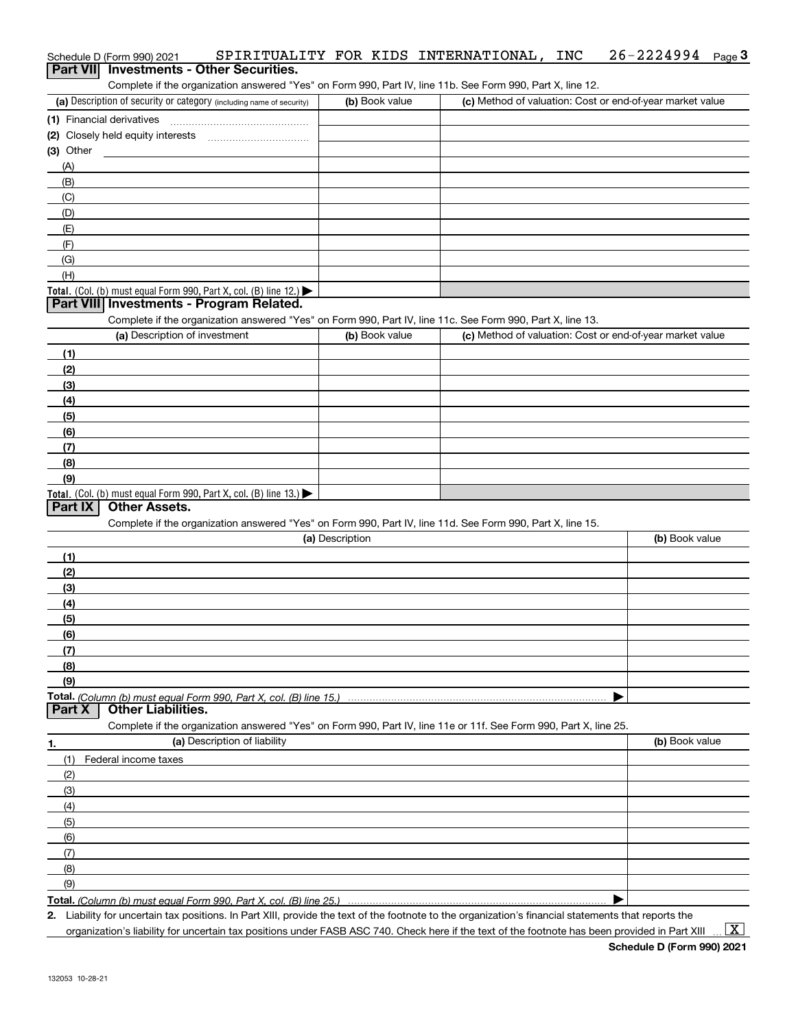# Schedule D (Form 990) 2021 SPIRITUALITY FOR KIDS INTERNATIONAL,INC 26-2224994 <sub>Page</sub> 3<br>| **Part VII** | Investments - Other Securities.

Complete if the organization answered "Yes" on Form 990, Part IV, line 11b. See Form 990, Part X, line 12.

| (a) Description of security or category (including name of security) | (b) Book value | (c) Method of valuation: Cost or end-of-year market value |
|----------------------------------------------------------------------|----------------|-----------------------------------------------------------|
| (1) Financial derivatives                                            |                |                                                           |
| (2) Closely held equity interests                                    |                |                                                           |
| (3) Other                                                            |                |                                                           |
| (A)                                                                  |                |                                                           |
| (B)                                                                  |                |                                                           |
| (C)                                                                  |                |                                                           |
| (D)                                                                  |                |                                                           |
| (E)                                                                  |                |                                                           |
| (F)                                                                  |                |                                                           |
| (G)                                                                  |                |                                                           |
| (H)                                                                  |                |                                                           |
| Total. (Col. (b) must equal Form 990, Part X, col. (B) line $12$ .)  |                |                                                           |

### **Part VIII Investments - Program Related.**

Complete if the organization answered "Yes" on Form 990, Part IV, line 11c. See Form 990, Part X, line 13.

| (a) Description of investment                                       | (b) Book value | (c) Method of valuation: Cost or end-of-year market value |
|---------------------------------------------------------------------|----------------|-----------------------------------------------------------|
| (1)                                                                 |                |                                                           |
| (2)                                                                 |                |                                                           |
| (3)                                                                 |                |                                                           |
| (4)                                                                 |                |                                                           |
| (5)                                                                 |                |                                                           |
| (6)                                                                 |                |                                                           |
| (7)                                                                 |                |                                                           |
| (8)                                                                 |                |                                                           |
| (9)                                                                 |                |                                                           |
| Total. (Col. (b) must equal Form 990, Part X, col. (B) line $13.$ ) |                |                                                           |

### **Part IX Other Assets.**

Complete if the organization answered "Yes" on Form 990, Part IV, line 11d. See Form 990, Part X, line 15.

| (a) Description                                                                                                   | (b) Book value |
|-------------------------------------------------------------------------------------------------------------------|----------------|
| (1)                                                                                                               |                |
| (2)                                                                                                               |                |
| $\frac{1}{2}$                                                                                                     |                |
| (4)                                                                                                               |                |
| $\frac{1}{2}$                                                                                                     |                |
| (6)                                                                                                               |                |
| (7)                                                                                                               |                |
| (8)                                                                                                               |                |
| (9)                                                                                                               |                |
|                                                                                                                   |                |
| Part X<br><b>Other Liabilities.</b>                                                                               |                |
| Complete if the organization answered "Yes" on Form 990, Part IV, line 11e or 11f. See Form 990, Part X, line 25. |                |

**1. (a)** Description of liability **Book value** Book value Book value Book value Book value (1)Federal income taxes (2)(3)(4)(5) (6)(7)(8)(9) $\blacktriangleright$ 

**Total.**  *(Column (b) must equal Form 990, Part X, col. (B) line 25.)* 

**2.**Liability for uncertain tax positions. In Part XIII, provide the text of the footnote to the organization's financial statements that reports the organization's liability for uncertain tax positions under FASB ASC 740. Check here if the text of the footnote has been provided in Part XIII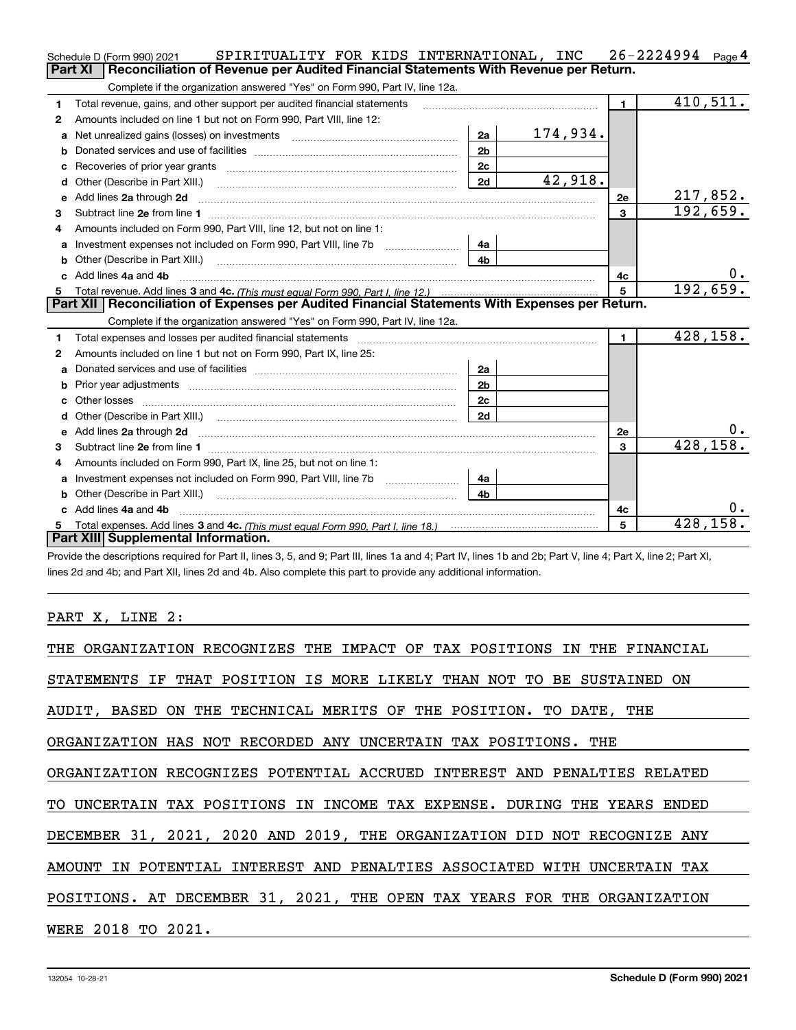|    | SPIRITUALITY FOR KIDS INTERNATIONAL, INC<br>Schedule D (Form 990) 2021                                                                                                                                                         |                |                 |                | $26 - 2224994$ Page 4 |
|----|--------------------------------------------------------------------------------------------------------------------------------------------------------------------------------------------------------------------------------|----------------|-----------------|----------------|-----------------------|
|    | <b>Part XI</b><br>Reconciliation of Revenue per Audited Financial Statements With Revenue per Return.                                                                                                                          |                |                 |                |                       |
|    | Complete if the organization answered "Yes" on Form 990, Part IV, line 12a.                                                                                                                                                    |                |                 |                |                       |
| 1  | Total revenue, gains, and other support per audited financial statements                                                                                                                                                       |                |                 | $\blacksquare$ | 410,511.              |
| 2  | Amounts included on line 1 but not on Form 990, Part VIII, line 12:                                                                                                                                                            |                |                 |                |                       |
| a  | Net unrealized gains (losses) on investments [11] matter contracts and the unrealized gains (losses) on investments                                                                                                            | 2a             | <u>174,934.</u> |                |                       |
|    |                                                                                                                                                                                                                                | 2 <sub>b</sub> |                 |                |                       |
| с  | Recoveries of prior year grants [11] matter contracts and prior year grants [11] matter contracts and prior year grants and prior year of the contracts and prior year of the contracts and prior year of the contracts and pr | 2c             |                 |                |                       |
| d  | Other (Describe in Part XIII.) [2004] [2015] [2016] [2016] [2016] [2016] [2016] [2016] [2016] [2016] [2016] [2016] [2016] [2016] [2016] [2016] [2016] [2016] [2016] [2016] [2016] [2016] [2016] [2016] [2016] [2016] [2016] [2 | 2d             | 42,918.         |                |                       |
| е  | Add lines 2a through 2d                                                                                                                                                                                                        |                |                 | 2e             | <u>217,852.</u>       |
| З. |                                                                                                                                                                                                                                |                |                 | 3              | 192,659.              |
| 4  | Amounts included on Form 990, Part VIII, line 12, but not on line 1:                                                                                                                                                           |                |                 |                |                       |
|    |                                                                                                                                                                                                                                | 4a             |                 |                |                       |
| b  | Other (Describe in Part XIII.) <b>Construction Contract Construction</b> (Describe in Part XIII.)                                                                                                                              | 4 <sub>b</sub> |                 |                |                       |
| c. | Add lines 4a and 4b                                                                                                                                                                                                            |                | 4с              |                |                       |
|    |                                                                                                                                                                                                                                |                |                 | $5^{\circ}$    | 192,659.              |
|    |                                                                                                                                                                                                                                |                |                 |                |                       |
|    | Part XII   Reconciliation of Expenses per Audited Financial Statements With Expenses per Return.                                                                                                                               |                |                 |                |                       |
|    | Complete if the organization answered "Yes" on Form 990, Part IV, line 12a.                                                                                                                                                    |                |                 |                |                       |
| 1  | Total expenses and losses per audited financial statements                                                                                                                                                                     |                |                 | $\mathbf{1}$   | 428,158.              |
| 2  | Amounts included on line 1 but not on Form 990, Part IX, line 25:                                                                                                                                                              |                |                 |                |                       |
| a  |                                                                                                                                                                                                                                | 2a             |                 |                |                       |
|    |                                                                                                                                                                                                                                | 2 <sub>b</sub> |                 |                |                       |
| с  |                                                                                                                                                                                                                                | 2 <sub>c</sub> |                 |                |                       |
| d  | Other (Describe in Part XIII.) (COLORGIAL CONSERVISTION) (CONSERVISTION) (CONSERVISTION)                                                                                                                                       | 2d             |                 |                |                       |
|    | Add lines 2a through 2d <b>must be a constructed as the constant of the constant of the constant of the construction</b>                                                                                                       |                |                 | 2e             | 0.                    |
| З. |                                                                                                                                                                                                                                |                |                 | 3              | 428, 158.             |
| 4  | Amounts included on Form 990, Part IX, line 25, but not on line 1:                                                                                                                                                             |                |                 |                |                       |
| a  | Investment expenses not included on Form 990, Part VIII, line 7b [111] [11] Investment expenses not included on Form 990, Part VIII, line 7b                                                                                   | 4a             |                 |                |                       |
| b  |                                                                                                                                                                                                                                | 4b             |                 |                |                       |
|    | Add lines 4a and 4b                                                                                                                                                                                                            |                |                 | 4с             | 0.                    |
| 5  | Part XIII Supplemental Information.                                                                                                                                                                                            |                |                 | 5              | 428,158.              |

Provide the descriptions required for Part II, lines 3, 5, and 9; Part III, lines 1a and 4; Part IV, lines 1b and 2b; Part V, line 4; Part X, line 2; Part XI, lines 2d and 4b; and Part XII, lines 2d and 4b. Also complete this part to provide any additional information.

## PART X, LINE 2:

| THE ORGANIZATION RECOGNIZES THE IMPACT OF TAX POSITIONS IN THE FINANCIAL |
|--------------------------------------------------------------------------|
| STATEMENTS IF THAT POSITION IS MORE LIKELY THAN NOT TO BE SUSTAINED ON   |
| AUDIT, BASED ON THE TECHNICAL MERITS OF THE POSITION. TO DATE, THE       |
| ORGANIZATION HAS NOT RECORDED ANY UNCERTAIN TAX POSITIONS. THE           |
| ORGANIZATION RECOGNIZES POTENTIAL ACCRUED INTEREST AND PENALTIES RELATED |
| TO UNCERTAIN TAX POSITIONS IN INCOME TAX EXPENSE. DURING THE YEARS ENDED |
| DECEMBER 31, 2021, 2020 AND 2019, THE ORGANIZATION DID NOT RECOGNIZE ANY |
| AMOUNT IN POTENTIAL INTEREST AND PENALTIES ASSOCIATED WITH UNCERTAIN TAX |
| POSITIONS. AT DECEMBER 31, 2021, THE OPEN TAX YEARS FOR THE ORGANIZATION |
| WERE 2018 TO 2021.                                                       |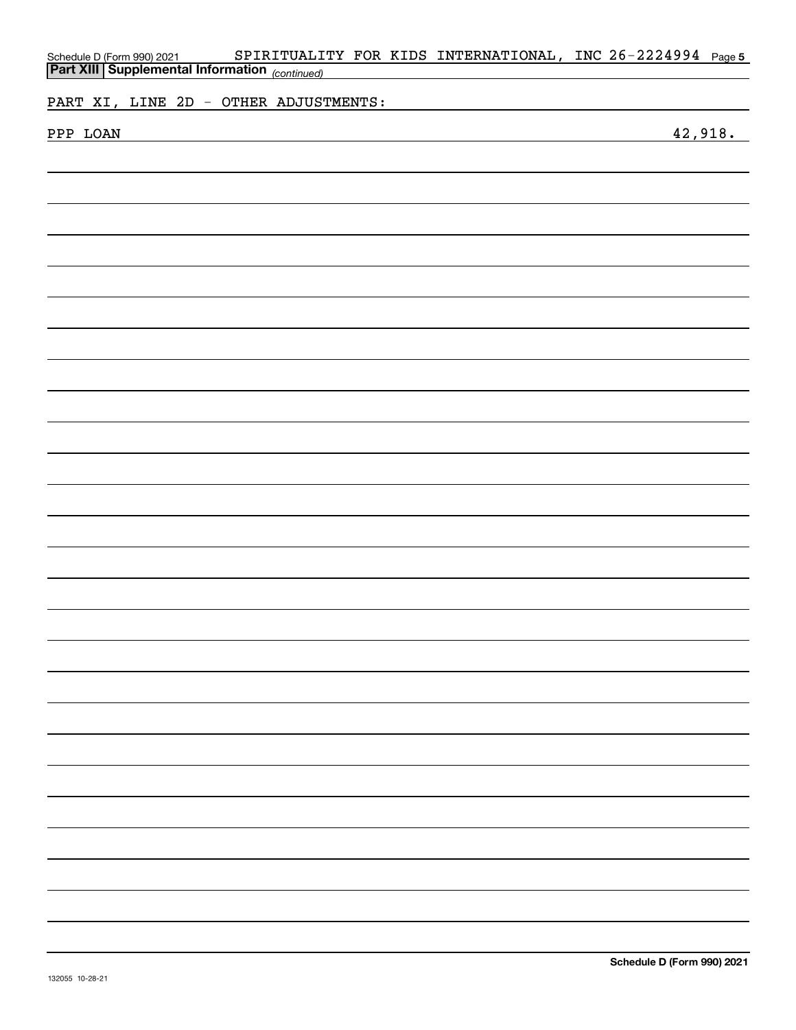| <b>Part XIII Supplemental Information</b> (continued)<br>PART XI, LINE 2D - OTHER ADJUSTMENTS:<br>42,918.<br>PPP LOAN<br><u> 1989 - Johann Stoff, amerikansk politiker (d. 1989)</u> |  | Schedule D (Form 990) 2021 |  |  |  |  |  | SPIRITUALITY FOR KIDS INTERNATIONAL, INC 26-2224994 Page 5 |  |  |  |
|--------------------------------------------------------------------------------------------------------------------------------------------------------------------------------------|--|----------------------------|--|--|--|--|--|------------------------------------------------------------|--|--|--|
|                                                                                                                                                                                      |  |                            |  |  |  |  |  |                                                            |  |  |  |
|                                                                                                                                                                                      |  |                            |  |  |  |  |  |                                                            |  |  |  |
|                                                                                                                                                                                      |  |                            |  |  |  |  |  |                                                            |  |  |  |
|                                                                                                                                                                                      |  |                            |  |  |  |  |  |                                                            |  |  |  |
|                                                                                                                                                                                      |  |                            |  |  |  |  |  |                                                            |  |  |  |
|                                                                                                                                                                                      |  |                            |  |  |  |  |  |                                                            |  |  |  |
|                                                                                                                                                                                      |  |                            |  |  |  |  |  |                                                            |  |  |  |
|                                                                                                                                                                                      |  |                            |  |  |  |  |  |                                                            |  |  |  |
|                                                                                                                                                                                      |  |                            |  |  |  |  |  |                                                            |  |  |  |
|                                                                                                                                                                                      |  |                            |  |  |  |  |  |                                                            |  |  |  |
|                                                                                                                                                                                      |  |                            |  |  |  |  |  |                                                            |  |  |  |
|                                                                                                                                                                                      |  |                            |  |  |  |  |  |                                                            |  |  |  |
|                                                                                                                                                                                      |  |                            |  |  |  |  |  |                                                            |  |  |  |
|                                                                                                                                                                                      |  |                            |  |  |  |  |  |                                                            |  |  |  |
|                                                                                                                                                                                      |  |                            |  |  |  |  |  |                                                            |  |  |  |
|                                                                                                                                                                                      |  |                            |  |  |  |  |  |                                                            |  |  |  |
|                                                                                                                                                                                      |  |                            |  |  |  |  |  |                                                            |  |  |  |
|                                                                                                                                                                                      |  |                            |  |  |  |  |  |                                                            |  |  |  |
|                                                                                                                                                                                      |  |                            |  |  |  |  |  |                                                            |  |  |  |
|                                                                                                                                                                                      |  |                            |  |  |  |  |  |                                                            |  |  |  |
|                                                                                                                                                                                      |  |                            |  |  |  |  |  |                                                            |  |  |  |
|                                                                                                                                                                                      |  |                            |  |  |  |  |  |                                                            |  |  |  |
|                                                                                                                                                                                      |  |                            |  |  |  |  |  |                                                            |  |  |  |
|                                                                                                                                                                                      |  |                            |  |  |  |  |  |                                                            |  |  |  |
|                                                                                                                                                                                      |  |                            |  |  |  |  |  |                                                            |  |  |  |
|                                                                                                                                                                                      |  |                            |  |  |  |  |  |                                                            |  |  |  |
|                                                                                                                                                                                      |  |                            |  |  |  |  |  |                                                            |  |  |  |
|                                                                                                                                                                                      |  |                            |  |  |  |  |  |                                                            |  |  |  |
|                                                                                                                                                                                      |  |                            |  |  |  |  |  |                                                            |  |  |  |
|                                                                                                                                                                                      |  |                            |  |  |  |  |  |                                                            |  |  |  |
|                                                                                                                                                                                      |  |                            |  |  |  |  |  |                                                            |  |  |  |
|                                                                                                                                                                                      |  |                            |  |  |  |  |  |                                                            |  |  |  |
|                                                                                                                                                                                      |  |                            |  |  |  |  |  |                                                            |  |  |  |
|                                                                                                                                                                                      |  |                            |  |  |  |  |  |                                                            |  |  |  |
|                                                                                                                                                                                      |  |                            |  |  |  |  |  |                                                            |  |  |  |
|                                                                                                                                                                                      |  |                            |  |  |  |  |  |                                                            |  |  |  |
|                                                                                                                                                                                      |  |                            |  |  |  |  |  |                                                            |  |  |  |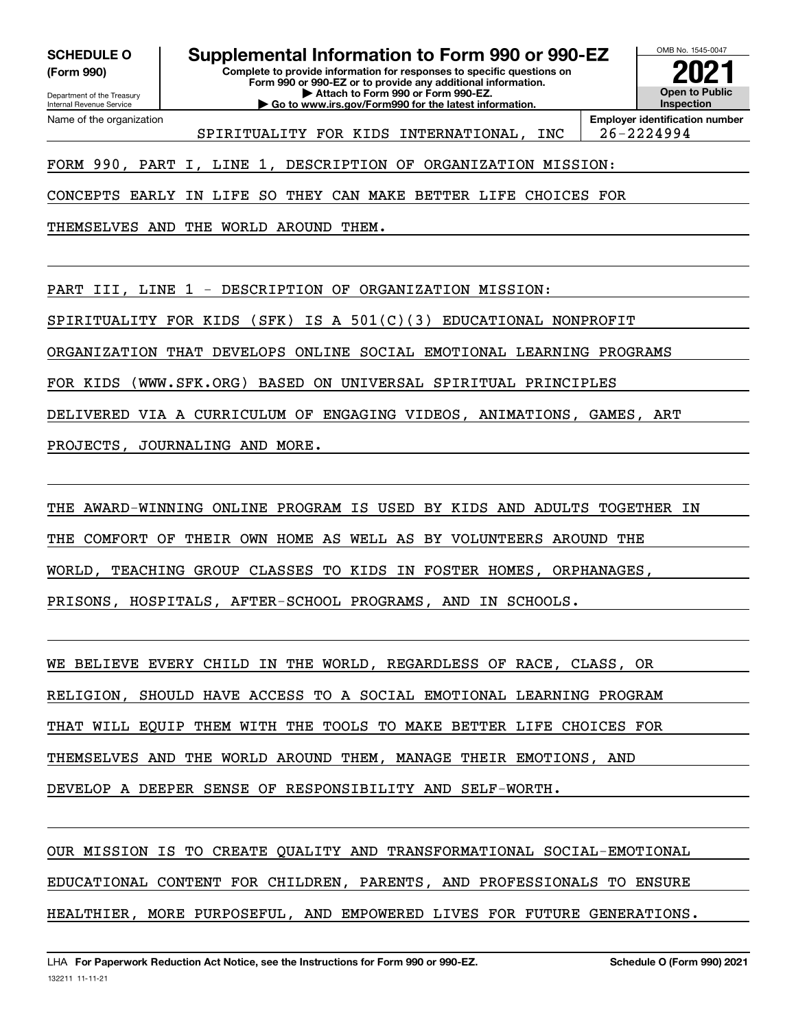**(Form 990)**

# **SCHEDULE O Supplemental Information to Form 990 or 990-EZ**

Department of the Treasury Internal Revenue Service Name of the organization

**Complete to provide information for responses to specific questions on Form 990 or 990-EZ or to provide any additional information. | Attach to Form 990 or Form 990-EZ. | Go to www.irs.gov/Form990 for the latest information.**



**Employer identification number** SPIRITUALITY FOR KIDS INTERNATIONAL, INC | 26-2224994

FORM 990, PART I, LINE 1, DESCRIPTION OF ORGANIZATION MISSION:

CONCEPTS EARLY IN LIFE SO THEY CAN MAKE BETTER LIFE CHOICES FOR

THEMSELVES AND THE WORLD AROUND THEM.

PART III, LINE 1 - DESCRIPTION OF ORGANIZATION MISSION:

SPIRITUALITY FOR KIDS (SFK) IS A 501(C)(3) EDUCATIONAL NONPROFIT

ORGANIZATION THAT DEVELOPS ONLINE SOCIAL EMOTIONAL LEARNING PROGRAMS

FOR KIDS (WWW.SFK.ORG) BASED ON UNIVERSAL SPIRITUAL PRINCIPLES

DELIVERED VIA A CURRICULUM OF ENGAGING VIDEOS, ANIMATIONS, GAMES, ART

PROJECTS, JOURNALING AND MORE.

THE AWARD-WINNING ONLINE PROGRAM IS USED BY KIDS AND ADULTS TOGETHER IN

THE COMFORT OF THEIR OWN HOME AS WELL AS BY VOLUNTEERS AROUND THE

WORLD, TEACHING GROUP CLASSES TO KIDS IN FOSTER HOMES, ORPHANAGES,

PRISONS, HOSPITALS, AFTER-SCHOOL PROGRAMS, AND IN SCHOOLS.

WE BELIEVE EVERY CHILD IN THE WORLD, REGARDLESS OF RACE, CLASS, OR

RELIGION, SHOULD HAVE ACCESS TO A SOCIAL EMOTIONAL LEARNING PROGRAM

THAT WILL EQUIP THEM WITH THE TOOLS TO MAKE BETTER LIFE CHOICES FOR

THEMSELVES AND THE WORLD AROUND THEM, MANAGE THEIR EMOTIONS, AND

DEVELOP A DEEPER SENSE OF RESPONSIBILITY AND SELF-WORTH.

OUR MISSION IS TO CREATE QUALITY AND TRANSFORMATIONAL SOCIAL-EMOTIONAL EDUCATIONAL CONTENT FOR CHILDREN, PARENTS, AND PROFESSIONALS TO ENSURE HEALTHIER, MORE PURPOSEFUL, AND EMPOWERED LIVES FOR FUTURE GENERATIONS.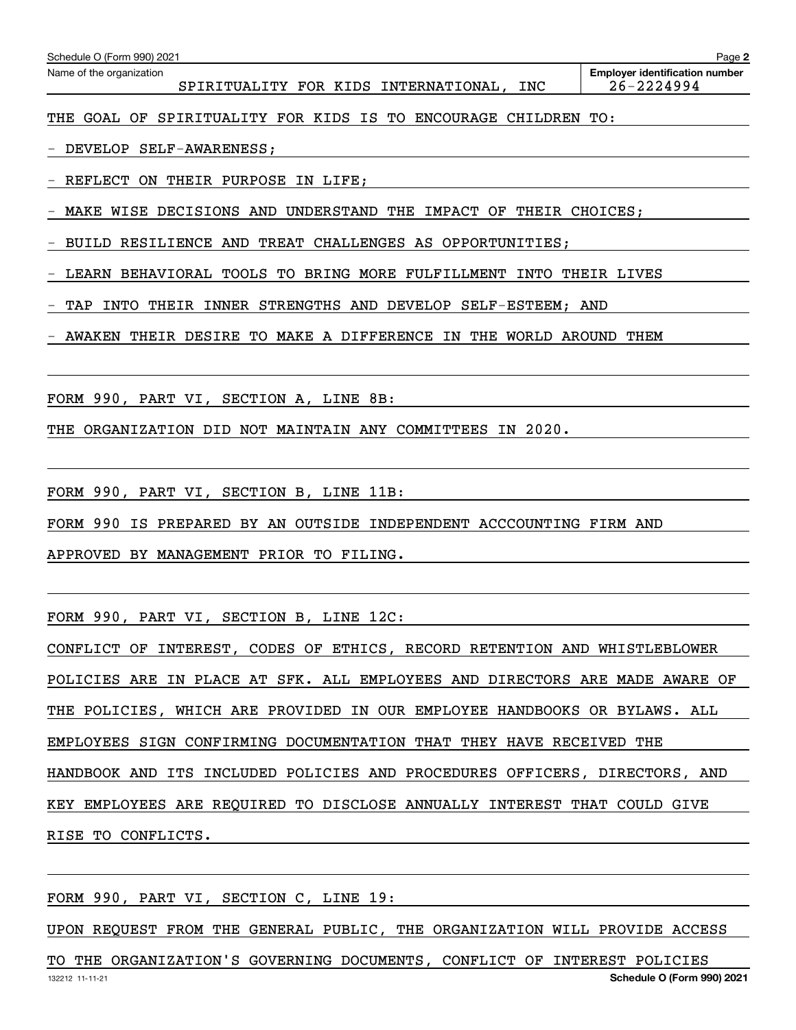| Schedule O (Form 990) 2021                                                  | Page 2                                                  |
|-----------------------------------------------------------------------------|---------------------------------------------------------|
| Name of the organization<br>SPIRITUALITY FOR KIDS INTERNATIONAL,<br>INC     | <b>Employer identification number</b><br>$26 - 2224994$ |
| SPIRITUALITY FOR KIDS IS TO ENCOURAGE<br>GOAL OF<br>CHILDREN<br>THE         | TO:                                                     |
| DEVELOP SELF-AWARENESS;                                                     |                                                         |
| REFLECT<br>THEIR PURPOSE IN LIFE;<br>ON                                     |                                                         |
| WISE DECISIONS AND<br>UNDERSTAND THE<br>IMPACT OF<br>THEIR CHOICES:<br>MAKE |                                                         |
| BUILD RESILIENCE AND TREAT CHALLENGES AS OPPORTUNITIES:                     |                                                         |
| LEARN BEHAVIORAL TOOLS TO BRING MORE FULFILLMENT<br>INTO                    | THEIR LIVES                                             |
| INNER<br>STRENGTHS AND DEVELOP<br>INTO<br>THEIR<br>$SELF-ESTEEM$ ;<br>TAP   | AND                                                     |
| THEIR DESIRE TO MAKE A DIFFERENCE IN<br>THE<br>WORLD<br>AWAKEN              | AROUND<br>THEM                                          |

FORM 990, PART VI, SECTION A, LINE 8B:

THE ORGANIZATION DID NOT MAINTAIN ANY COMMITTEES IN 2020.

FORM 990, PART VI, SECTION B, LINE 11B:

FORM 990 IS PREPARED BY AN OUTSIDE INDEPENDENT ACCCOUNTING FIRM AND

APPROVED BY MANAGEMENT PRIOR TO FILING.

FORM 990, PART VI, SECTION B, LINE 12C:

CONFLICT OF INTEREST, CODES OF ETHICS, RECORD RETENTION AND WHISTLEBLOWER POLICIES ARE IN PLACE AT SFK. ALL EMPLOYEES AND DIRECTORS ARE MADE AWARE OF THE POLICIES, WHICH ARE PROVIDED IN OUR EMPLOYEE HANDBOOKS OR BYLAWS. ALL EMPLOYEES SIGN CONFIRMING DOCUMENTATION THAT THEY HAVE RECEIVED THE HANDBOOK AND ITS INCLUDED POLICIES AND PROCEDURES OFFICERS, DIRECTORS, AND KEY EMPLOYEES ARE REQUIRED TO DISCLOSE ANNUALLY INTEREST THAT COULD GIVE RISE TO CONFLICTS.

FORM 990, PART VI, SECTION C, LINE 19:

UPON REQUEST FROM THE GENERAL PUBLIC, THE ORGANIZATION WILL PROVIDE ACCESS

132212 11-11-21 **Schedule O (Form 990) 2021** TO THE ORGANIZATION'S GOVERNING DOCUMENTS, CONFLICT OF INTEREST POLICIES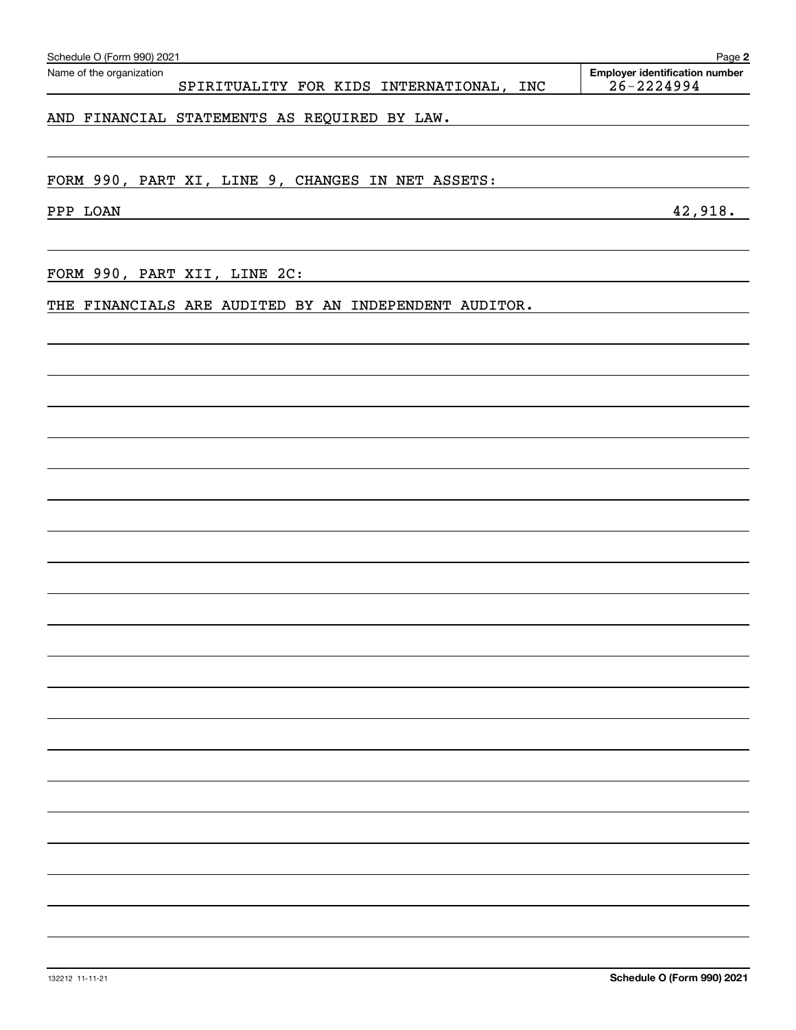| Schedule O (Form 990) 2021                                           | Page 2                                                  |
|----------------------------------------------------------------------|---------------------------------------------------------|
| Name of the organization<br>SPIRITUALITY FOR KIDS INTERNATIONAL, INC | <b>Employer identification number</b><br>$26 - 2224994$ |
| AND FINANCIAL STATEMENTS AS REQUIRED BY LAW.                         |                                                         |
| FORM 990, PART XI, LINE 9, CHANGES IN NET ASSETS:                    |                                                         |
| PPP LOAN                                                             | 42,918.                                                 |
| FORM 990, PART XII, LINE 2C:                                         |                                                         |
| THE FINANCIALS ARE AUDITED BY AN INDEPENDENT AUDITOR.                |                                                         |
|                                                                      |                                                         |
|                                                                      |                                                         |
|                                                                      |                                                         |
|                                                                      |                                                         |
|                                                                      |                                                         |
|                                                                      |                                                         |
|                                                                      |                                                         |
|                                                                      |                                                         |
|                                                                      |                                                         |
|                                                                      |                                                         |
|                                                                      |                                                         |
|                                                                      |                                                         |
|                                                                      |                                                         |
|                                                                      |                                                         |
|                                                                      |                                                         |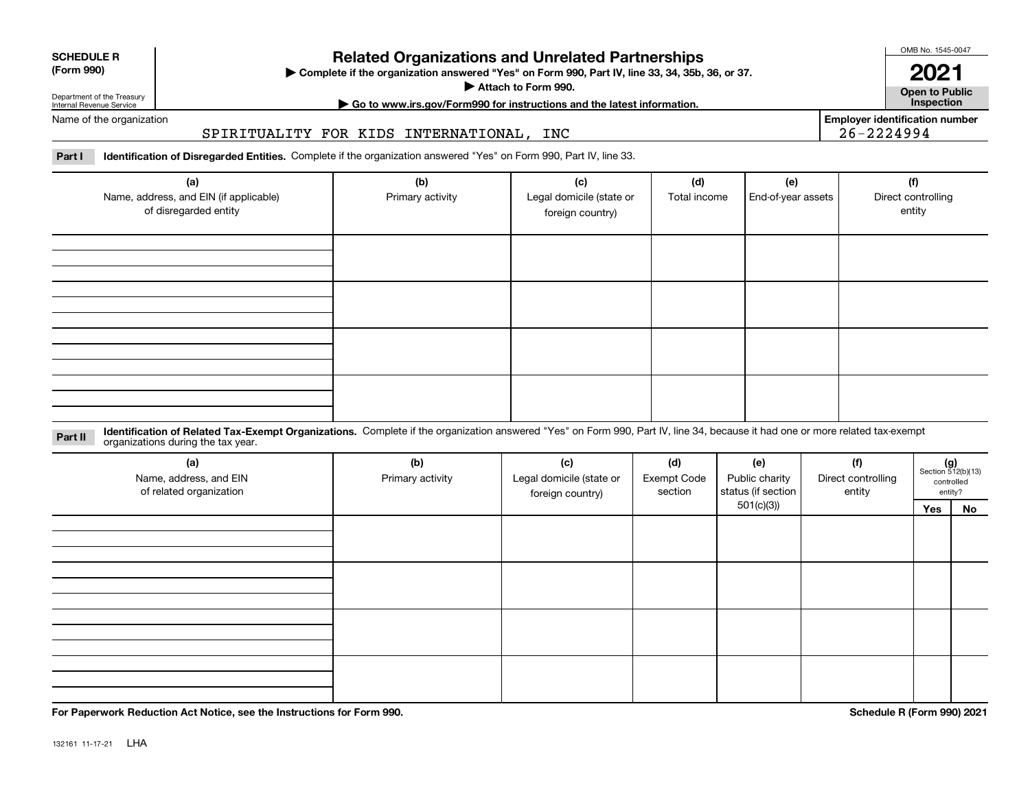| <b>SCHEDULE R</b>                          |  |
|--------------------------------------------|--|
| $\mathbf{r}$ , $\mathbf{r}$ , $\mathbf{r}$ |  |

### **(Form 990)**

## **Related Organizations and Unrelated Partnerships**

**Complete if the organization answered "Yes" on Form 990, Part IV, line 33, 34, 35b, 36, or 37.** |

**Attach to Form 990.**  |

OMB No. 1545-0047

**Open to Public 2021**

**Employer identification number**

Department of the Treasury Internal Revenue Service

# **| Go to www.irs.gov/Form990 for instructions and the latest information. Inspection**

## Name of the organization

### SPIRITUALITY FOR KIDS INTERNATIONAL, INC

**Part I Identification of Disregarded Entities.**  Complete if the organization answered "Yes" on Form 990, Part IV, line 33.

| (a)<br>Name, address, and EIN (if applicable)<br>of disregarded entity | (b)<br>Primary activity | (c)<br>Legal domicile (state or<br>foreign country) | (d)<br>Total income | (e)<br>End-of-year assets | (f)<br>Direct controlling<br>entity |
|------------------------------------------------------------------------|-------------------------|-----------------------------------------------------|---------------------|---------------------------|-------------------------------------|
|                                                                        |                         |                                                     |                     |                           |                                     |
|                                                                        |                         |                                                     |                     |                           |                                     |
|                                                                        |                         |                                                     |                     |                           |                                     |
|                                                                        |                         |                                                     |                     |                           |                                     |

**Identification of Related Tax-Exempt Organizations.** Complete if the organization answered "Yes" on Form 990, Part IV, line 34, because it had one or more related tax-exempt **Part II** organizations during the tax year.

| (a)<br>Name, address, and EIN<br>of related organization | (b)<br>Primary activity | (c)<br>Legal domicile (state or<br>foreign country) | (d)<br><b>Exempt Code</b><br>section | (e)<br>Public charity<br>status (if section | (f)<br>Direct controlling<br>entity |     | $(g)$<br>Section 512(b)(13)<br>controlled<br>entity? |
|----------------------------------------------------------|-------------------------|-----------------------------------------------------|--------------------------------------|---------------------------------------------|-------------------------------------|-----|------------------------------------------------------|
|                                                          |                         |                                                     |                                      | 501(c)(3)                                   |                                     | Yes | No                                                   |
|                                                          |                         |                                                     |                                      |                                             |                                     |     |                                                      |
|                                                          |                         |                                                     |                                      |                                             |                                     |     |                                                      |
|                                                          |                         |                                                     |                                      |                                             |                                     |     |                                                      |
|                                                          |                         |                                                     |                                      |                                             |                                     |     |                                                      |

**For Paperwork Reduction Act Notice, see the Instructions for Form 990. Schedule R (Form 990) 2021**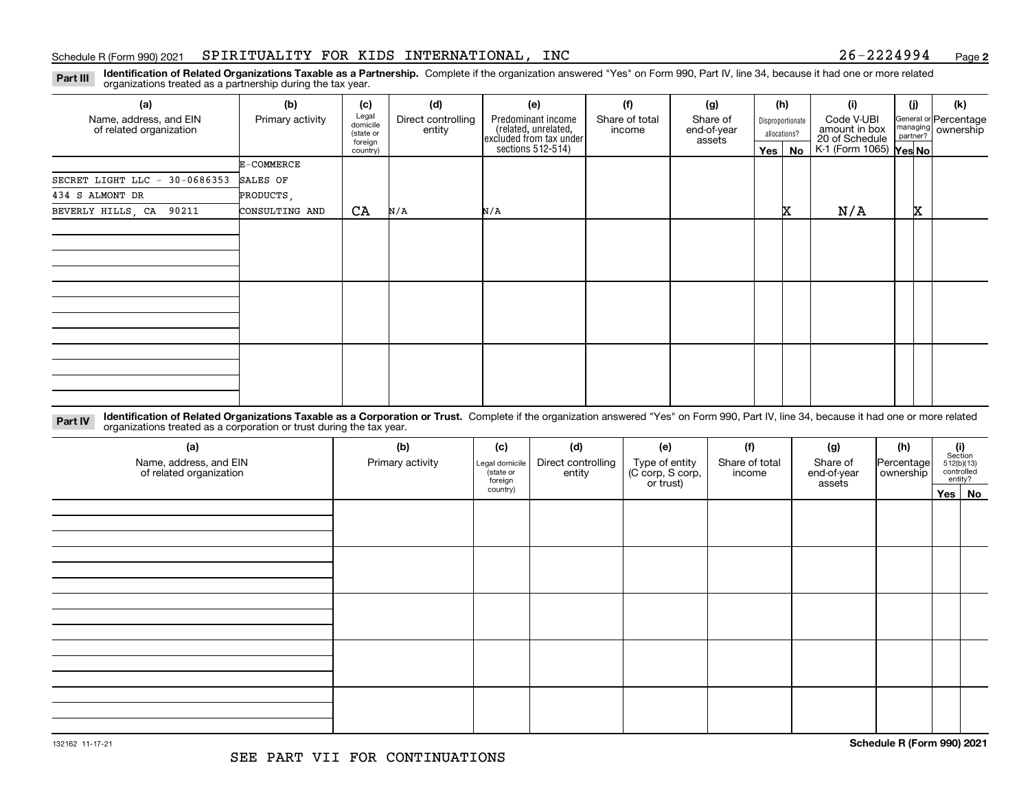**2**

**Identification of Related Organizations Taxable as a Partnership.** Complete if the organization answered "Yes" on Form 990, Part IV, line 34, because it had one or more related **Part III** organizations treated as a partnership during the tax year.

| (a)                                                                                                                                                                                                 | (b)              | (c)                                       | (d)                          | (e)                                                                   | (f)                      | (g)                               |         | (h)                              | (i)                                           | (j) |                                             | (k) |
|-----------------------------------------------------------------------------------------------------------------------------------------------------------------------------------------------------|------------------|-------------------------------------------|------------------------------|-----------------------------------------------------------------------|--------------------------|-----------------------------------|---------|----------------------------------|-----------------------------------------------|-----|---------------------------------------------|-----|
| Name, address, and EIN<br>of related organization                                                                                                                                                   | Primary activity | Legal<br>domicile<br>(state or<br>foreian | Direct controlling<br>entity | Predominant income<br>related, unrelated,<br> excluded from tax under | Share of total<br>income | Share of<br>end-of-year<br>assets |         | Disproportionate<br>allocations? | Code V-UBI<br>amount in box<br>20 of Schedule |     | General or Percentage<br>managing ownership |     |
|                                                                                                                                                                                                     |                  | country)                                  |                              | sections 512-514)                                                     |                          |                                   | Yes $ $ | No                               | K-1 (Form 1065) Yes No                        |     |                                             |     |
|                                                                                                                                                                                                     | E-COMMERCE       |                                           |                              |                                                                       |                          |                                   |         |                                  |                                               |     |                                             |     |
| 30-0686353<br>SECRET LIGHT LLC -                                                                                                                                                                    | SALES OF         |                                           |                              |                                                                       |                          |                                   |         |                                  |                                               |     |                                             |     |
| 434 S ALMONT DR                                                                                                                                                                                     | PRODUCTS,        |                                           |                              |                                                                       |                          |                                   |         |                                  |                                               |     |                                             |     |
| BEVERLY HILLS, CA 90211                                                                                                                                                                             | CONSULTING AND   | CA                                        | N/A                          | N/A                                                                   |                          |                                   |         | x                                | N/A                                           | x   |                                             |     |
|                                                                                                                                                                                                     |                  |                                           |                              |                                                                       |                          |                                   |         |                                  |                                               |     |                                             |     |
|                                                                                                                                                                                                     |                  |                                           |                              |                                                                       |                          |                                   |         |                                  |                                               |     |                                             |     |
|                                                                                                                                                                                                     |                  |                                           |                              |                                                                       |                          |                                   |         |                                  |                                               |     |                                             |     |
|                                                                                                                                                                                                     |                  |                                           |                              |                                                                       |                          |                                   |         |                                  |                                               |     |                                             |     |
|                                                                                                                                                                                                     |                  |                                           |                              |                                                                       |                          |                                   |         |                                  |                                               |     |                                             |     |
|                                                                                                                                                                                                     |                  |                                           |                              |                                                                       |                          |                                   |         |                                  |                                               |     |                                             |     |
|                                                                                                                                                                                                     |                  |                                           |                              |                                                                       |                          |                                   |         |                                  |                                               |     |                                             |     |
|                                                                                                                                                                                                     |                  |                                           |                              |                                                                       |                          |                                   |         |                                  |                                               |     |                                             |     |
|                                                                                                                                                                                                     |                  |                                           |                              |                                                                       |                          |                                   |         |                                  |                                               |     |                                             |     |
|                                                                                                                                                                                                     |                  |                                           |                              |                                                                       |                          |                                   |         |                                  |                                               |     |                                             |     |
|                                                                                                                                                                                                     |                  |                                           |                              |                                                                       |                          |                                   |         |                                  |                                               |     |                                             |     |
|                                                                                                                                                                                                     |                  |                                           |                              |                                                                       |                          |                                   |         |                                  |                                               |     |                                             |     |
| Identification of Related Organizations Taxable as a Corporation or Trust. Complete if the organization answered "Yes" on Form 990, Part IV, line 34, because it had one or more related<br>Dart IV |                  |                                           |                              |                                                                       |                          |                                   |         |                                  |                                               |     |                                             |     |

**Part IV** Identification of Related Organizations Taxable as a Corporation or Trust.<br>
organizations treated as a corporation or trust during the tax year.

| (a)<br>Name, address, and EIN<br>of related organization | (b)<br>Primary activity | (c)<br>Legal domicile<br>(state or<br>foreign | (d)<br>Direct controlling<br>entity | (e)<br>Type of entity<br>(C corp, S corp,<br>or trust) | (f)<br>Share of total<br>income | (g)<br>Share of<br>end-of-year<br>assets | (h)<br>Percentage<br>  ownership | $(i)$ Section<br>512(b)(13)<br>controlled<br>entity? |
|----------------------------------------------------------|-------------------------|-----------------------------------------------|-------------------------------------|--------------------------------------------------------|---------------------------------|------------------------------------------|----------------------------------|------------------------------------------------------|
|                                                          |                         | country)                                      |                                     |                                                        |                                 |                                          |                                  | Yes No                                               |
|                                                          |                         |                                               |                                     |                                                        |                                 |                                          |                                  |                                                      |
|                                                          |                         |                                               |                                     |                                                        |                                 |                                          |                                  |                                                      |
|                                                          |                         |                                               |                                     |                                                        |                                 |                                          |                                  |                                                      |
|                                                          |                         |                                               |                                     |                                                        |                                 |                                          |                                  |                                                      |
|                                                          |                         |                                               |                                     |                                                        |                                 |                                          |                                  |                                                      |
|                                                          |                         |                                               |                                     |                                                        |                                 |                                          |                                  |                                                      |
|                                                          |                         |                                               |                                     |                                                        |                                 |                                          |                                  |                                                      |
|                                                          |                         |                                               |                                     |                                                        |                                 |                                          |                                  |                                                      |
|                                                          |                         |                                               |                                     |                                                        |                                 |                                          |                                  |                                                      |
|                                                          |                         |                                               |                                     |                                                        |                                 |                                          |                                  |                                                      |
|                                                          |                         |                                               |                                     |                                                        |                                 |                                          |                                  |                                                      |
|                                                          |                         |                                               |                                     |                                                        |                                 |                                          |                                  |                                                      |
|                                                          |                         |                                               |                                     |                                                        |                                 |                                          |                                  |                                                      |
|                                                          |                         |                                               |                                     |                                                        |                                 |                                          |                                  |                                                      |
|                                                          |                         |                                               |                                     |                                                        |                                 |                                          |                                  |                                                      |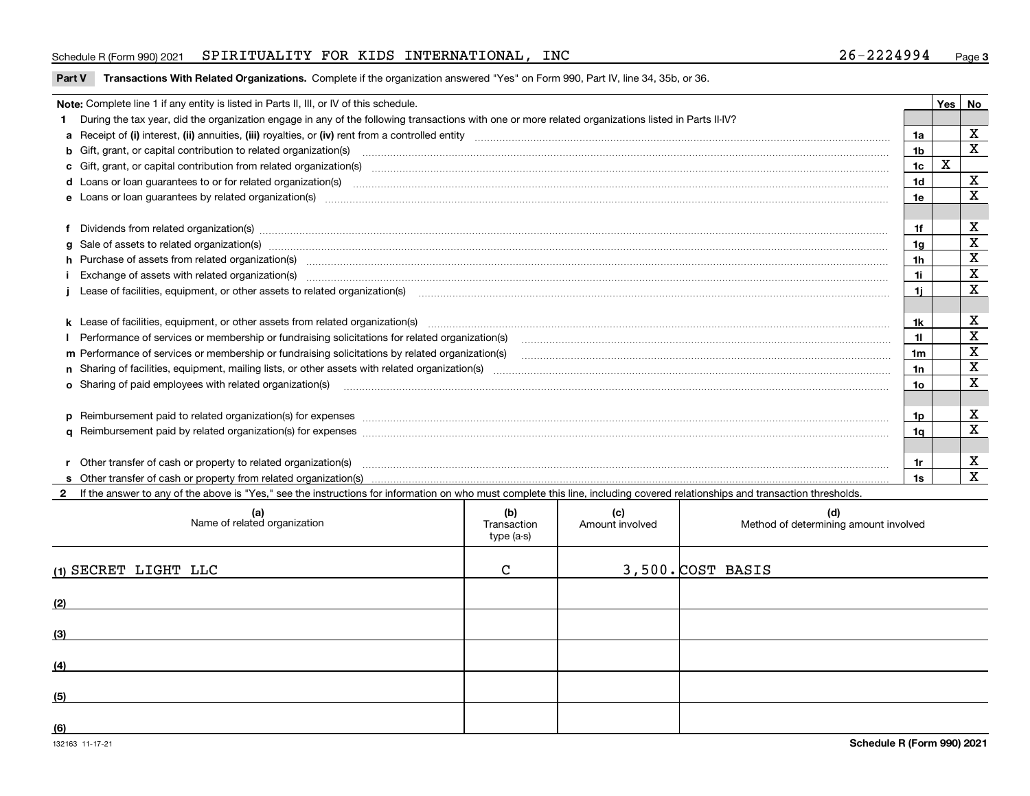### Schedule R (Form 990) 2021 SPIRITUALITY FOR KIDS INTERNATIONAL, INC 26-2224994 Page

### **Part V** T**ransactions With Related Organizations.** Complete if the organization answered "Yes" on Form 990, Part IV, line 34, 35b, or 36.

| Note: Complete line 1 if any entity is listed in Parts II, III, or IV of this schedule.                                                                                                                                        |     | Yes | No          |
|--------------------------------------------------------------------------------------------------------------------------------------------------------------------------------------------------------------------------------|-----|-----|-------------|
| 1 During the tax year, did the organization engage in any of the following transactions with one or more related organizations listed in Parts II-IV?                                                                          |     |     |             |
|                                                                                                                                                                                                                                | 1a  |     | х           |
| b Gift, grant, or capital contribution to related organization(s) manufaction(s) and content to related organization (s) and contribution to related organization(s) manufactured content and content of the state of Gift, gr | 1b  |     | X           |
| c Gift, grant, or capital contribution from related organization(s)                                                                                                                                                            | 1c  | х   |             |
|                                                                                                                                                                                                                                | 1d  |     | x           |
| e Loans or loan guarantees by related organization(s)                                                                                                                                                                          | 1е  |     | х           |
|                                                                                                                                                                                                                                |     |     |             |
| f Dividends from related organization(s) manufactured contains and contained and contained contained and contained and contained and contained and contained and contained and contained and contained and contained and conta | 1f  |     | х           |
|                                                                                                                                                                                                                                | 1g  |     | X           |
| h Purchase of assets from related organization(s) manufactured and content to the content of the content of the content of the content of the content of the content of the content of the content of the content of the conte | 1h  |     | X           |
| Exchange of assets with related organization(s) manufactured and content to the content of the content of the content of the content of the content of the content of the content of the content of the content of the content | 1i  |     | х           |
|                                                                                                                                                                                                                                | 1i. |     | x           |
|                                                                                                                                                                                                                                |     |     |             |
|                                                                                                                                                                                                                                |     |     | х           |
| Performance of services or membership or fundraising solicitations for related organization(s)                                                                                                                                 | 11  |     | $\mathbf X$ |
| m Performance of services or membership or fundraising solicitations by related organization(s)                                                                                                                                | 1m  |     | X           |
|                                                                                                                                                                                                                                | 1n  |     | $\mathbf X$ |
| <b>o</b> Sharing of paid employees with related organization(s)                                                                                                                                                                | 10  |     | $\mathbf X$ |
|                                                                                                                                                                                                                                |     |     |             |
| p Reimbursement paid to related organization(s) for expenses [111] resummand content to content the set of the set of the set of the set of the set of the set of the set of the set of the set of the set of the set of the s | 1p  |     | х           |
|                                                                                                                                                                                                                                | 1q  |     | х           |
|                                                                                                                                                                                                                                |     |     |             |
| r Other transfer of cash or property to related organization(s)                                                                                                                                                                | 1r  |     | х           |
|                                                                                                                                                                                                                                | 1s  |     | X           |

**2**If the answer to any of the above is "Yes," see the instructions for information on who must complete this line, including covered relationships and transaction thresholds.

| (a)<br>Name of related organization | (b)<br>Transaction<br>type (a-s) | (c)<br>Amount involved | (d)<br>Method of determining amount involved |
|-------------------------------------|----------------------------------|------------------------|----------------------------------------------|
| (1) SECRET LIGHT LLC                | $\mathcal{C}$                    |                        | $3,500$ . $COST$ BASIS                       |
| (2)                                 |                                  |                        |                                              |
| (3)                                 |                                  |                        |                                              |
| (4)                                 |                                  |                        |                                              |
| (5)                                 |                                  |                        |                                              |
| (6)                                 |                                  |                        |                                              |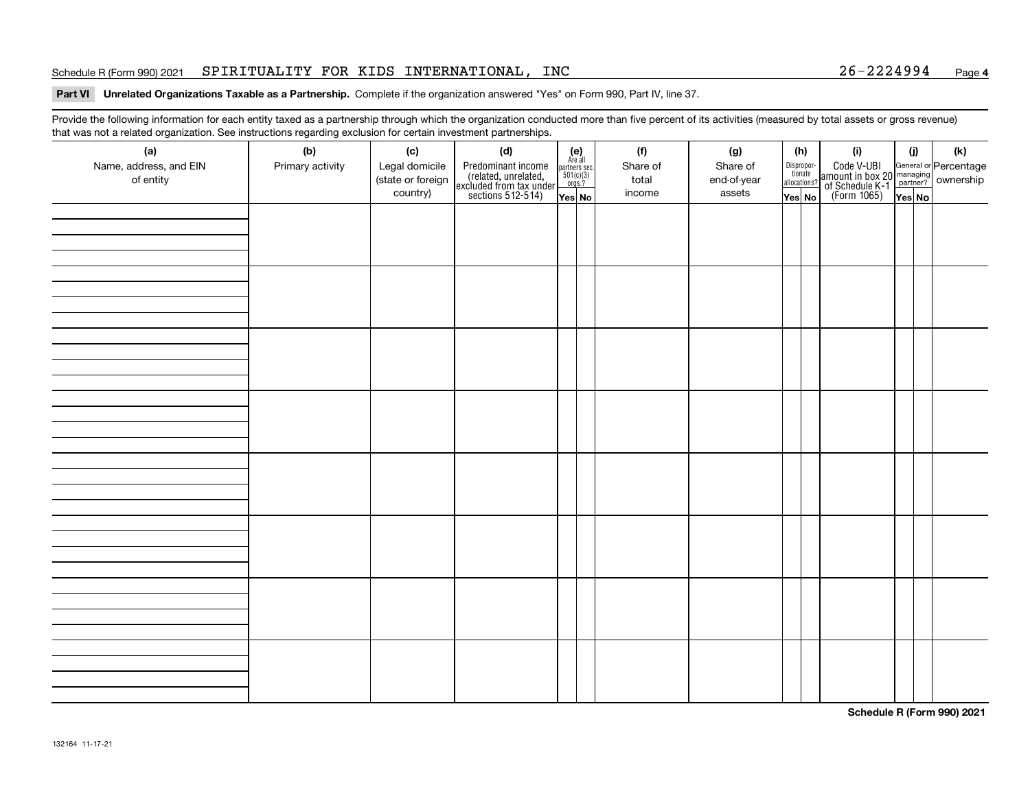### Schedule R (Form 990) 2021 SPIRITUALITY FOR KIDS INTERNATIONAL, INC 26-2224994 Page

### **4**

### **Part VI Unrelated Organizations Taxable as a Partnership. Complete if the organization answered "Yes" on Form 990, Part IV, line 37.**

Provide the following information for each entity taxed as a partnership through which the organization conducted more than five percent of its activities (measured by total assets or gross revenue) that was not a related organization. See instructions regarding exclusion for certain investment partnerships.

| (a)<br>Name, address, and EIN<br>of entity | ັ<br>(b)<br>Primary activity | (c)<br>Legal domicile<br>(state or foreign<br>country) | (d)<br>Predominant income<br>(related, unrelated,<br>excluded from tax under<br>sections 512-514) | $(e)$<br>Are all<br>$\begin{array}{c}\n\text{partners} \sec.\n\\ \n501(c)(3)\n\\ \n0rgs.?\n\end{array}$<br>Yes No | (f)<br>Share of<br>total<br>income | (g)<br>Share of<br>end-of-year<br>assets | (h)<br>Dispropor-<br>tionate<br>allocations?<br>Yes No | (i)<br>Code V-UBI<br>amount in box 20 managing<br>of Schedule K-1<br>(Form 1065)<br>$\overline{Yes}$ No | (i)<br>Yes No | $(\mathsf{k})$ |
|--------------------------------------------|------------------------------|--------------------------------------------------------|---------------------------------------------------------------------------------------------------|-------------------------------------------------------------------------------------------------------------------|------------------------------------|------------------------------------------|--------------------------------------------------------|---------------------------------------------------------------------------------------------------------|---------------|----------------|
|                                            |                              |                                                        |                                                                                                   |                                                                                                                   |                                    |                                          |                                                        |                                                                                                         |               |                |
|                                            |                              |                                                        |                                                                                                   |                                                                                                                   |                                    |                                          |                                                        |                                                                                                         |               |                |
|                                            |                              |                                                        |                                                                                                   |                                                                                                                   |                                    |                                          |                                                        |                                                                                                         |               |                |
|                                            |                              |                                                        |                                                                                                   |                                                                                                                   |                                    |                                          |                                                        |                                                                                                         |               |                |
|                                            |                              |                                                        |                                                                                                   |                                                                                                                   |                                    |                                          |                                                        |                                                                                                         |               |                |
|                                            |                              |                                                        |                                                                                                   |                                                                                                                   |                                    |                                          |                                                        |                                                                                                         |               |                |
|                                            |                              |                                                        |                                                                                                   |                                                                                                                   |                                    |                                          |                                                        |                                                                                                         |               |                |
|                                            |                              |                                                        |                                                                                                   |                                                                                                                   |                                    |                                          |                                                        |                                                                                                         |               |                |

**Schedule R (Form 990) 2021**